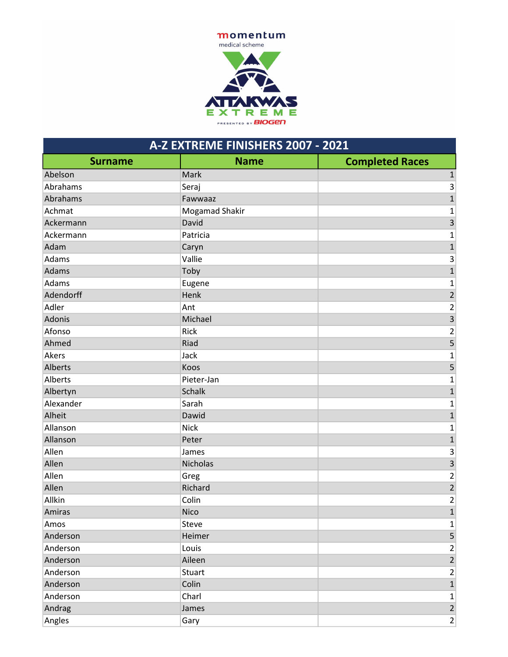

| A-Z EXTREME FINISHERS 2007 - 2021 |                |                         |
|-----------------------------------|----------------|-------------------------|
| <b>Surname</b>                    | <b>Name</b>    | <b>Completed Races</b>  |
| Abelson                           | Mark           | $\mathbf 1$             |
| Abrahams                          | Seraj          | 3                       |
| Abrahams                          | Fawwaaz        | $\overline{1}$          |
| Achmat                            | Mogamad Shakir | 1                       |
| Ackermann                         | David          | $\overline{\mathbf{3}}$ |
| Ackermann                         | Patricia       | $\mathbf 1$             |
| Adam                              | Caryn          | $\overline{1}$          |
| Adams                             | Vallie         | $\mathsf 3$             |
| Adams                             | Toby           | $\overline{1}$          |
| Adams                             | Eugene         | $\mathbf 1$             |
| Adendorff                         | Henk           | $\overline{\mathbf{c}}$ |
| Adler                             | Ant            | $\overline{2}$          |
| Adonis                            | Michael        | $\overline{\mathbf{3}}$ |
| Afonso                            | Rick           | $\overline{c}$          |
| Ahmed                             | Riad           | $\overline{\mathbf{5}}$ |
| Akers                             | Jack           | $\mathbf 1$             |
| Alberts                           | Koos           | 5                       |
| Alberts                           | Pieter-Jan     | $\mathbf 1$             |
| Albertyn                          | <b>Schalk</b>  | $\overline{1}$          |
| Alexander                         | Sarah          | $\mathbf 1$             |
| Alheit                            | Dawid          | $\overline{1}$          |
| Allanson                          | <b>Nick</b>    | $\mathbf 1$             |
| Allanson                          | Peter          | $\overline{1}$          |
| Allen                             | James          | $\mathsf{3}$            |
| Allen                             | Nicholas       | $\overline{\mathbf{3}}$ |
| Allen                             | Greg           | $\overline{c}$          |
| Allen                             | Richard        | $\overline{2}$          |
| Allkin                            | Colin          | $\mathbf 2$             |
| Amiras                            | <b>Nico</b>    | $\mathbf 1$             |
| Amos                              | Steve          | $\mathbf{1}$            |
| Anderson                          | Heimer         | $\overline{\mathbf{5}}$ |
| Anderson                          | Louis          | $\overline{2}$          |
| Anderson                          | Aileen         | $\mathbf 2$             |
| Anderson                          | Stuart         | $\overline{2}$          |
| Anderson                          | Colin          | $\overline{1}$          |
| Anderson                          | Charl          | $\mathbf{1}$            |
| Andrag                            | James          | $\overline{\mathbf{c}}$ |
| Angles                            | Gary           | $\overline{2}$          |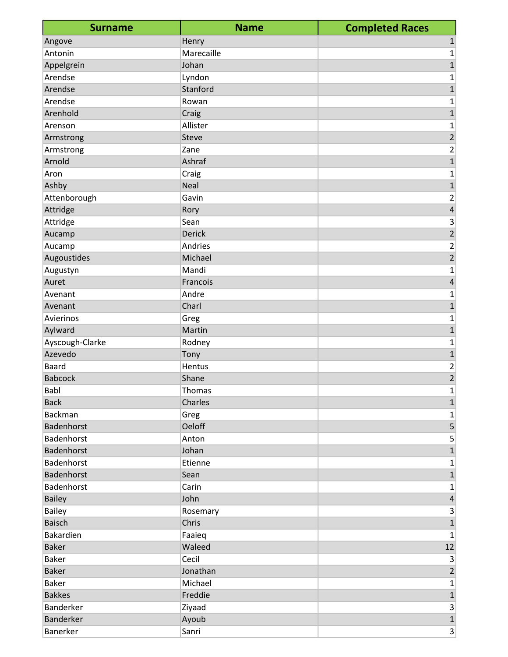| <b>Surname</b>    | <b>Name</b>   | <b>Completed Races</b>    |
|-------------------|---------------|---------------------------|
| Angove            | Henry         | $\mathbf 1$               |
| Antonin           | Marecaille    | 1                         |
| Appelgrein        | Johan         | $\overline{1}$            |
| Arendse           | Lyndon        | $\mathbf 1$               |
| Arendse           | Stanford      | $\overline{\mathbf{1}}$   |
| Arendse           | Rowan         | $\mathbf 1$               |
| Arenhold          | Craig         | $\overline{1}$            |
| Arenson           | Allister      | $\mathbf{1}$              |
| Armstrong         | Steve         | $\overline{2}$            |
| Armstrong         | Zane          | $\overline{\mathbf{c}}$   |
| Arnold            | Ashraf        | $\overline{1}$            |
| Aron              | Craig         | $\mathbf 1$               |
| Ashby             | <b>Neal</b>   | $\overline{1}$            |
| Attenborough      | Gavin         | $\overline{\mathbf{c}}$   |
| Attridge          | Rory          | $\overline{a}$            |
| Attridge          | Sean          | $\mathsf 3$               |
| Aucamp            | <b>Derick</b> | $\overline{\mathbf{c}}$   |
| Aucamp            | Andries       | $\overline{2}$            |
| Augoustides       | Michael       | $\overline{2}$            |
| Augustyn          | Mandi         | $\mathbf 1$               |
| Auret             | Francois      | $\overline{4}$            |
| Avenant           | Andre         | $\mathbf 1$               |
| Avenant           | Charl         | $\overline{1}$            |
| Avierinos         | Greg          | $\mathbf 1$               |
| Aylward           | Martin        | $\overline{1}$            |
| Ayscough-Clarke   | Rodney        | $\mathbf 1$               |
| Azevedo           | Tony          | $\overline{1}$            |
| <b>Baard</b>      | Hentus        | $\overline{2}$            |
| <b>Babcock</b>    | Shane         | $\overline{\mathbf{c}}$   |
| Babl              | Thomas        | $\mathbf 1$               |
| <b>Back</b>       | Charles       | $\overline{1}$            |
| Backman           | Greg          | $\mathbf 1$               |
| Badenhorst        | Oeloff        | 5                         |
| Badenhorst        | Anton         | 5                         |
| Badenhorst        | Johan         | $\overline{1}$            |
| <b>Badenhorst</b> | Etienne       | $\mathbf{1}$              |
| Badenhorst        | Sean          | $\overline{1}$            |
| Badenhorst        | Carin         | $\mathbf 1$               |
| <b>Bailey</b>     | John          | $\sqrt{4}$                |
| <b>Bailey</b>     | Rosemary      | $\ensuremath{\mathsf{3}}$ |
| <b>Baisch</b>     | Chris         | $\overline{1}$            |
| Bakardien         | Faaieq        | $\mathbf 1$               |
| <b>Baker</b>      | Waleed        | 12                        |
| <b>Baker</b>      | Cecil         | $\mathsf 3$               |
| <b>Baker</b>      | Jonathan      | $\mathbf 2$               |
| <b>Baker</b>      | Michael       | $\mathbf 1$               |
| <b>Bakkes</b>     | Freddie       | $\mathbf 1$               |
| Banderker         | Ziyaad        | 3                         |
| Banderker         | Ayoub         | $\overline{\mathbf{1}}$   |
| Banerker          | Sanri         | $\vert 3 \vert$           |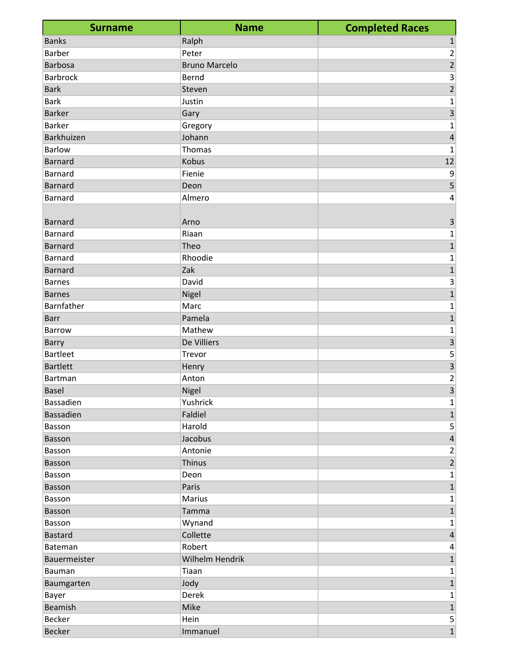| <b>Surname</b>                  | <b>Name</b>          | <b>Completed Races</b>  |
|---------------------------------|----------------------|-------------------------|
| <b>Banks</b>                    | Ralph                | 1                       |
| <b>Barber</b>                   | Peter                | 2                       |
| <b>Barbosa</b>                  | <b>Bruno Marcelo</b> | $\overline{2}$          |
| <b>Barbrock</b>                 | Bernd                | 3                       |
| <b>Bark</b>                     | Steven               | $\overline{2}$          |
| <b>Bark</b>                     | Justin               | $\mathbf 1$             |
| <b>Barker</b>                   | Gary                 | 3                       |
| <b>Barker</b>                   | Gregory              | 1                       |
| Barkhuizen                      | Johann               | 4                       |
| <b>Barlow</b>                   | Thomas               | 1                       |
| <b>Barnard</b>                  | Kobus                | 12                      |
| <b>Barnard</b>                  | Fienie               | 9                       |
| <b>Barnard</b>                  | Deon                 | 5                       |
| <b>Barnard</b>                  | Almero               | 4                       |
|                                 |                      |                         |
| <b>Barnard</b>                  | Arno                 | 3                       |
| <b>Barnard</b>                  | Riaan                | 1                       |
| <b>Barnard</b>                  | Theo                 | $\mathbf{1}$            |
| <b>Barnard</b>                  | Rhoodie              | 1                       |
| <b>Barnard</b>                  | Zak                  | $\mathbf{1}$            |
| <b>Barnes</b>                   | David                | 3                       |
| <b>Barnes</b>                   | Nigel                | $\mathbf 1$             |
| Barnfather                      | Marc                 | 1                       |
| <b>Barr</b>                     | Pamela               | $\mathbf{1}$            |
| <b>Barrow</b>                   | Mathew               | 1                       |
|                                 | De Villiers          | 3                       |
| <b>Barry</b><br><b>Bartleet</b> | Trevor               | 5                       |
| <b>Bartlett</b>                 |                      | $\overline{\mathbf{3}}$ |
| Bartman                         | Henry<br>Anton       | 2                       |
|                                 |                      | 3                       |
| Basel                           | Nigel                |                         |
| Bassadien                       | Yushrick             | $\mathbf 1$             |
| Bassadien                       | Faldiel              | $\mathbf{1}$            |
| Basson                          | Harold               | 5                       |
| Basson                          | Jacobus              | $\sqrt{4}$              |
| Basson                          | Antonie              | $\overline{2}$          |
| Basson                          | <b>Thinus</b>        | $\overline{2}$          |
| Basson                          | Deon                 | 1                       |
| Basson                          | Paris                | 1                       |
| Basson                          | Marius               | 1                       |
| Basson                          | Tamma                | $\mathbf{1}$            |
| Basson                          | Wynand               | 1                       |
| <b>Bastard</b>                  | Collette             | $\overline{\mathbf{4}}$ |
| Bateman                         | Robert               | 4                       |
| Bauermeister                    | Wilhelm Hendrik      | $\mathbf{1}$            |
| Bauman                          | Tiaan                | 1                       |
| Baumgarten                      | Jody                 | $\mathbf{1}$            |
| Bayer                           | Derek                | 1                       |
| Beamish                         | Mike                 | $\mathbf{1}$            |
| <b>Becker</b>                   | Hein                 | $\mathsf{S}$            |
| <b>Becker</b>                   | Immanuel             | $\overline{1}$          |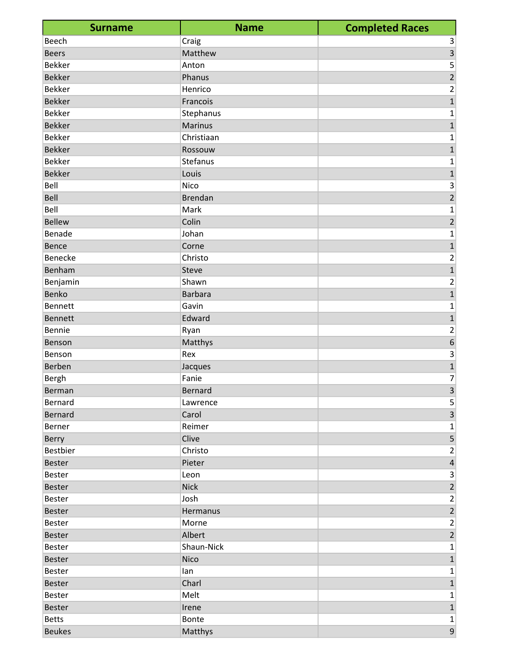| <b>Surname</b> | <b>Name</b>    | <b>Completed Races</b>    |
|----------------|----------------|---------------------------|
| Beech          | Craig          | $\mathsf 3$               |
| <b>Beers</b>   | Matthew        | $\overline{\mathbf{3}}$   |
| <b>Bekker</b>  | Anton          | 5                         |
| <b>Bekker</b>  | Phanus         | $\overline{2}$            |
| <b>Bekker</b>  | Henrico        | $\sqrt{2}$                |
| <b>Bekker</b>  | Francois       | $\overline{1}$            |
| <b>Bekker</b>  | Stephanus      | $\mathbf 1$               |
| <b>Bekker</b>  | Marinus        | $\overline{1}$            |
| <b>Bekker</b>  | Christiaan     | $\mathbf 1$               |
| <b>Bekker</b>  | Rossouw        | $\overline{\mathbf{1}}$   |
| <b>Bekker</b>  | Stefanus       | $\mathbf 1$               |
| <b>Bekker</b>  | Louis          | $\overline{1}$            |
| Bell           | Nico           | $\overline{\mathbf{3}}$   |
| Bell           | <b>Brendan</b> | $\overline{2}$            |
| Bell           | Mark           | $\mathbf 1$               |
| <b>Bellew</b>  | Colin          | $\overline{\mathbf{c}}$   |
| Benade         | Johan          | $\mathbf 1$               |
| <b>Bence</b>   | Corne          | $\overline{1}$            |
| Benecke        | Christo        | $\overline{c}$            |
| Benham         | Steve          | $\overline{1}$            |
| Benjamin       | Shawn          | $\mathbf 2$               |
| Benko          | <b>Barbara</b> | $\overline{1}$            |
| <b>Bennett</b> | Gavin          | $\mathbf 1$               |
| <b>Bennett</b> | Edward         | $\overline{\mathbf{1}}$   |
| Bennie         | Ryan           | $\mathbf 2$               |
| Benson         | Matthys        | $\overline{6}$            |
| Benson         | Rex            | $\ensuremath{\mathsf{3}}$ |
| Berben         | Jacques        | $\overline{1}$            |
| Bergh          | Fanie          | $\overline{7}$            |
| Berman         | Bernard        | 3                         |
| Bernard        | Lawrence       | 5 <sup>1</sup>            |
| <b>Bernard</b> | Carol          | $\overline{\mathbf{3}}$   |
| Berner         | Reimer         | $\mathbf{1}$              |
| <b>Berry</b>   | Clive          | 5                         |
| Bestbier       | Christo        | $\overline{2}$            |
| <b>Bester</b>  | Pieter         | $\sqrt{4}$                |
| <b>Bester</b>  | Leon           | $\ensuremath{\mathsf{3}}$ |
| <b>Bester</b>  | <b>Nick</b>    | $\overline{2}$            |
| <b>Bester</b>  | Josh           | $\mathbf 2$               |
| <b>Bester</b>  | Hermanus       | $\overline{2}$            |
| <b>Bester</b>  | Morne          | $\overline{c}$            |
| <b>Bester</b>  | Albert         | $\overline{2}$            |
| <b>Bester</b>  | Shaun-Nick     | $\mathbf 1$               |
| <b>Bester</b>  | <b>Nico</b>    | $\mathbf 1$               |
| <b>Bester</b>  | lan            | 1                         |
| <b>Bester</b>  | Charl          | $\mathbf 1$               |
| <b>Bester</b>  | Melt           | $\mathbf{1}$              |
| <b>Bester</b>  | Irene          | $\mathbf 1$               |
| <b>Betts</b>   | Bonte          | $\mathbf{1}$              |
| <b>Beukes</b>  | Matthys        | $\mathsf g$               |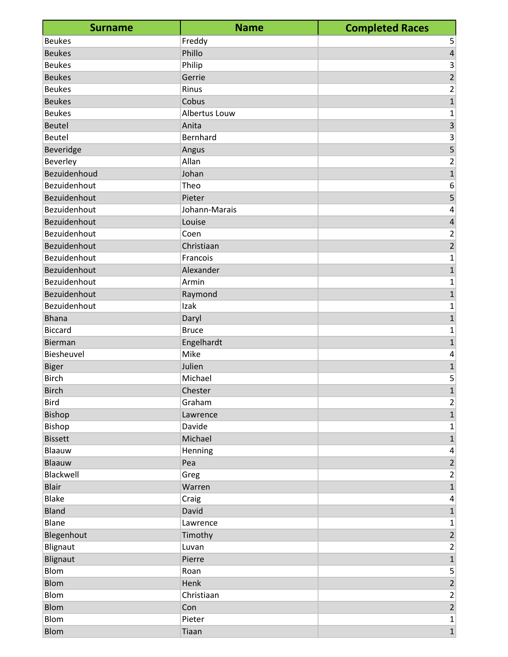| <b>Surname</b> | <b>Name</b>   | <b>Completed Races</b>  |
|----------------|---------------|-------------------------|
| <b>Beukes</b>  | Freddy        | 5                       |
| <b>Beukes</b>  | Phillo        | $\overline{a}$          |
| <b>Beukes</b>  | Philip        | 3                       |
| <b>Beukes</b>  | Gerrie        | $\overline{2}$          |
| <b>Beukes</b>  | Rinus         |                         |
| <b>Beukes</b>  | Cobus         | $\frac{2}{1}$           |
| <b>Beukes</b>  | Albertus Louw | $\mathbf{1}$            |
| <b>Beutel</b>  | Anita         | $\overline{\mathbf{3}}$ |
| <b>Beutel</b>  | Bernhard      | $\mathsf 3$             |
| Beveridge      | Angus         | $\overline{\mathbf{5}}$ |
| Beverley       | Allan         | $\overline{\mathbf{c}}$ |
| Bezuidenhoud   | Johan         | $\overline{1}$          |
| Bezuidenhout   | Theo          | $\boldsymbol{6}$        |
| Bezuidenhout   | Pieter        | 5                       |
| Bezuidenhout   | Johann-Marais | 4                       |
| Bezuidenhout   | Louise        | $\overline{\mathbf{r}}$ |
| Bezuidenhout   | Coen          | $\overline{c}$          |
| Bezuidenhout   | Christiaan    | $\overline{2}$          |
| Bezuidenhout   | Francois      | $\mathbf 1$             |
| Bezuidenhout   | Alexander     | $\mathbf{1}$            |
| Bezuidenhout   | Armin         | $\mathbf 1$             |
| Bezuidenhout   | Raymond       | $\overline{1}$          |
| Bezuidenhout   | Izak          | $\mathbf{1}$            |
| <b>Bhana</b>   | Daryl         | $\overline{\mathbf{1}}$ |
| <b>Biccard</b> | <b>Bruce</b>  | $\mathbf 1$             |
| Bierman        | Engelhardt    | $\mathbf{1}$            |
| Biesheuvel     | Mike          | $\overline{\mathbf{r}}$ |
| <b>Biger</b>   | Julien        | $\overline{1}$          |
| <b>Birch</b>   | Michael       | 5                       |
| <b>Birch</b>   | Chester       | $\mathbf 1$             |
| <b>Bird</b>    | Graham        | $\overline{2}$          |
| Bishop         | Lawrence      | $\mathbf 1$             |
| Bishop         | Davide        | $\mathbf 1$             |
| <b>Bissett</b> | Michael       | $\mathbf 1$             |
| Blaauw         | Henning       | 4                       |
| Blaauw         | Pea           | $\overline{c}$          |
| Blackwell      | Greg          | $\mathbf 2$             |
| <b>Blair</b>   | Warren        | $\overline{1}$          |
| <b>Blake</b>   | Craig         | $\pmb{4}$               |
| <b>Bland</b>   | David         | $\overline{1}$          |
| Blane          | Lawrence      | 1                       |
| Blegenhout     | Timothy       | $\overline{2}$          |
| Blignaut       | Luvan         | $\overline{2}$          |
| Blignaut       | Pierre        | $\overline{1}$          |
| <b>Blom</b>    | Roan          | $\sf S$                 |
| <b>Blom</b>    | Henk          | $\overline{2}$          |
| Blom           | Christiaan    | $\mathbf 2$             |
| <b>Blom</b>    | Con           | $\overline{2}$          |
| <b>Blom</b>    | Pieter        | $\mathbf{1}$            |
| <b>Blom</b>    | Tiaan         | $\overline{1}$          |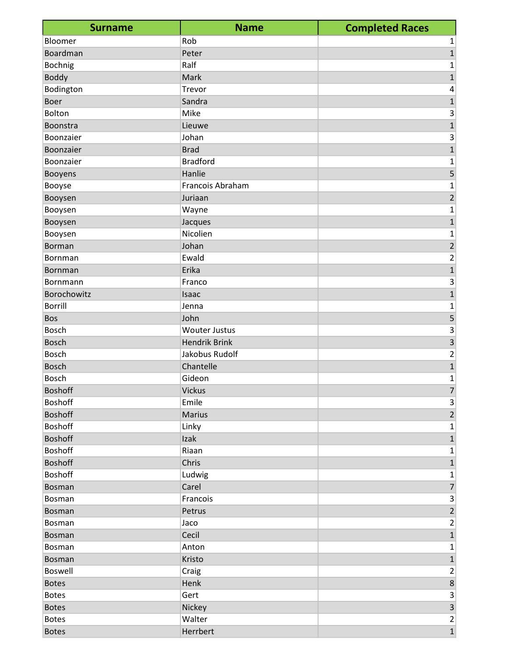| <b>Surname</b> | <b>Name</b>          | <b>Completed Races</b>  |
|----------------|----------------------|-------------------------|
| Bloomer        | Rob                  | 1                       |
| Boardman       | Peter                | $\mathbf{1}$            |
| <b>Bochnig</b> | Ralf                 | $\mathbf 1$             |
| Boddy          | Mark                 | $\overline{\mathbf{1}}$ |
| Bodington      | Trevor               | 4                       |
| <b>Boer</b>    | Sandra               | $\mathbf 1$             |
| Bolton         | Mike                 | 3                       |
| Boonstra       | Lieuwe               | $\mathbf 1$             |
| Boonzaier      | Johan                | 3                       |
| Boonzaier      | <b>Brad</b>          | $\mathbf{1}$            |
| Boonzaier      | <b>Bradford</b>      | $\mathbf 1$             |
| Booyens        | Hanlie               | 5                       |
| Booyse         | Francois Abraham     | $\mathbf 1$             |
| Booysen        | Juriaan              | $\overline{c}$          |
| Booysen        | Wayne                | $\mathbf 1$             |
| Booysen        | Jacques              | $\overline{1}$          |
| Booysen        | Nicolien             | 1                       |
| <b>Borman</b>  | Johan                | $\overline{\mathbf{c}}$ |
| Bornman        | Ewald                | $\overline{c}$          |
| Bornman        | Erika                | $\mathbf 1$             |
| Bornmann       | Franco               | 3                       |
| Borochowitz    | Isaac                | $\overline{1}$          |
| <b>Borrill</b> | Jenna                | $\mathbf 1$             |
| <b>Bos</b>     | John                 | 5                       |
| <b>Bosch</b>   | <b>Wouter Justus</b> | 3                       |
| <b>Bosch</b>   | <b>Hendrik Brink</b> | 3                       |
| <b>Bosch</b>   | Jakobus Rudolf       | $\overline{\mathbf{c}}$ |
| <b>Bosch</b>   | Chantelle            | $\overline{1}$          |
| <b>Bosch</b>   | Gideon               | 1                       |
| <b>Boshoff</b> | <b>Vickus</b>        | $\overline{7}$          |
| <b>Boshoff</b> | Emile                | $\mathsf 3$             |
| <b>Boshoff</b> | <b>Marius</b>        | $\overline{2}$          |
| <b>Boshoff</b> | Linky                | $\mathbf 1$             |
| <b>Boshoff</b> | Izak                 | $\mathbf{1}$            |
| <b>Boshoff</b> | Riaan                | $\mathbf 1$             |
| <b>Boshoff</b> | Chris                | $\mathbf 1$             |
| <b>Boshoff</b> | Ludwig               | $\mathbf 1$             |
| <b>Bosman</b>  | Carel                | $\overline{7}$          |
| <b>Bosman</b>  | Francois             | 3                       |
| <b>Bosman</b>  | Petrus               | $\overline{2}$          |
| <b>Bosman</b>  | Jaco                 | $\overline{2}$          |
| <b>Bosman</b>  | Cecil                | $\mathbf 1$             |
| Bosman         | Anton                | $\mathbf{1}$            |
| <b>Bosman</b>  | Kristo               | $\mathbf 1$             |
| Boswell        | Craig                | $\overline{2}$          |
| <b>Botes</b>   | Henk                 | $\,8\,$                 |
| <b>Botes</b>   | Gert                 | 3                       |
| <b>Botes</b>   | Nickey               | $\overline{\mathbf{3}}$ |
| <b>Botes</b>   | Walter               | $\mathbf{2}$            |
| <b>Botes</b>   | Herrbert             | $\mathbf 1$             |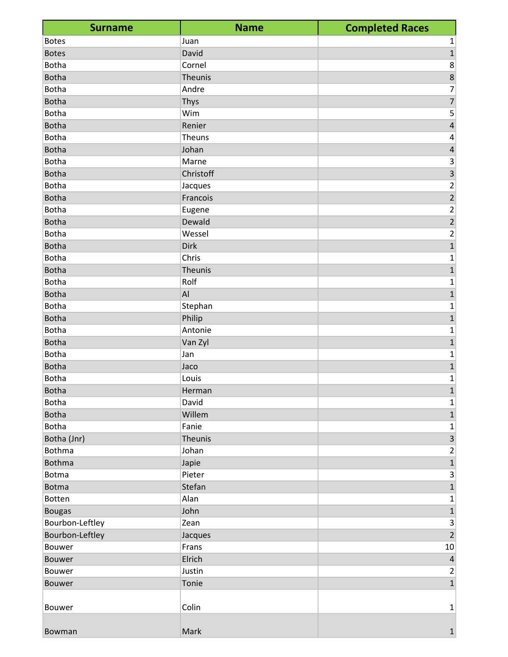| <b>Surname</b>  | <b>Name</b> | <b>Completed Races</b>  |
|-----------------|-------------|-------------------------|
| <b>Botes</b>    | Juan        | 1                       |
| <b>Botes</b>    | David       | $\mathbf 1$             |
| <b>Botha</b>    | Cornel      | 8                       |
| <b>Botha</b>    | Theunis     | 8                       |
| <b>Botha</b>    | Andre       | 7                       |
| <b>Botha</b>    | Thys        | $\overline{7}$          |
| <b>Botha</b>    | Wim         | 5                       |
| <b>Botha</b>    | Renier      | $\overline{\mathbf{4}}$ |
| <b>Botha</b>    | Theuns      | 4                       |
| <b>Botha</b>    | Johan       | $\pmb{4}$               |
| <b>Botha</b>    | Marne       | 3                       |
| <b>Botha</b>    | Christoff   | $\overline{\mathbf{3}}$ |
| <b>Botha</b>    | Jacques     | $\mathbf 2$             |
| <b>Botha</b>    | Francois    | $\overline{2}$          |
| <b>Botha</b>    | Eugene      | $\overline{\mathbf{c}}$ |
| <b>Botha</b>    | Dewald      | $\overline{2}$          |
| <b>Botha</b>    | Wessel      | 2                       |
| <b>Botha</b>    | Dirk        | $\mathbf{1}$            |
| <b>Botha</b>    | Chris       | 1                       |
| <b>Botha</b>    | Theunis     | $\mathbf 1$             |
| <b>Botha</b>    | Rolf        | 1                       |
| <b>Botha</b>    | AI          | $\mathbf{1}$            |
| <b>Botha</b>    | Stephan     | 1                       |
| <b>Botha</b>    | Philip      | $\mathbf{1}$            |
| <b>Botha</b>    | Antonie     | 1                       |
| <b>Botha</b>    | Van Zyl     | $\mathbf 1$             |
| <b>Botha</b>    | Jan         | 1                       |
| <b>Botha</b>    | Jaco        | $\mathbf{1}$            |
| <b>Botha</b>    | Louis       | 1                       |
| <b>Botha</b>    | Herman      | $\mathbf{1}$            |
| <b>Botha</b>    | David       | 1                       |
| <b>Botha</b>    | Willem      | $\overline{1}$          |
| <b>Botha</b>    | Fanie       | 1                       |
| Botha (Jnr)     | Theunis     | $\overline{3}$          |
| <b>Bothma</b>   | Johan       | 2                       |
| <b>Bothma</b>   | Japie       | $\overline{1}$          |
| <b>Botma</b>    | Pieter      | $\overline{\mathbf{3}}$ |
| <b>Botma</b>    | Stefan      | $\mathbf{1}$            |
| Botten          | Alan        | $\mathbf 1$             |
| <b>Bougas</b>   | John        | $\mathbf{1}$            |
| Bourbon-Leftley | Zean        | 3                       |
| Bourbon-Leftley | Jacques     | $\overline{2}$          |
| <b>Bouwer</b>   | Frans       | $10\,$                  |
| <b>Bouwer</b>   | Elrich      | $\pmb{4}$               |
| <b>Bouwer</b>   | Justin      | 2                       |
| <b>Bouwer</b>   | Tonie       | $\mathbf{1}$            |
| <b>Bouwer</b>   | Colin       | 1                       |
| Bowman          | Mark        | $\mathbf 1$             |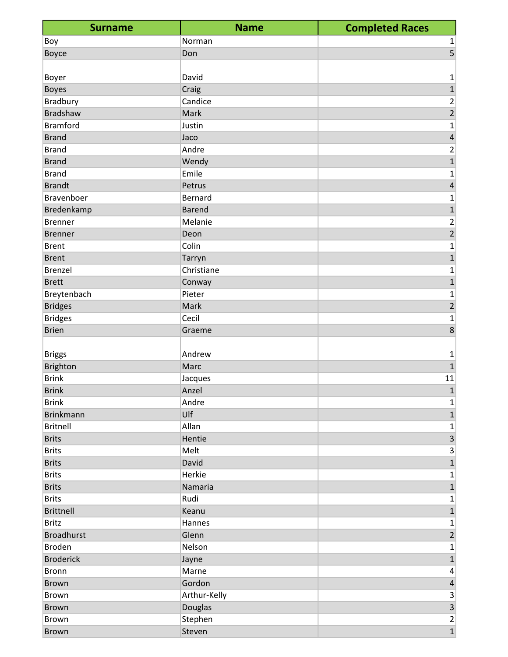| <b>Surname</b>    | <b>Name</b>   | <b>Completed Races</b>  |
|-------------------|---------------|-------------------------|
| Boy               | Norman        | 1                       |
| Boyce             | Don           | $\overline{5}$          |
|                   |               |                         |
| <b>Boyer</b>      | David         | $\mathbf 1$             |
| <b>Boyes</b>      | Craig         | $\mathbf{1}$            |
| <b>Bradbury</b>   | Candice       | $\overline{\mathbf{c}}$ |
| <b>Bradshaw</b>   | Mark          | $\overline{2}$          |
| <b>Bramford</b>   | Justin        | 1                       |
| <b>Brand</b>      | Jaco          | $\overline{\mathbf{r}}$ |
| <b>Brand</b>      | Andre         | 2                       |
| <b>Brand</b>      | Wendy         | $\mathbf{1}$            |
| <b>Brand</b>      | Emile         | 1                       |
| <b>Brandt</b>     | Petrus        | $\overline{\mathbf{4}}$ |
| Bravenboer        | Bernard       | 1                       |
| Bredenkamp        | <b>Barend</b> | $\mathbf 1$             |
| <b>Brenner</b>    | Melanie       | $\overline{\mathbf{c}}$ |
| <b>Brenner</b>    | Deon          | $\overline{2}$          |
| <b>Brent</b>      | Colin         | $\mathbf 1$             |
| <b>Brent</b>      | Tarryn        | $\mathbf{1}$            |
| Brenzel           | Christiane    | 1                       |
| <b>Brett</b>      | Conway        | $\mathbf{1}$            |
| Breytenbach       | Pieter        | 1                       |
| <b>Bridges</b>    | Mark          | $\overline{2}$          |
| <b>Bridges</b>    | Cecil         | 1                       |
| <b>Brien</b>      | Graeme        | 8                       |
|                   |               |                         |
| <b>Briggs</b>     | Andrew        | 1                       |
| Brighton          | Marc          | $\mathbf{1}$            |
| <b>Brink</b>      | Jacques       | 11                      |
| <b>Brink</b>      | Anzel         | $\mathbf{1}$            |
| <b>Brink</b>      | Andre         | 1                       |
| <b>Brinkmann</b>  | Ulf           | $\overline{1}$          |
| <b>Britnell</b>   | Allan         | 1                       |
| <b>Brits</b>      | Hentie        | $\overline{\mathbf{3}}$ |
| <b>Brits</b>      | Melt          | $\overline{\mathbf{3}}$ |
| <b>Brits</b>      | David         | $\mathbf 1$             |
| <b>Brits</b>      | Herkie        | 1                       |
| <b>Brits</b>      | Namaria       | $\mathbf{1}$            |
| <b>Brits</b>      | Rudi          | 1                       |
| <b>Brittnell</b>  | Keanu         | $\mathbf{1}$            |
| <b>Britz</b>      | Hannes        | 1                       |
| <b>Broadhurst</b> | Glenn         | $\overline{2}$          |
| <b>Broden</b>     | Nelson        | 1                       |
| <b>Broderick</b>  | Jayne         | $\mathbf{1}$            |
| <b>Bronn</b>      | Marne         | 4                       |
| Brown             | Gordon        | $\overline{4}$          |
| Brown             | Arthur-Kelly  | $\overline{\mathbf{3}}$ |
| Brown             | Douglas       | $\overline{3}$          |
| Brown             | Stephen       | $\mathbf{2}$            |
| Brown             | Steven        | $\overline{1}$          |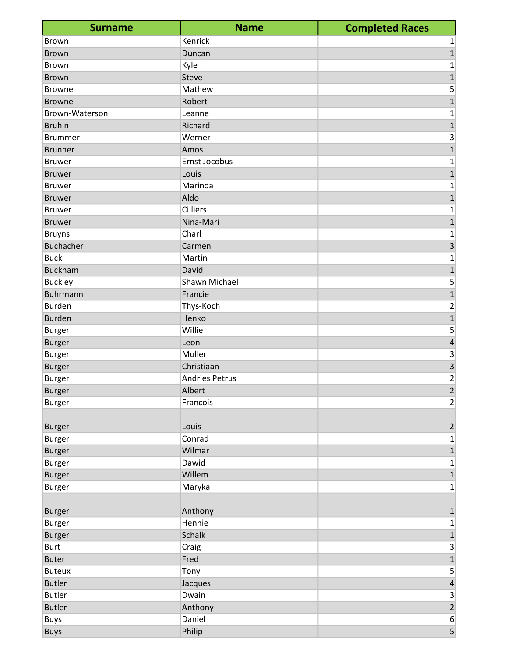| <b>Surname</b>               | <b>Name</b>           | <b>Completed Races</b>  |
|------------------------------|-----------------------|-------------------------|
| <b>Brown</b>                 | Kenrick               | 1                       |
| <b>Brown</b>                 | Duncan                | 1                       |
| <b>Brown</b>                 | Kyle                  | 1                       |
| <b>Brown</b>                 | Steve                 | $\mathbf{1}$            |
| <b>Browne</b>                | Mathew                | 5                       |
| <b>Browne</b>                | Robert                | $\mathbf{1}$            |
| Brown-Waterson               | Leanne                | 1                       |
| <b>Bruhin</b>                | Richard               | $\mathbf 1$             |
| <b>Brummer</b>               | Werner                | 3                       |
| <b>Brunner</b>               | Amos                  | $\mathbf{1}$            |
| <b>Bruwer</b>                | Ernst Jocobus         | 1                       |
| <b>Bruwer</b>                | Louis                 | $\mathbf 1$             |
| <b>Bruwer</b>                | Marinda               | 1                       |
| <b>Bruwer</b>                | Aldo                  | 1                       |
| <b>Bruwer</b>                | <b>Cilliers</b>       | 1                       |
| <b>Bruwer</b>                | Nina-Mari             | $\mathbf 1$             |
| <b>Bruyns</b>                | Charl                 | 1                       |
| <b>Buchacher</b>             | Carmen                | $\overline{\mathbf{3}}$ |
| <b>Buck</b>                  | Martin                | 1                       |
| <b>Buckham</b>               | David                 | $\mathbf{1}$            |
| <b>Buckley</b>               | Shawn Michael         | 5                       |
| <b>Buhrmann</b>              | Francie               | $\mathbf{1}$            |
| <b>Burden</b>                | Thys-Koch             | 2                       |
| <b>Burden</b>                | Henko                 | $\mathbf 1$             |
| <b>Burger</b>                | Willie                | 5                       |
| <b>Burger</b>                | Leon                  | $\sqrt{4}$              |
| <b>Burger</b>                | Muller                | 3                       |
| <b>Burger</b>                | Christiaan            | $\overline{\mathbf{3}}$ |
| <b>Burger</b>                | <b>Andries Petrus</b> | 2                       |
| <b>Burger</b>                | Albert                | $\overline{c}$          |
| <b>Burger</b>                | Francois              | $\overline{2}$          |
| <b>Burger</b>                | Louis                 | $\overline{2}$          |
| <b>Burger</b>                | Conrad                | 1                       |
| <b>Burger</b>                | Wilmar                | $\mathbf{1}$            |
| <b>Burger</b>                | Dawid                 | 1                       |
| <b>Burger</b>                | Willem                | $\mathbf 1$             |
| <b>Burger</b>                | Maryka                | 1                       |
| <b>Burger</b>                | Anthony               | $\mathbf{1}$            |
| <b>Burger</b>                | Hennie                | $\mathbf 1$             |
|                              | Schalk                | $\overline{1}$          |
| <b>Burger</b><br><b>Burt</b> | Craig                 |                         |
|                              | Fred                  | 3<br>$\overline{1}$     |
| <b>Buter</b>                 |                       |                         |
| <b>Buteux</b>                | Tony                  | 5                       |
| <b>Butler</b>                | Jacques               | $\overline{\mathbf{4}}$ |
| <b>Butler</b>                | Dwain                 | 3                       |
| <b>Butler</b>                | Anthony               | $\overline{2}$          |
| <b>Buys</b>                  | Daniel                | $\sqrt{6}$              |
| <b>Buys</b>                  | Philip                | $\overline{5}$          |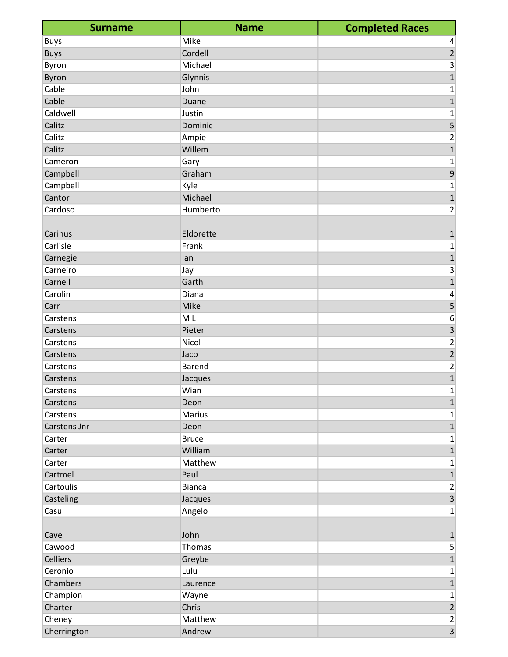| <b>Surname</b>      | <b>Name</b>    | <b>Completed Races</b>         |
|---------------------|----------------|--------------------------------|
| <b>Buys</b>         | Mike           | 4                              |
| <b>Buys</b>         | Cordell        | $\overline{2}$                 |
| Byron               | Michael        | 3                              |
| Byron               | Glynnis        | $\mathbf{1}$                   |
| Cable               | John           | 1                              |
| Cable               | Duane          | $\mathbf 1$                    |
| Caldwell            | Justin         | 1                              |
| Calitz              | Dominic        | 5                              |
| Calitz              | Ampie          | 2                              |
| Calitz              | Willem         | $\mathbf{1}$                   |
| Cameron             | Gary           | 1                              |
| Campbell            | Graham         | 9                              |
| Campbell            | Kyle           | 1                              |
| Cantor              | Michael        | $\mathbf{1}$                   |
| Cardoso             | Humberto       | 2                              |
|                     |                |                                |
| Carinus             | Eldorette      | 1                              |
| Carlisle            | Frank          | $\mathbf 1$                    |
| Carnegie            | lan            | $\mathbf 1$                    |
| Carneiro            | Jay            | 3                              |
| Carnell             | Garth          | $\overline{1}$                 |
| Carolin             | Diana          | 4                              |
| Carr                | Mike           | 5                              |
| Carstens            | M <sub>L</sub> | 6                              |
| Carstens            | Pieter         | 3                              |
| Carstens            | Nicol          | 2                              |
| Carstens            | Jaco           | $\overline{2}$                 |
| Carstens            | <b>Barend</b>  | 2                              |
| Carstens            | Jacques        | $\mathbf{1}$                   |
| Carstens            | Wian           | $\mathbf 1$                    |
| Carstens            | Deon           | $\mathbf 1$                    |
| Carstens            | Marius         | 1                              |
| Carstens Jnr        | Deon           | $\mathbf{1}$                   |
| Carter              | <b>Bruce</b>   | 1                              |
| Carter              | William        | $\mathbf 1$                    |
| Carter              | Matthew        | 1                              |
| Cartmel             | Paul           | $\mathbf 1$                    |
| Cartoulis           | <b>Bianca</b>  | 2                              |
| Casteling           | Jacques        | $\overline{3}$                 |
| Casu                | Angelo         | 1                              |
|                     |                |                                |
| Cave                | John           | $\mathbf{1}$                   |
| Cawood              | Thomas         | 5                              |
| <b>Celliers</b>     | Greybe         | $\mathbf{1}$                   |
| Ceronio             | Lulu           | 1                              |
| Chambers            | Laurence       | $\mathbf 1$                    |
|                     |                |                                |
| Champion<br>Charter | Wayne<br>Chris | 1<br>$\overline{2}$            |
|                     | Matthew        |                                |
| Cheney              |                | $\mathbf{2}$<br>$\overline{3}$ |
| Cherrington         | Andrew         |                                |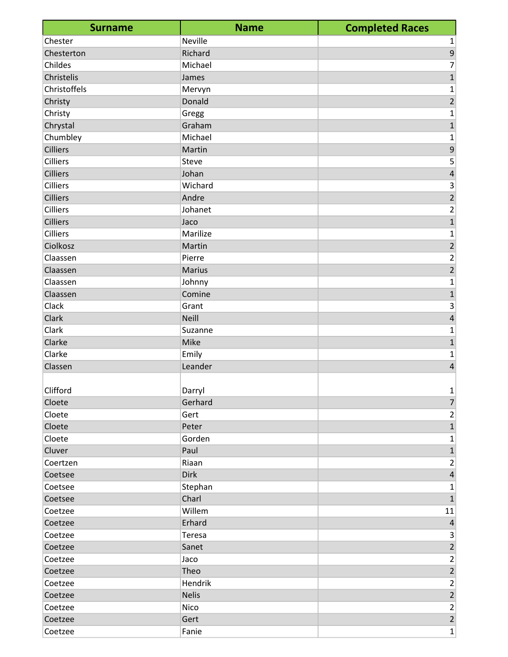| <b>Surname</b>  | <b>Name</b>    | <b>Completed Races</b>  |
|-----------------|----------------|-------------------------|
| Chester         | <b>Neville</b> | 1                       |
| Chesterton      | Richard        | 9                       |
| Childes         | Michael        | 7                       |
| Christelis      | James          | $\mathbf{1}$            |
| Christoffels    | Mervyn         | 1                       |
| Christy         | Donald         | $\overline{2}$          |
| Christy         | Gregg          | 1                       |
| Chrystal        | Graham         | $\mathbf{1}$            |
| Chumbley        | Michael        | 1                       |
| <b>Cilliers</b> | Martin         | $\overline{9}$          |
| <b>Cilliers</b> | Steve          | 5                       |
| Cilliers        | Johan          | $\overline{\mathbf{4}}$ |
| <b>Cilliers</b> | Wichard        | 3                       |
| <b>Cilliers</b> | Andre          | $\overline{2}$          |
| Cilliers        | Johanet        | $\overline{c}$          |
| <b>Cilliers</b> | Jaco           | $\mathbf{1}$            |
| Cilliers        | Marilize       | 1                       |
| Ciolkosz        | Martin         | $\overline{2}$          |
| Claassen        | Pierre         | 2                       |
| Claassen        | <b>Marius</b>  | $\overline{2}$          |
| Claassen        | Johnny         | 1                       |
| Claassen        | Comine         | $\mathbf{1}$            |
| Clack           | Grant          | 3                       |
| Clark           | <b>Neill</b>   | $\overline{\mathbf{4}}$ |
| Clark           | Suzanne        | 1                       |
| Clarke          | Mike           | $\mathbf 1$             |
| Clarke          | Emily          | 1                       |
| Classen         | Leander        | $\overline{4}$          |
|                 |                |                         |
| Clifford        | Darryl         | 1                       |
| Cloete          | Gerhard        | $\overline{7}$          |
| Cloete          | Gert           | $\overline{2}$          |
| Cloete          | Peter          | 1                       |
| Cloete          | Gorden         | 1                       |
| Cluver          | Paul           | $\mathbf 1$             |
| Coertzen        | Riaan          | $\overline{2}$          |
| Coetsee         | <b>Dirk</b>    | $\overline{\mathbf{4}}$ |
| Coetsee         | Stephan        | 1                       |
| Coetsee         | Charl          | $\mathbf{1}$            |
| Coetzee         | Willem         | 11                      |
| Coetzee         | Erhard         | $\overline{4}$          |
| Coetzee         | Teresa         | $\overline{3}$          |
| Coetzee         | Sanet          | $\overline{2}$          |
| Coetzee         | Jaco           | $\overline{2}$          |
| Coetzee         | Theo           | $\overline{2}$          |
| Coetzee         | Hendrik        | $\overline{2}$          |
| Coetzee         | <b>Nelis</b>   | $\overline{2}$          |
| Coetzee         | Nico           | $\overline{2}$          |
| Coetzee         | Gert           | $\overline{2}$          |
| Coetzee         | Fanie          | $\mathbf 1$             |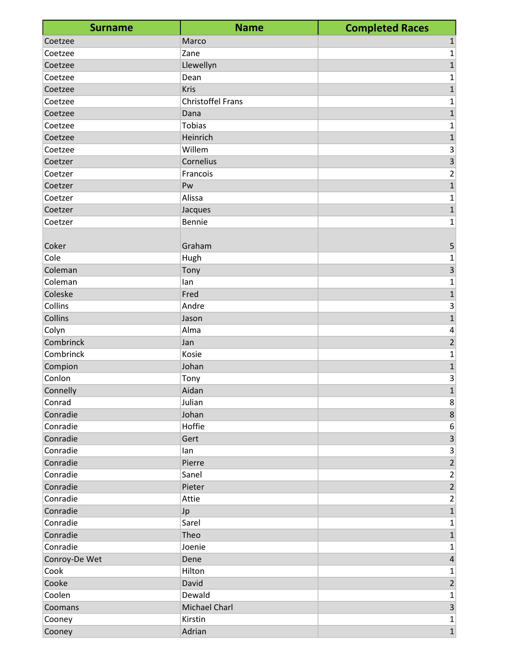| <b>Surname</b>     | <b>Name</b>              | <b>Completed Races</b>         |
|--------------------|--------------------------|--------------------------------|
| Coetzee            | Marco                    | $\mathbf{1}$                   |
| Coetzee            | Zane                     | 1                              |
| Coetzee            | Llewellyn                | $\mathbf{1}$                   |
| Coetzee            | Dean                     | 1                              |
| Coetzee            | Kris                     | $\mathbf 1$                    |
| Coetzee            | <b>Christoffel Frans</b> | 1                              |
| Coetzee            | Dana                     | $\mathbf 1$                    |
| Coetzee            | <b>Tobias</b>            | 1                              |
| Coetzee            | Heinrich                 | $\mathbf{1}$                   |
| Coetzee            | Willem                   | $\ensuremath{\mathsf{3}}$      |
| Coetzer            | Cornelius                | $\overline{\mathbf{3}}$        |
| Coetzer            | Francois                 | 2                              |
| Coetzer            | Pw                       | $\mathbf{1}$                   |
| Coetzer            | Alissa                   | 1                              |
| Coetzer            | Jacques                  | $\mathbf{1}$                   |
| Coetzer            | Bennie                   | 1                              |
| Coker              | Graham                   | 5                              |
| Cole               | Hugh                     |                                |
| Coleman            |                          | 1<br>3                         |
| Coleman            | Tony<br>lan              | 1                              |
| Coleske            | Fred                     | $\mathbf{1}$                   |
| Collins            | Andre                    |                                |
| Collins            |                          | 3                              |
|                    | Jason<br>Alma            | $\mathbf 1$                    |
| Colyn<br>Combrinck |                          | 4                              |
| Combrinck          | Jan<br>Kosie             | $\overline{c}$                 |
|                    |                          | 1                              |
| Compion<br>Conlon  | Johan                    | $\mathbf{1}$                   |
|                    | Tony<br>Aidan            | 3                              |
| Connelly           |                          | $\mathbf{1}$                   |
| Conrad<br>Conradie | Julian<br>Johan          | 8 <sup>1</sup><br>8            |
| Conradie           | Hoffie                   | 6                              |
| Conradie           | Gert                     | $\overline{\mathbf{3}}$        |
| Conradie           | lan                      | 3                              |
| Conradie           | Pierre                   | $\overline{2}$                 |
| Conradie           | Sanel                    | $\overline{c}$                 |
| Conradie           | Pieter                   | $\overline{2}$                 |
| Conradie           | Attie                    | $\overline{\mathbf{c}}$        |
| Conradie           |                          | $\mathbf{1}$                   |
| Conradie           | Jp<br>Sarel              | 1                              |
| Conradie           | Theo                     | $\mathbf{1}$                   |
| Conradie           | Joenie                   |                                |
| Conroy-De Wet      | Dene                     | 1<br>$\overline{\mathbf{4}}$   |
| Cook               | Hilton                   |                                |
| Cooke              |                          | 1<br>$\overline{2}$            |
|                    | David                    |                                |
| Coolen             | Dewald                   | 1<br>$\overline{3}$            |
| Coomans            | <b>Michael Charl</b>     |                                |
| Cooney             | Kirstin                  | $\mathbf{1}$<br>$\overline{1}$ |
| Cooney             | Adrian                   |                                |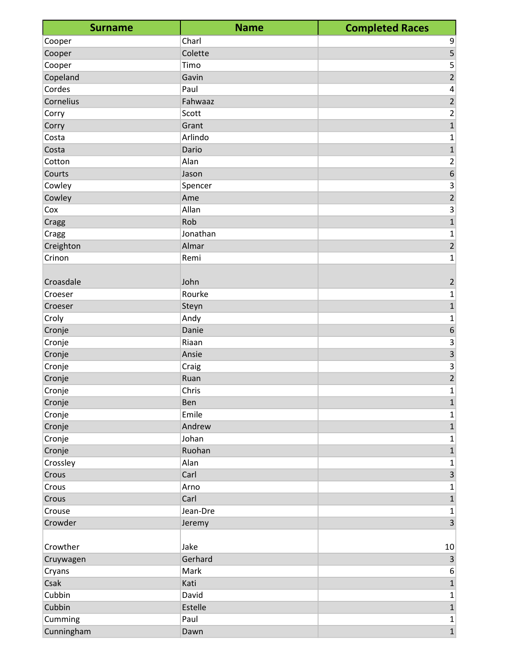| <b>Surname</b> | <b>Name</b> | <b>Completed Races</b>  |
|----------------|-------------|-------------------------|
| Cooper         | Charl       | 9                       |
| Cooper         | Colette     | 5                       |
| Cooper         | Timo        | 5                       |
| Copeland       | Gavin       | $\overline{2}$          |
| Cordes         | Paul        | 4                       |
| Cornelius      | Fahwaaz     | $\overline{2}$          |
| Corry          | Scott       | 2                       |
| Corry          | Grant       | $\mathbf 1$             |
| Costa          | Arlindo     | 1                       |
| Costa          | Dario       | $\mathbf{1}$            |
| Cotton         | Alan        | 2                       |
| Courts         | Jason       | $\boldsymbol{6}$        |
| Cowley         | Spencer     | 3                       |
| Cowley         | Ame         | $\overline{2}$          |
| Cox            | Allan       | 3                       |
| Cragg          | Rob         | $\mathbf{1}$            |
| Cragg          | Jonathan    | 1                       |
| Creighton      | Almar       | $\overline{2}$          |
| Crinon         | Remi        | 1                       |
|                |             |                         |
| Croasdale      | John        | $\overline{2}$          |
| Croeser        | Rourke      | 1                       |
| Croeser        | Steyn       | $\mathbf{1}$            |
| Croly          | Andy        | 1                       |
| Cronje         | Danie       | $\boldsymbol{6}$        |
| Cronje         | Riaan       | 3                       |
| Cronje         | Ansie       | 3                       |
| Cronje         | Craig       | 3                       |
| Cronje         | Ruan        | $\overline{2}$          |
| Cronje         | Chris       | $\mathbf 1$             |
| Cronje         | Ben         | $\overline{1}$          |
| Cronje         | Emile       | $\mathbf{1}$            |
| Cronje         | Andrew      | $\mathbf{1}$            |
| Cronje         | Johan       | 1                       |
| Cronje         | Ruohan      | $\overline{1}$          |
| Crossley       | Alan        | 1                       |
| Crous          | Carl        | $\overline{3}$          |
| Crous          | Arno        | 1                       |
| Crous          | Carl        | $\mathbf 1$             |
| Crouse         | Jean-Dre    | 1                       |
| Crowder        | Jeremy      | $\overline{\mathbf{3}}$ |
|                |             |                         |
| Crowther       | Jake        | 10                      |
| Cruywagen      | Gerhard     | $\overline{\mathbf{3}}$ |
| Cryans         | Mark        | 6                       |
| Csak           | Kati        | $\mathbf{1}$            |
| Cubbin         | David       | 1                       |
| Cubbin         | Estelle     | $\overline{1}$          |
| Cumming        | Paul        | $\mathbf{1}$            |
| Cunningham     | Dawn        | $\overline{1}$          |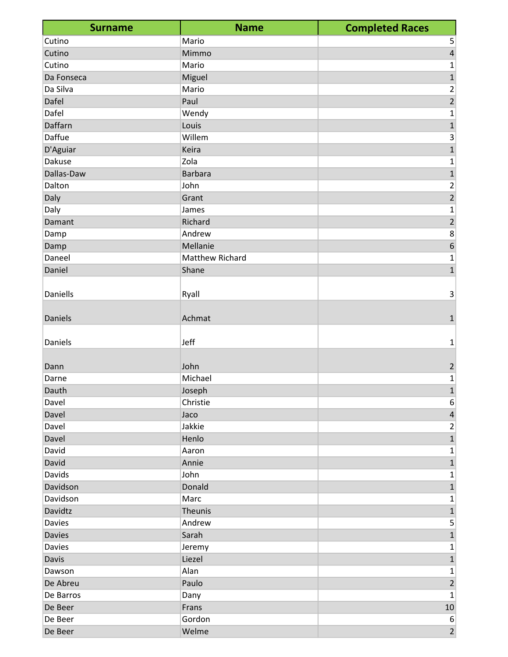| <b>Surname</b> | <b>Name</b>            | <b>Completed Races</b>  |
|----------------|------------------------|-------------------------|
| Cutino         | Mario                  | 5                       |
| Cutino         | Mimmo                  | $\overline{\mathbf{4}}$ |
| Cutino         | Mario                  | 1                       |
| Da Fonseca     | Miguel                 | $\mathbf{1}$            |
| Da Silva       | Mario                  | $\overline{\mathbf{c}}$ |
| Dafel          | Paul                   | $\overline{2}$          |
| Dafel          | Wendy                  | 1                       |
| Daffarn        | Louis                  | $\mathbf{1}$            |
| Daffue         | Willem                 | 3                       |
| D'Aguiar       | Keira                  | $\overline{1}$          |
| Dakuse         | Zola                   | 1                       |
| Dallas-Daw     | <b>Barbara</b>         | $\mathbf{1}$            |
| Dalton         | John                   | $\overline{\mathbf{c}}$ |
| Daly           | Grant                  | $\overline{2}$          |
| Daly           | James                  | $\mathbf 1$             |
| Damant         | Richard                | $\overline{2}$          |
| Damp           | Andrew                 | 8                       |
| Damp           | Mellanie               | $\boldsymbol{6}$        |
| Daneel         | <b>Matthew Richard</b> | 1                       |
| Daniel         | Shane                  | $\mathbf{1}$            |
|                |                        |                         |
| Daniells       | Ryall                  | 3                       |
|                |                        |                         |
| <b>Daniels</b> | Achmat                 | 1                       |
|                |                        |                         |
| Daniels        | Jeff                   | 1                       |
|                |                        |                         |
| Dann           | John                   | $\mathbf 2$             |
| Darne          | Michael                | 1                       |
| Dauth          | Joseph                 | $\mathbf{1}$            |
| Davel          | Christie               | 6                       |
| Davel          | Jaco                   | $\overline{4}$          |
| Davel          | Jakkie                 | 2                       |
| Davel          | Henlo                  | $\mathbf{1}$            |
| David          | Aaron                  | 1                       |
| David          | Annie                  | $\mathbf 1$             |
| Davids         | John                   | $\mathbf{1}$            |
| Davidson       | Donald                 | $\mathbf{1}$            |
| Davidson       | Marc                   | 1                       |
| Davidtz        | Theunis                | $\mathbf{1}$            |
| <b>Davies</b>  | Andrew                 | 5                       |
| <b>Davies</b>  | Sarah                  | $\mathbf{1}$            |
| <b>Davies</b>  | Jeremy                 | 1                       |
| Davis          | Liezel                 | $\mathbf 1$             |
| Dawson         | Alan                   | 1                       |
| De Abreu       | Paulo                  | $\overline{2}$          |
| De Barros      | Dany                   | 1                       |
| De Beer        | Frans                  | 10                      |
| De Beer        | Gordon                 | $6 \mid$                |
| De Beer        | Welme                  | $\overline{2}$          |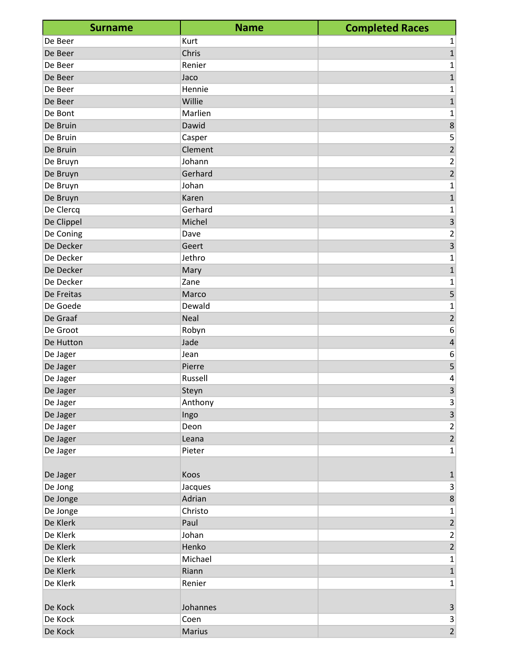| <b>Surname</b> | <b>Name</b> | <b>Completed Races</b>  |
|----------------|-------------|-------------------------|
| De Beer        | Kurt        | 1                       |
| De Beer        | Chris       | $\mathbf 1$             |
| De Beer        | Renier      | 1                       |
| De Beer        | Jaco        | $\mathbf 1$             |
| De Beer        | Hennie      | 1                       |
| De Beer        | Willie      | $\mathbf{1}$            |
| De Bont        | Marlien     | 1                       |
| De Bruin       | Dawid       | $\bf 8$                 |
| De Bruin       | Casper      | 5                       |
| De Bruin       | Clement     | $\overline{2}$          |
| De Bruyn       | Johann      | 2                       |
| De Bruyn       | Gerhard     | $\overline{2}$          |
| De Bruyn       | Johan       | 1                       |
| De Bruyn       | Karen       | $\mathbf 1$             |
| De Clercq      | Gerhard     | 1                       |
| De Clippel     | Michel      | 3                       |
| De Coning      | Dave        | 2                       |
| De Decker      | Geert       | 3                       |
| De Decker      | Jethro      | 1                       |
| De Decker      | Mary        | $\mathbf 1$             |
| De Decker      | Zane        | 1                       |
| De Freitas     | Marco       | 5                       |
| De Goede       | Dewald      | 1                       |
| De Graaf       | Neal        | $\overline{2}$          |
| De Groot       | Robyn       | 6                       |
| De Hutton      | Jade        | 4                       |
| De Jager       | Jean        | 6                       |
| De Jager       | Pierre      | 5                       |
| De Jager       | Russell     | 4                       |
| De Jager       | Steyn       | 3                       |
| De Jager       | Anthony     | 3                       |
| De Jager       | Ingo        | $\overline{3}$          |
| De Jager       | Deon        | $\overline{\mathbf{c}}$ |
| De Jager       | Leana       | $\overline{2}$          |
| De Jager       | Pieter      | 1                       |
|                |             |                         |
| De Jager       | Koos        | $\mathbf 1$             |
| De Jong        | Jacques     | 3                       |
| De Jonge       | Adrian      | $\overline{8}$          |
| De Jonge       | Christo     | 1                       |
| De Klerk       | Paul        | $\overline{2}$          |
| De Klerk       | Johan       | 2                       |
| De Klerk       | Henko       | $\overline{2}$          |
| De Klerk       | Michael     | 1                       |
| De Klerk       | Riann       | $\mathbf 1$             |
| De Klerk       | Renier      | 1                       |
|                |             |                         |
| De Kock        | Johannes    | $\mathsf 3$             |
| De Kock        | Coen        | 3                       |
| De Kock        | Marius      | $\overline{2}$          |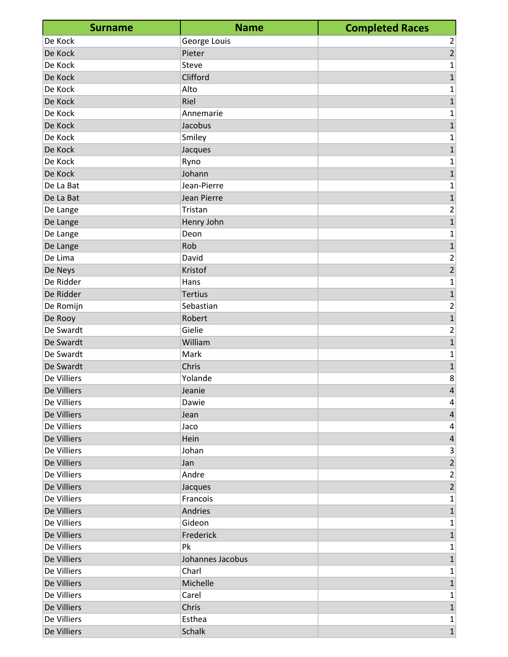| <b>Surname</b> | <b>Name</b>      | <b>Completed Races</b>    |
|----------------|------------------|---------------------------|
| De Kock        | George Louis     | $\overline{2}$            |
| De Kock        | Pieter           | $\sqrt{2}$                |
| De Kock        | Steve            | $\mathbf 1$               |
| De Kock        | Clifford         | $\overline{1}$            |
| De Kock        | Alto             | 1                         |
| De Kock        | Riel             | $\mathbf{1}$              |
| De Kock        | Annemarie        | 1                         |
| De Kock        | Jacobus          | $\mathbf 1$               |
| De Kock        | Smiley           | $\mathbf 1$               |
| De Kock        | Jacques          | $\mathbf{1}$              |
| De Kock        | Ryno             | 1                         |
| De Kock        | Johann           | $\overline{1}$            |
| De La Bat      | Jean-Pierre      | $\mathbf 1$               |
| De La Bat      | Jean Pierre      | $\mathbf{1}$              |
| De Lange       | Tristan          | $\overline{c}$            |
| De Lange       | Henry John       | $\overline{1}$            |
| De Lange       | Deon             | 1                         |
| De Lange       | Rob              | $\mathbf{1}$              |
| De Lima        | David            | $\mathbf 2$               |
| De Neys        | Kristof          | $\overline{2}$            |
| De Ridder      | Hans             | $\mathbf{1}$              |
| De Ridder      | <b>Tertius</b>   | $\overline{1}$            |
| De Romijn      | Sebastian        | $\mathbf 2$               |
| De Rooy        | Robert           | $\overline{1}$            |
| De Swardt      | Gielie           | $\mathbf 2$               |
| De Swardt      | William          | $\overline{1}$            |
| De Swardt      | Mark             | $\mathbf 1$               |
| De Swardt      | Chris            | $\mathbf{1}$              |
| De Villiers    | Yolande          | 8                         |
| De Villiers    | Jeanie           | 4                         |
| De Villiers    | Dawie            | 4                         |
| De Villiers    | Jean             | $\sqrt{4}$                |
| De Villiers    | Jaco             | $\overline{\mathbf{4}}$   |
| De Villiers    | Hein             | $\overline{\mathbf{4}}$   |
| De Villiers    | Johan            | $\ensuremath{\mathsf{3}}$ |
| De Villiers    | Jan              | $\overline{2}$            |
| De Villiers    | Andre            | $\mathbf 2$               |
| De Villiers    | Jacques          | $\overline{2}$            |
| De Villiers    | Francois         | $\mathbf 1$               |
| De Villiers    | Andries          | $\mathbf 1$               |
| De Villiers    | Gideon           | 1                         |
| De Villiers    | Frederick        | $\mathbf 1$               |
| De Villiers    | Pk               | $\mathbf{1}$              |
| De Villiers    | Johannes Jacobus | $\mathbf 1$               |
| De Villiers    | Charl            | $\mathbf 1$               |
| De Villiers    | Michelle         | $\mathbf{1}$              |
| De Villiers    | Carel            | $\mathbf{1}$              |
| De Villiers    | Chris            | $\mathbf 1$               |
| De Villiers    | Esthea           | $\mathbf{1}$              |
| De Villiers    | <b>Schalk</b>    | $\overline{1}$            |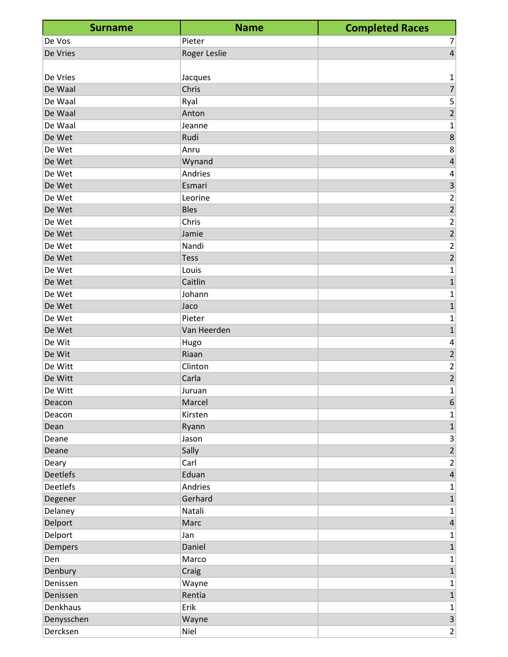| <b>Surname</b>  | <b>Name</b>  | <b>Completed Races</b>  |
|-----------------|--------------|-------------------------|
| De Vos          | Pieter       | 7                       |
| De Vries        | Roger Leslie | $\overline{\mathbf{r}}$ |
|                 |              |                         |
| De Vries        | Jacques      | 1                       |
| De Waal         | Chris        | $\overline{7}$          |
| De Waal         | Ryal         | 5                       |
| De Waal         | Anton        | $\overline{2}$          |
| De Waal         | Jeanne       | 1                       |
| De Wet          | Rudi         | 8                       |
| De Wet          | Anru         | 8                       |
| De Wet          | Wynand       | $\sqrt{4}$              |
| De Wet          | Andries      | 4                       |
| De Wet          | Esmari       | $\mathsf 3$             |
| De Wet          | Leorine      | 2                       |
| De Wet          | <b>Bles</b>  | $\overline{2}$          |
| De Wet          | Chris        | $\overline{\mathbf{c}}$ |
| De Wet          | Jamie        | $\overline{2}$          |
| De Wet          | Nandi        | $\overline{\mathbf{c}}$ |
| De Wet          | Tess         | $\overline{2}$          |
| De Wet          | Louis        | 1                       |
| De Wet          | Caitlin      | $\mathbf{1}$            |
| De Wet          | Johann       | 1                       |
| De Wet          | Jaco         | $\mathbf{1}$            |
| De Wet          | Pieter       | 1                       |
| De Wet          | Van Heerden  | $\mathbf 1$             |
| De Wit          | Hugo         | 4                       |
| De Wit          | Riaan        | $\overline{2}$          |
| De Witt         | Clinton      | 2                       |
| De Witt         | Carla        | $\overline{2}$          |
| De Witt         | Juruan       | $\mathbf 1$             |
| Deacon          | Marcel       | $\boldsymbol{6}$        |
| Deacon          | Kirsten      | 1                       |
| Dean            | Ryann        | $\mathbf{1}$            |
| Deane           | Jason        | 3                       |
| Deane           | Sally        | $\overline{2}$          |
| Deary           | Carl         | $\overline{c}$          |
| <b>Deetlefs</b> | Eduan        | $\overline{4}$          |
| Deetlefs        | Andries      | 1                       |
| Degener         | Gerhard      | $\mathbf{1}$            |
| Delaney         | Natali       | 1                       |
| Delport         | Marc         | $\overline{\mathbf{4}}$ |
| Delport         | Jan          | 1                       |
| Dempers         | Daniel       | $\mathbf{1}$            |
| Den             | Marco        | 1                       |
| Denbury         | Craig        | $\mathbf{1}$            |
| Denissen        | Wayne        | 1                       |
| Denissen        | Rentia       | $\mathbf 1$             |
| Denkhaus        | Erik         | 1                       |
| Denysschen      | Wayne        | $\overline{\mathbf{3}}$ |
| Dercksen        | <b>Niel</b>  | $\overline{2}$          |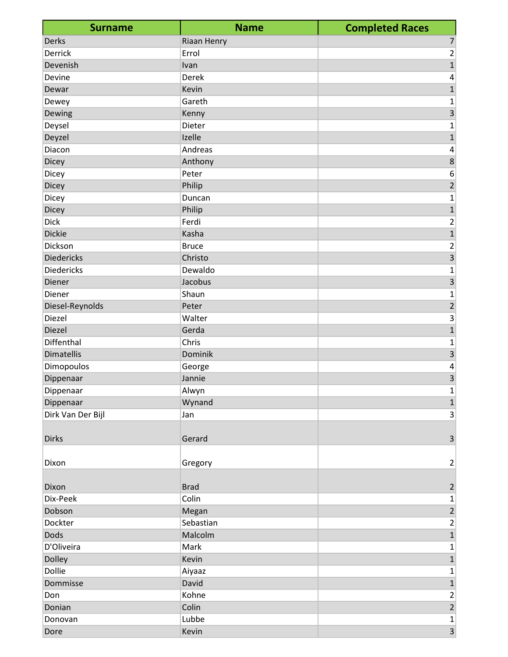| <b>Surname</b>    | <b>Name</b>  | <b>Completed Races</b>  |
|-------------------|--------------|-------------------------|
| <b>Derks</b>      | Riaan Henry  | 7                       |
| Derrick           | Errol        | 2                       |
| Devenish          | Ivan         | $\mathbf{1}$            |
| Devine            | Derek        | 4                       |
| Dewar             | Kevin        | $\mathbf 1$             |
| Dewey             | Gareth       | 1                       |
| Dewing            | Kenny        | 3                       |
| Deysel            | Dieter       | 1                       |
| Deyzel            | Izelle       | $\mathbf 1$             |
| Diacon            | Andreas      | 4                       |
| Dicey             | Anthony      | 8                       |
| Dicey             | Peter        | 6                       |
| <b>Dicey</b>      | Philip       | $\overline{2}$          |
| Dicey             | Duncan       | 1                       |
| Dicey             | Philip       | $\mathbf 1$             |
| <b>Dick</b>       | Ferdi        | 2                       |
| <b>Dickie</b>     | Kasha        | $\mathbf{1}$            |
| Dickson           | <b>Bruce</b> | $\overline{\mathbf{c}}$ |
| <b>Diedericks</b> | Christo      | $\overline{3}$          |
| Diedericks        | Dewaldo      | 1                       |
| Diener            | Jacobus      | 3                       |
| Diener            | Shaun        | 1                       |
| Diesel-Reynolds   | Peter        | $\overline{2}$          |
| Diezel            | Walter       | 3                       |
| Diezel            | Gerda        | $\mathbf{1}$            |
| Diffenthal        | Chris        | 1                       |
| Dimatellis        | Dominik      | 3                       |
| Dimopoulos        | George       | 4                       |
| Dippenaar         | Jannie       | 3                       |
| Dippenaar         | Alwyn        | $\mathbf 1$             |
| Dippenaar         | Wynand       | $\overline{1}$          |
| Dirk Van Der Bijl | Jan          | $\overline{3}$          |
|                   |              |                         |
| <b>Dirks</b>      | Gerard       | $\overline{3}$          |
| Dixon             | Gregory      | 2                       |
|                   |              |                         |
| Dixon             | <b>Brad</b>  | $\overline{2}$          |
| Dix-Peek          | Colin        | $\mathbf 1$             |
| Dobson            | Megan        | $\overline{2}$          |
| Dockter           | Sebastian    | $\overline{\mathbf{c}}$ |
| Dods              | Malcolm      | $\overline{1}$          |
| D'Oliveira        | Mark         | 1                       |
| Dolley            | Kevin        | $\mathbf 1$             |
| Dollie            | Aiyaaz       | 1                       |
| Dommisse          | David        | $\mathbf 1$             |
| Don               | Kohne        | $\overline{\mathbf{c}}$ |
| Donian            | Colin        | $\overline{2}$          |
| Donovan           | Lubbe        | $\mathbf{1}$            |
| Dore              | Kevin        | $\overline{3}$          |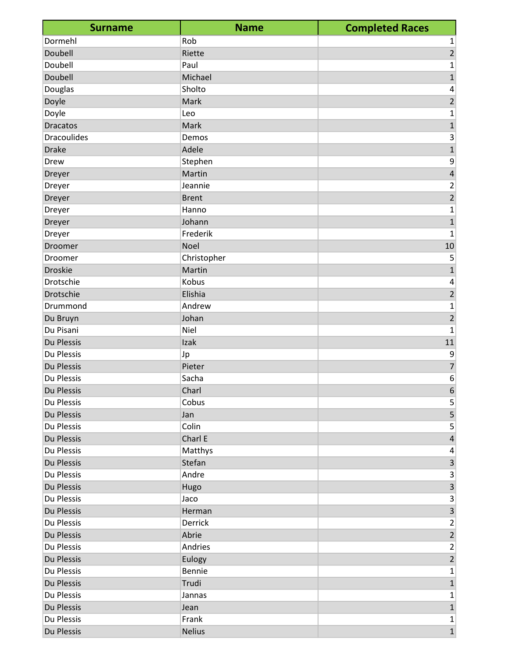| <b>Surname</b>     | <b>Name</b>   | <b>Completed Races</b>    |
|--------------------|---------------|---------------------------|
| Dormehl            | Rob           | 1                         |
| Doubell            | Riette        | $\mathbf 2$               |
| Doubell            | Paul          | $\mathbf 1$               |
| Doubell            | Michael       | $\mathbf{1}$              |
| Douglas            | Sholto        | 4                         |
| Doyle              | Mark          | $\overline{2}$            |
| Doyle              | Leo           | $\mathbf 1$               |
| <b>Dracatos</b>    | Mark          | $\mathbf 1$               |
| <b>Dracoulides</b> | Demos         | 3                         |
| <b>Drake</b>       | Adele         | $\mathbf{1}$              |
| Drew               | Stephen       | 9                         |
| Dreyer             | Martin        | $\overline{\mathbf{r}}$   |
| Dreyer             | Jeannie       | $\overline{\mathbf{c}}$   |
| Dreyer             | <b>Brent</b>  | $\overline{2}$            |
| Dreyer             | Hanno         | $\mathbf 1$               |
| Dreyer             | Johann        | $\mathbf{1}$              |
| Dreyer             | Frederik      | 1                         |
| Droomer            | Noel          | 10                        |
| Droomer            | Christopher   | 5                         |
| <b>Droskie</b>     | Martin        | $\mathbf 1$               |
| Drotschie          | Kobus         | 4                         |
| Drotschie          | Elishia       | $\overline{2}$            |
| Drummond           | Andrew        | $\mathbf 1$               |
| Du Bruyn           | Johan         | $\overline{c}$            |
| Du Pisani          | Niel          | $\mathbf{1}$              |
| Du Plessis         | Izak          | 11                        |
| Du Plessis         | Jp            | 9                         |
| Du Plessis         | Pieter        | $\overline{7}$            |
| Du Plessis         | Sacha         | 6                         |
| Du Plessis         | Charl         | $\sqrt{6}$                |
| Du Plessis         | Cobus         | 5                         |
| Du Plessis         | Jan           | 5                         |
| Du Plessis         | Colin         | 5 <sup>1</sup>            |
| Du Plessis         | Charl E       | $\sqrt{4}$                |
| Du Plessis         | Matthys       | 4                         |
| Du Plessis         | Stefan        | $\mathsf 3$               |
| Du Plessis         | Andre         | 3                         |
| Du Plessis         | Hugo          | $\overline{\mathbf{3}}$   |
| Du Plessis         | Jaco          | $\ensuremath{\mathsf{3}}$ |
| Du Plessis         | Herman        | $\overline{3}$            |
| Du Plessis         | Derrick       | $\overline{2}$            |
| Du Plessis         | Abrie         | $\overline{2}$            |
| Du Plessis         | Andries       | $\mathbf{2}$              |
| Du Plessis         | Eulogy        | $\overline{2}$            |
| Du Plessis         | Bennie        | $\mathbf 1$               |
| Du Plessis         | Trudi         | $\mathbf{1}$              |
| Du Plessis         | Jannas        | $\mathbf 1$               |
| Du Plessis         | Jean          | $\mathbf 1$               |
| Du Plessis         | Frank         | $\mathbf{1}$              |
| Du Plessis         | <b>Nelius</b> | $\mathbf 1$               |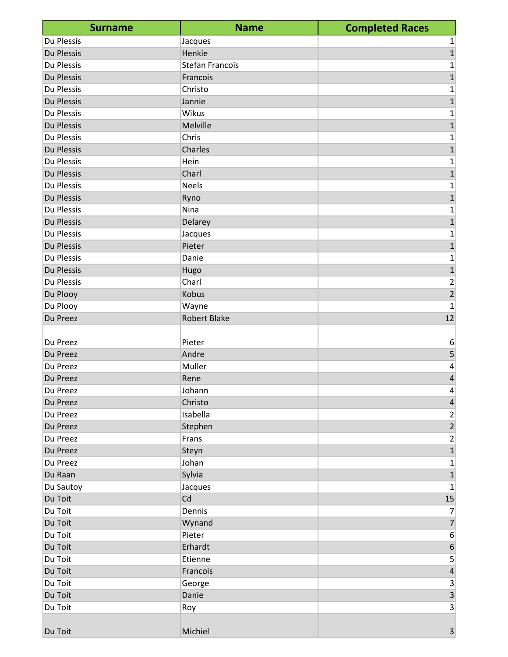| <b>Surname</b>    | <b>Name</b>            | <b>Completed Races</b>  |
|-------------------|------------------------|-------------------------|
| Du Plessis        | Jacques                | 1                       |
| Du Plessis        | Henkie                 | 1                       |
| Du Plessis        | <b>Stefan Francois</b> | 1                       |
| Du Plessis        | Francois               | $\mathbf{1}$            |
| Du Plessis        | Christo                | 1                       |
| Du Plessis        | Jannie                 | $\mathbf{1}$            |
| Du Plessis        | Wikus                  | 1                       |
| Du Plessis        | Melville               | $\mathbf 1$             |
| Du Plessis        | Chris                  | 1                       |
| Du Plessis        | Charles                | $\mathbf{1}$            |
| Du Plessis        | Hein                   | 1                       |
| Du Plessis        | Charl                  | $\mathbf 1$             |
| Du Plessis        | <b>Neels</b>           | 1                       |
| Du Plessis        | Ryno                   | $\mathbf 1$             |
| Du Plessis        | Nina                   | 1                       |
| <b>Du Plessis</b> | Delarey                | $\mathbf 1$             |
| Du Plessis        | Jacques                | 1                       |
| Du Plessis        | Pieter                 | $\mathbf{1}$            |
| Du Plessis        | Danie                  | 1                       |
| Du Plessis        | Hugo                   | $\mathbf{1}$            |
| Du Plessis        | Charl                  | 2                       |
| Du Plooy          | Kobus                  | $\overline{2}$          |
| Du Plooy          | Wayne                  | $\mathbf 1$             |
| Du Preez          | <b>Robert Blake</b>    | 12                      |
|                   |                        |                         |
| Du Preez          | Pieter                 | 6                       |
| Du Preez          | Andre                  | 5                       |
| Du Preez          | Muller                 | 4                       |
| Du Preez          | Rene                   | 4                       |
| Du Preez          | Johann                 | 4                       |
| Du Preez          | Christo                | $\overline{\mathbf{4}}$ |
| Du Preez          | Isabella               | 2                       |
| Du Preez          | Stephen                | $\overline{2}$          |
| Du Preez          | Frans                  | $\overline{\mathbf{c}}$ |
| Du Preez          | Steyn                  | $\overline{1}$          |
| Du Preez          | Johan                  | 1                       |
| Du Raan           | Sylvia                 | $\mathbf{1}$            |
| Du Sautoy         | Jacques                |                         |
| Du Toit           | Cd                     | 1<br>15                 |
| Du Toit           | Dennis                 |                         |
|                   |                        | 7<br>$\overline{7}$     |
| Du Toit           | Wynand                 |                         |
| Du Toit           | Pieter                 | 6                       |
| Du Toit           | Erhardt                | $\boldsymbol{6}$        |
| Du Toit           | Etienne                | 5                       |
| Du Toit           | Francois               | $\overline{4}$          |
| Du Toit           | George                 | 3                       |
| Du Toit           | Danie                  | $\overline{3}$          |
| Du Toit           | Roy                    | 3                       |
|                   |                        |                         |
| Du Toit           | Michiel                | 3 <sup>1</sup>          |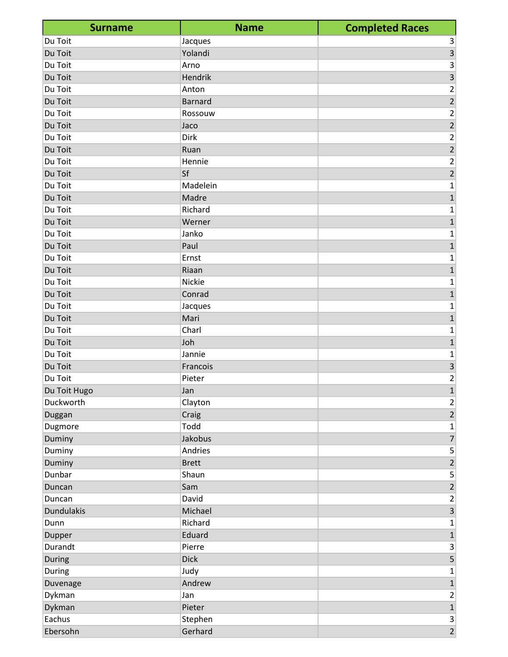| <b>Surname</b>    | <b>Name</b>    | <b>Completed Races</b>    |
|-------------------|----------------|---------------------------|
| Du Toit           | Jacques        | 3                         |
| Du Toit           | Yolandi        | $\overline{\mathbf{3}}$   |
| Du Toit           | Arno           | $\ensuremath{\mathsf{3}}$ |
| Du Toit           | Hendrik        | $\overline{\mathbf{3}}$   |
| Du Toit           | Anton          | $\overline{c}$            |
| Du Toit           | <b>Barnard</b> | $\overline{2}$            |
| Du Toit           | Rossouw        | $\overline{\mathbf{c}}$   |
| Du Toit           | Jaco           | $\overline{2}$            |
| Du Toit           | Dirk           | $\overline{\mathbf{c}}$   |
| Du Toit           | Ruan           | $\overline{\mathbf{c}}$   |
| Du Toit           | Hennie         |                           |
| Du Toit           | Sf             | $\frac{2}{2}$             |
| Du Toit           | Madelein       | $\mathbf 1$               |
| Du Toit           | Madre          | $\mathbf{1}$              |
| Du Toit           | Richard        | $\mathbf 1$               |
| Du Toit           | Werner         | $\mathbf{1}$              |
| Du Toit           | Janko          | 1                         |
| Du Toit           | Paul           | $\overline{1}$            |
| Du Toit           | Ernst          | $\mathbf 1$               |
| Du Toit           | Riaan          | $\mathbf 1$               |
| Du Toit           | Nickie         | $\mathbf 1$               |
| Du Toit           | Conrad         | $\overline{1}$            |
| Du Toit           | Jacques        | $\mathbf 1$               |
| Du Toit           | Mari           | $\overline{1}$            |
| Du Toit           | Charl          | $\mathbf 1$               |
| Du Toit           | Joh            | $\mathbf{1}$              |
| Du Toit           | Jannie         | $\mathbf 1$               |
| Du Toit           | Francois       | $\overline{\mathbf{3}}$   |
| Du Toit           | Pieter         | $\overline{\mathbf{c}}$   |
| Du Toit Hugo      | Jan            | $\mathbf 1$               |
| Duckworth         | Clayton        | $\overline{2}$            |
| Duggan            | Craig          | $\sqrt{2}$                |
| Dugmore           | Todd           | $\mathbf 1$               |
| Duminy            | Jakobus        | $\overline{7}$            |
| Duminy            | Andries        | $\mathsf{5}$              |
| Duminy            | <b>Brett</b>   | $\overline{2}$            |
| Dunbar            | Shaun          | 5                         |
| Duncan            | Sam            | $\overline{2}$            |
| Duncan            | David          | $\sqrt{2}$                |
| <b>Dundulakis</b> | Michael        | $\overline{3}$            |
| Dunn              | Richard        | 1                         |
| Dupper            | Eduard         | $\mathbf 1$               |
| Durandt           | Pierre         | $\ensuremath{\mathsf{3}}$ |
| During            | <b>Dick</b>    | 5                         |
| During            | Judy           | $\mathbf 1$               |
| Duvenage          | Andrew         | $\mathbf 1$               |
| Dykman            | Jan            | $\overline{2}$            |
| Dykman            | Pieter         | $\mathbf 1$               |
| Eachus            | Stephen        | $\mathbf{3}$              |
| Ebersohn          | Gerhard        | $\overline{2}$            |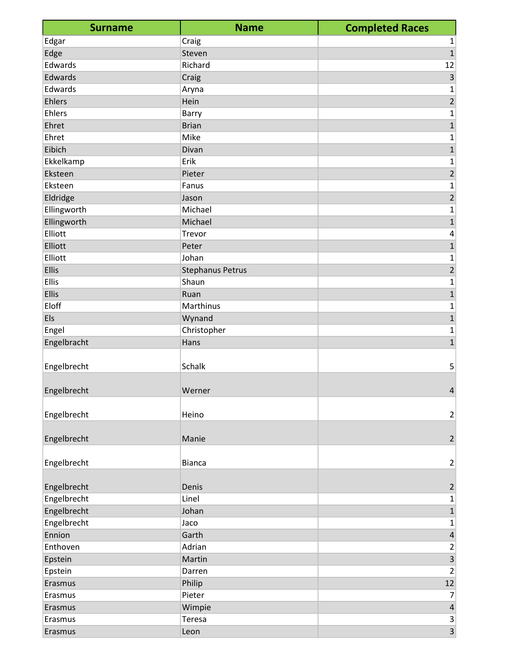| <b>Surname</b> | <b>Name</b>             | <b>Completed Races</b>   |
|----------------|-------------------------|--------------------------|
| Edgar          | Craig                   | 1                        |
| Edge           | Steven                  | $\mathbf{1}$             |
| Edwards        | Richard                 | 12                       |
| Edwards        | Craig                   | 3                        |
| Edwards        | Aryna                   | 1                        |
| Ehlers         | Hein                    | $\overline{2}$           |
| <b>Ehlers</b>  | Barry                   | 1                        |
| Ehret          | <b>Brian</b>            | $\mathbf{1}$             |
| Ehret          | Mike                    | 1                        |
| Eibich         | Divan                   | $\mathbf{1}$             |
| Ekkelkamp      | Erik                    | 1                        |
| Eksteen        | Pieter                  | $\overline{2}$           |
| Eksteen        | Fanus                   | 1                        |
| Eldridge       | Jason                   | $\overline{2}$           |
| Ellingworth    | Michael                 | $\mathbf 1$              |
| Ellingworth    | Michael                 | $\mathbf{1}$             |
| Elliott        | Trevor                  | 4                        |
| Elliott        | Peter                   | $\mathbf{1}$             |
| Elliott        | Johan                   | 1                        |
| Ellis          | <b>Stephanus Petrus</b> | $\overline{2}$           |
| <b>Ellis</b>   | Shaun                   | 1                        |
| Ellis          | Ruan                    | $\mathbf{1}$             |
| Eloff          | Marthinus               | 1                        |
| Els            | Wynand                  | $\mathbf{1}$             |
| Engel          | Christopher             | 1                        |
| Engelbracht    | Hans                    | $\mathbf{1}$             |
| Engelbrecht    | Schalk                  | 5                        |
| Engelbrecht    | Werner                  | $\overline{\mathcal{L}}$ |
| Engelbrecht    | Heino                   | $\overline{2}$           |
| Engelbrecht    | Manie                   | $\overline{2}$           |
| Engelbrecht    | <b>Bianca</b>           | $\overline{2}$           |
| Engelbrecht    | Denis                   | $\overline{2}$           |
| Engelbrecht    | Linel                   | $\mathbf 1$              |
| Engelbrecht    | Johan                   | $\mathbf{1}$             |
| Engelbrecht    | Jaco                    | 1                        |
| Ennion         | Garth                   | $\sqrt{4}$               |
| Enthoven       | Adrian                  | $\overline{\mathbf{c}}$  |
| Epstein        | Martin                  | $\overline{3}$           |
| Epstein        | Darren                  | $\overline{2}$           |
| Erasmus        | Philip                  | 12                       |
| Erasmus        | Pieter                  | 7                        |
| Erasmus        | Wimpie                  | $\sqrt{4}$               |
| Erasmus        | Teresa                  | 3                        |
| Erasmus        | Leon                    | $\overline{3}$           |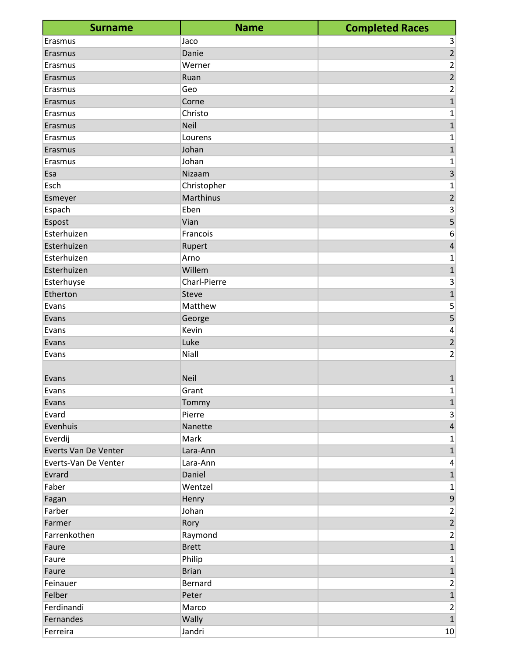| <b>Surname</b>       | <b>Name</b>  | <b>Completed Races</b>  |
|----------------------|--------------|-------------------------|
| Erasmus              | Jaco         | 3                       |
| Erasmus              | Danie        | $\overline{2}$          |
| Erasmus              | Werner       | $\overline{\mathbf{c}}$ |
| Erasmus              | Ruan         | $\overline{2}$          |
| Erasmus              | Geo          | 2                       |
| Erasmus              | Corne        | $\mathbf{1}$            |
| Erasmus              | Christo      | 1                       |
| Erasmus              | Neil         | $\mathbf{1}$            |
| Erasmus              | Lourens      | 1                       |
| Erasmus              | Johan        | $\mathbf{1}$            |
| Erasmus              | Johan        | 1                       |
| Esa                  | Nizaam       | 3                       |
| Esch                 | Christopher  | 1                       |
| Esmeyer              | Marthinus    | $\overline{2}$          |
| Espach               | Eben         | 3                       |
| Espost               | Vian         | 5                       |
| Esterhuizen          | Francois     | 6                       |
| Esterhuizen          | Rupert       | 4                       |
| Esterhuizen          | Arno         | 1                       |
| Esterhuizen          | Willem       | $\mathbf 1$             |
| Esterhuyse           | Charl-Pierre | 3                       |
| Etherton             | Steve        | $\mathbf{1}$            |
| Evans                | Matthew      | 5                       |
| Evans                | George       | 5                       |
| Evans                | Kevin        | 4                       |
| Evans                | Luke         | $\overline{2}$          |
| Evans                | Niall        | $\overline{2}$          |
|                      |              |                         |
| Evans                | <b>Neil</b>  | 1                       |
| Evans                | Grant        | 1                       |
| Evans                | Tommy        | $\overline{1}$          |
| Evard                | Pierre       | $\overline{\mathbf{3}}$ |
| Evenhuis             | Nanette      | $\overline{4}$          |
| Everdij              | Mark         | 1                       |
| Everts Van De Venter | Lara-Ann     | $\mathbf{1}$            |
| Everts-Van De Venter | Lara-Ann     | 4                       |
| Evrard               | Daniel       | $\mathbf{1}$            |
| Faber                | Wentzel      | 1                       |
| Fagan                | Henry        | 9                       |
| Farber               | Johan        | $\overline{2}$          |
| Farmer               | Rory         | $\overline{2}$          |
| Farrenkothen         | Raymond      | $\overline{2}$          |
| Faure                | <b>Brett</b> | $\mathbf 1$             |
| Faure                | Philip       | 1                       |
| Faure                | <b>Brian</b> | $\mathbf 1$             |
| Feinauer             | Bernard      | 2                       |
| Felber               | Peter        | $\mathbf{1}$            |
| Ferdinandi           | Marco        | $\overline{2}$          |
| Fernandes            | Wally        | $\mathbf{1}$            |
| Ferreira             | Jandri       | 10                      |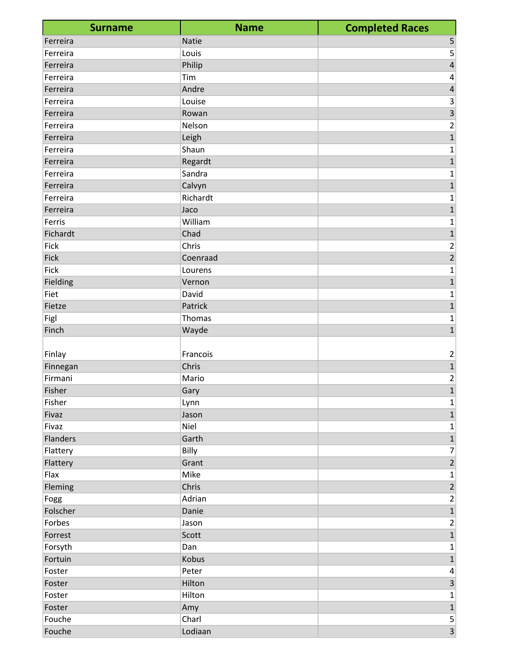| <b>Surname</b>  | <b>Name</b>  | <b>Completed Races</b>  |
|-----------------|--------------|-------------------------|
| Ferreira        | <b>Natie</b> | 5                       |
| Ferreira        | Louis        | 5                       |
| Ferreira        | Philip       | $\overline{\mathbf{4}}$ |
| Ferreira        | Tim          | 4                       |
| Ferreira        | Andre        | $\overline{\mathbf{r}}$ |
| Ferreira        | Louise       | 3                       |
| Ferreira        | Rowan        | $\overline{\mathbf{3}}$ |
| Ferreira        | Nelson       | $\overline{\mathbf{c}}$ |
| Ferreira        | Leigh        | $\mathbf{1}$            |
| Ferreira        | Shaun        | 1                       |
| Ferreira        | Regardt      | $\mathbf{1}$            |
| Ferreira        | Sandra       | 1                       |
| Ferreira        | Calvyn       | $\mathbf{1}$            |
| Ferreira        | Richardt     | 1                       |
| Ferreira        | Jaco         | $\mathbf{1}$            |
| Ferris          | William      | 1                       |
| Fichardt        | Chad         | $\mathbf{1}$            |
| Fick            | Chris        | $\overline{\mathbf{c}}$ |
| <b>Fick</b>     | Coenraad     | $\overline{2}$          |
| Fick            | Lourens      | $\mathbf 1$             |
| Fielding        | Vernon       | $\mathbf 1$             |
| Fiet            | David        | 1                       |
| Fietze          | Patrick      | $\overline{1}$          |
| Figl            | Thomas       | 1                       |
| Finch           | Wayde        | $\mathbf{1}$            |
|                 |              |                         |
| Finlay          | Francois     | $\overline{\mathbf{c}}$ |
| Finnegan        | Chris        | $\mathbf{1}$            |
| Firmani         | Mario        | 2                       |
| Fisher          | Gary         | $\mathbf{1}$            |
| Fisher          | Lynn         | 1                       |
| Fivaz           | Jason        | $\overline{1}$          |
| Fivaz           | Niel         | 1                       |
| <b>Flanders</b> | Garth        | $\mathbf 1$             |
| Flattery        | Billy        | 7                       |
| Flattery        | Grant        | $\overline{2}$          |
| Flax            | Mike         | 1                       |
| Fleming         | Chris        | $\overline{2}$          |
| Fogg            | Adrian       | $\overline{2}$          |
| Folscher        | Danie        | $\mathbf{1}$            |
| Forbes          | Jason        | 2                       |
| Forrest         | Scott        | $\overline{1}$          |
| Forsyth         | Dan          | 1                       |
| Fortuin         | Kobus        | $\mathbf 1$             |
| Foster          | Peter        | 4                       |
| Foster          | Hilton       | $\overline{\mathbf{3}}$ |
| Foster          | Hilton       | 1                       |
| Foster          | Amy          | $\overline{1}$          |
| Fouche          | Charl        | $\mathsf{S}$            |
| Fouche          | Lodiaan      | $\overline{3}$          |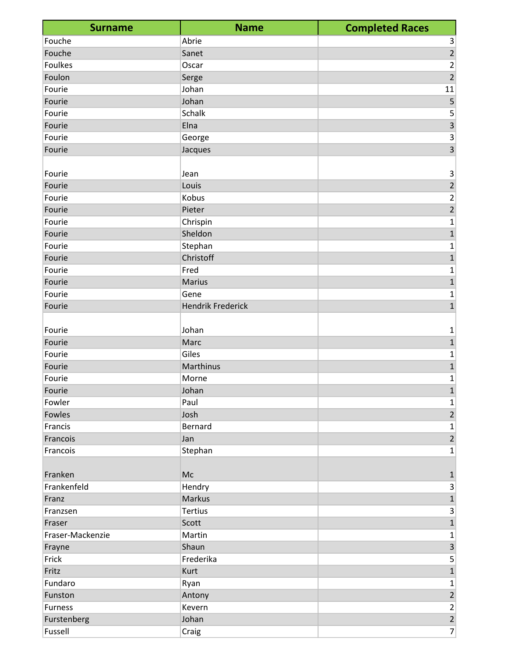| <b>Surname</b>   | <b>Name</b>              | <b>Completed Races</b>  |
|------------------|--------------------------|-------------------------|
| Fouche           | Abrie                    | 3                       |
| Fouche           | Sanet                    | $\overline{2}$          |
| <b>Foulkes</b>   | Oscar                    | $\overline{\mathbf{c}}$ |
| Foulon           | Serge                    | $\overline{2}$          |
| Fourie           | Johan                    | 11                      |
| Fourie           | Johan                    | 5                       |
| Fourie           | Schalk                   | 5                       |
| Fourie           | Elna                     | $\overline{\mathbf{3}}$ |
| Fourie           | George                   | 3                       |
| Fourie           | Jacques                  | $\overline{3}$          |
|                  |                          |                         |
| Fourie           | Jean                     | 3                       |
| Fourie           | Louis                    | $\overline{2}$          |
| Fourie           | Kobus                    | $\overline{c}$          |
| Fourie           | Pieter                   | $\overline{2}$          |
| Fourie           | Chrispin                 | 1                       |
| Fourie           | Sheldon                  | $\mathbf{1}$            |
| Fourie           | Stephan                  | 1                       |
| Fourie           | Christoff                | $\mathbf{1}$            |
| Fourie           | Fred                     | 1                       |
| Fourie           | <b>Marius</b>            | 1                       |
| Fourie           | Gene                     | 1                       |
| Fourie           | <b>Hendrik Frederick</b> | $\overline{1}$          |
|                  |                          |                         |
| Fourie           | Johan                    | 1                       |
| Fourie           | Marc                     | $\mathbf{1}$            |
| Fourie           | Giles                    | $\mathbf 1$             |
| Fourie           | Marthinus                | $\mathbf 1$             |
| Fourie           | Morne                    | 1                       |
| Fourie           | Johan                    | $\mathbf{1}$            |
| Fowler<br>Fowles | Paul<br>Josh             | 1<br>$\overline{2}$     |
|                  |                          |                         |
| Francis          | Bernard                  | 1<br>$\overline{2}$     |
| Francois         | Jan                      |                         |
| Francois         | Stephan                  | 1                       |
| Franken          | Mc                       | $\mathbf 1$             |
| Frankenfeld      | Hendry                   | 3                       |
| Franz            | Markus                   | $\overline{1}$          |
| Franzsen         | <b>Tertius</b>           | 3                       |
| Fraser           | Scott                    | $\mathbf{1}$            |
| Fraser-Mackenzie | Martin                   | 1                       |
| Frayne           | Shaun                    | $\overline{\mathbf{3}}$ |
| Frick            | Frederika                | 5                       |
| Fritz            | Kurt                     | $\mathbf 1$             |
| Fundaro          | Ryan                     | 1                       |
| Funston          | Antony                   | $\overline{2}$          |
| <b>Furness</b>   | Kevern                   | $\overline{c}$          |
| Furstenberg      | Johan                    | $\overline{2}$          |
| Fussell          | Craig                    | $\overline{7}$          |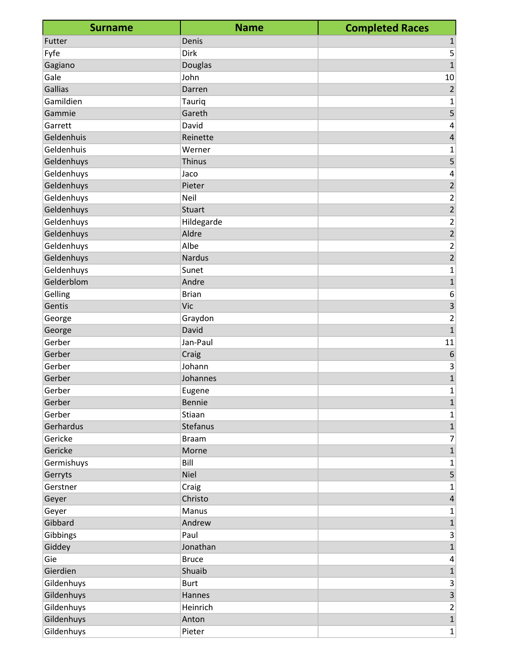| <b>Surname</b> | <b>Name</b>   | <b>Completed Races</b>    |
|----------------|---------------|---------------------------|
| Futter         | Denis         | $\mathbf{1}$              |
| Fyfe           | Dirk          | 5                         |
| Gagiano        | Douglas       | $\overline{1}$            |
| Gale           | John          | 10                        |
| Gallias        | Darren        | $\sqrt{2}$                |
| Gamildien      | Tauriq        | $\mathbf 1$               |
| Gammie         | Gareth        | 5                         |
| Garrett        | David         | $\overline{\mathbf{r}}$   |
| Geldenhuis     | Reinette      | $\overline{4}$            |
| Geldenhuis     | Werner        | $\mathbf 1$               |
| Geldenhuys     | Thinus        | 5                         |
| Geldenhuys     | Jaco          | $\pmb{4}$                 |
| Geldenhuys     | Pieter        | $\overline{2}$            |
| Geldenhuys     | Neil          | $\frac{2}{2}$             |
| Geldenhuys     | Stuart        |                           |
| Geldenhuys     | Hildegarde    | $\mathbf 2$               |
| Geldenhuys     | Aldre         | $\overline{\mathbf{c}}$   |
| Geldenhuys     | Albe          | $\mathbf 2$               |
| Geldenhuys     | <b>Nardus</b> | $\overline{2}$            |
| Geldenhuys     | Sunet         | $\mathbf{1}$              |
| Gelderblom     | Andre         | $\overline{1}$            |
| Gelling        | <b>Brian</b>  | $\boldsymbol{6}$          |
| Gentis         | Vic           | $\overline{\mathbf{3}}$   |
| George         | Graydon       | $\overline{c}$            |
| George         | David         | $\overline{1}$            |
| Gerber         | Jan-Paul      | 11                        |
| Gerber         | Craig         | $\boldsymbol{6}$          |
| Gerber         | Johann        | $\mathsf 3$               |
| Gerber         | Johannes      | $\overline{1}$            |
| Gerber         | Eugene        | $\mathbf{1}$              |
| Gerber         | <b>Bennie</b> | $\mathbf 1$               |
| Gerber         | Stiaan        | $\mathbf{1}$              |
| Gerhardus      | Stefanus      | $\mathbf 1$               |
| Gericke        | <b>Braam</b>  | $\overline{7}$            |
| Gericke        | Morne         | $\mathbf 1$               |
| Germishuys     | Bill          | $\mathbf{1}$              |
| Gerryts        | <b>Niel</b>   | 5                         |
| Gerstner       | Craig         | $\mathbf 1$               |
| Geyer          | Christo       | $\sqrt{4}$                |
| Geyer          | Manus         | $\mathbf 1$               |
| Gibbard        | Andrew        | $\mathbf 1$               |
| Gibbings       | Paul          | $\ensuremath{\mathsf{3}}$ |
| Giddey         | Jonathan      | $\overline{1}$            |
| Gie            | <b>Bruce</b>  | $\overline{\mathbf{4}}$   |
| Gierdien       | Shuaib        | $\mathbf 1$               |
| Gildenhuys     | <b>Burt</b>   | $\mathsf 3$               |
| Gildenhuys     | Hannes        | $\overline{\mathbf{3}}$   |
| Gildenhuys     | Heinrich      | $\overline{2}$            |
| Gildenhuys     | Anton         | $\mathbf 1$               |
| Gildenhuys     | Pieter        | $\mathbf 1$               |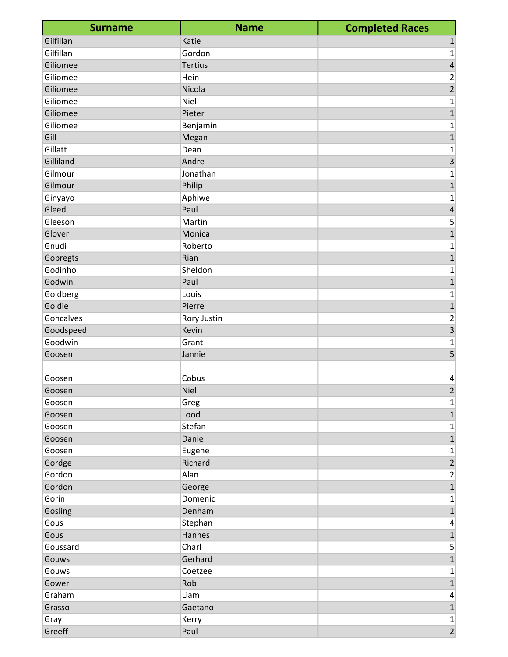| <b>Surname</b> | <b>Name</b>    | <b>Completed Races</b>  |
|----------------|----------------|-------------------------|
| Gilfillan      | Katie          | $\mathbf{1}$            |
| Gilfillan      | Gordon         | 1                       |
| Giliomee       | <b>Tertius</b> | 4                       |
| Giliomee       | Hein           | 2                       |
| Giliomee       | Nicola         | $\overline{2}$          |
| Giliomee       | Niel           | 1                       |
| Giliomee       | Pieter         | 1                       |
| Giliomee       | Benjamin       | 1                       |
| Gill           | Megan          | $\mathbf{1}$            |
| Gillatt        | Dean           | 1                       |
| Gilliland      | Andre          | $\overline{\mathbf{3}}$ |
| Gilmour        | Jonathan       | 1                       |
| Gilmour        | Philip         | $\mathbf 1$             |
| Ginyayo        | Aphiwe         | 1                       |
| Gleed          | Paul           | $\sqrt{4}$              |
| Gleeson        | Martin         | 5                       |
| Glover         | Monica         | $\mathbf 1$             |
| Gnudi          | Roberto        | 1                       |
| Gobregts       | Rian           | $\mathbf{1}$            |
| Godinho        | Sheldon        | 1                       |
| Godwin         | Paul           | $\mathbf{1}$            |
| Goldberg       | Louis          | 1                       |
| Goldie         | Pierre         | $\mathbf{1}$            |
| Goncalves      | Rory Justin    | 2                       |
| Goodspeed      | Kevin          | $\overline{3}$          |
| Goodwin        | Grant          | 1                       |
| Goosen         | Jannie         | 5                       |
|                |                |                         |
| Goosen         | Cobus          | 4                       |
| Goosen         | <b>Niel</b>    | $\overline{\mathbf{c}}$ |
| Goosen         | Greg           | 1                       |
| Goosen         | Lood           | $\mathbf{1}$            |
| Goosen         | Stefan         | 1                       |
| Goosen         | Danie          | $\mathbf{1}$            |
| Goosen         | Eugene         | 1                       |
| Gordge         | Richard        | $\mathbf 2$             |
| Gordon         | Alan           | $\overline{2}$          |
| Gordon         | George         | $\mathbf 1$             |
| Gorin          | Domenic        | 1                       |
| Gosling        | Denham         | $\mathbf{1}$            |
| Gous           | Stephan        | 4                       |
| Gous           | Hannes         | $\mathbf{1}$            |
| Goussard       | Charl          | 5                       |
| Gouws          | Gerhard        | $\mathbf{1}$            |
| Gouws          | Coetzee        | 1                       |
| Gower          | Rob            | $\mathbf{1}$            |
| Graham         | Liam           | 4                       |
| Grasso         | Gaetano        | $\mathbf{1}$            |
| Gray           | Kerry          | 1                       |
| Greeff         | Paul           | $\overline{2}$          |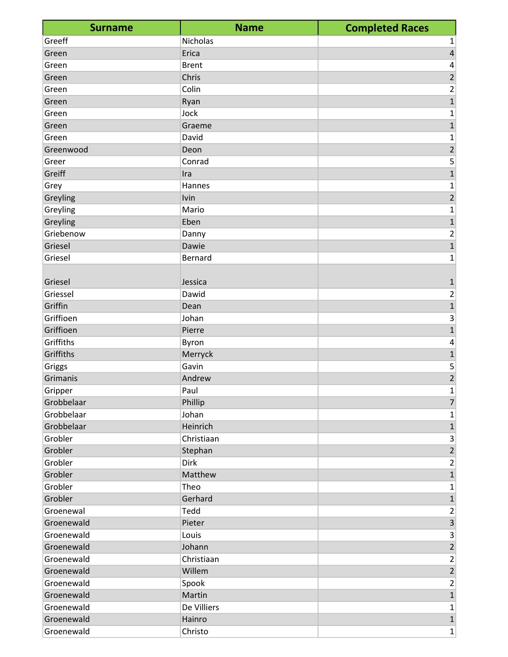| <b>Surname</b> | <b>Name</b>  | <b>Completed Races</b> |
|----------------|--------------|------------------------|
| Greeff         | Nicholas     | 1                      |
| Green          | Erica        | $\sqrt{4}$             |
| Green          | <b>Brent</b> | 4                      |
| Green          | Chris        | $\overline{2}$         |
| Green          | Colin        | 2                      |
| Green          | Ryan         | $\mathbf{1}$           |
| Green          | Jock         | 1                      |
| Green          | Graeme       | $\mathbf{1}$           |
| Green          | David        | 1                      |
| Greenwood      | Deon         | $\overline{2}$         |
| Greer          | Conrad       | 5                      |
| Greiff         | Ira          | $\mathbf{1}$           |
| Grey           | Hannes       | 1                      |
| Greyling       | Ivin         | $\overline{2}$         |
| Greyling       | Mario        | 1                      |
| Greyling       | Eben         | 1                      |
| Griebenow      | Danny        | 2                      |
| Griesel        | Dawie        | $\overline{1}$         |
| Griesel        | Bernard      | 1                      |
|                |              |                        |
| Griesel        | Jessica      | 1                      |
| Griessel       | Dawid        | 2                      |
| Griffin        | Dean         | $\mathbf{1}$           |
| Griffioen      | Johan        | 3                      |
| Griffioen      | Pierre       | $\mathbf{1}$           |
| Griffiths      | Byron        | 4                      |
| Griffiths      | Merryck      | $\mathbf 1$            |
| Griggs         | Gavin        | 5                      |
| Grimanis       | Andrew       | $\overline{2}$         |
| Gripper        | Paul         | $\mathbf 1$            |
| Grobbelaar     | Phillip      | $\overline{7}$         |
| Grobbelaar     | Johan        | 1                      |
| Grobbelaar     | Heinrich     | $\mathbf{1}$           |
| Grobler        | Christiaan   | 3                      |
| Grobler        | Stephan      | $\overline{2}$         |
| Grobler        | Dirk         | 2                      |
| Grobler        | Matthew      | $\mathbf{1}$           |
| Grobler        | Theo         | 1                      |
| Grobler        | Gerhard      | $\mathbf 1$            |
| Groenewal      | Tedd         | $\overline{c}$         |
| Groenewald     | Pieter       | $\overline{3}$         |
| Groenewald     | Louis        | 3                      |
| Groenewald     | Johann       | $\overline{2}$         |
| Groenewald     | Christiaan   | $\overline{2}$         |
| Groenewald     | Willem       | $\overline{2}$         |
| Groenewald     | Spook        | 2                      |
| Groenewald     | Martin       | $\mathbf{1}$           |
| Groenewald     | De Villiers  | 1                      |
| Groenewald     | Hainro       | $\mathbf{1}$           |
| Groenewald     | Christo      | $\mathbf{1}$           |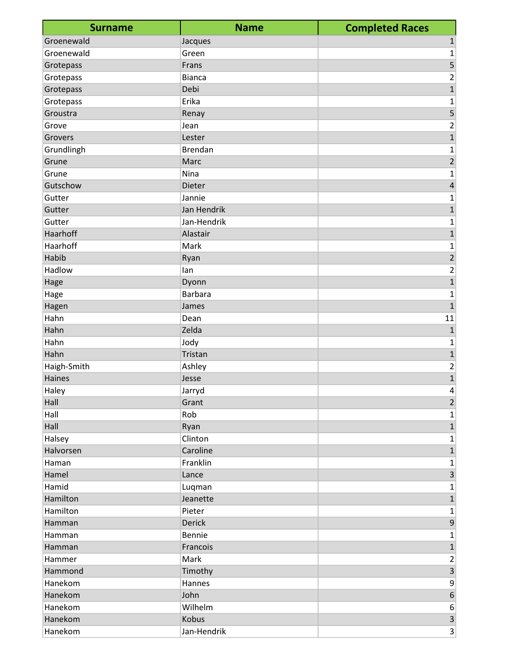| <b>Surname</b> | <b>Name</b>    | <b>Completed Races</b>  |
|----------------|----------------|-------------------------|
| Groenewald     | Jacques        | $\mathbf{1}$            |
| Groenewald     | Green          | $\mathbf 1$             |
| Grotepass      | Frans          | 5                       |
| Grotepass      | <b>Bianca</b>  | $\overline{\mathbf{c}}$ |
| Grotepass      | Debi           | $\overline{1}$          |
| Grotepass      | Erika          | 1                       |
| Groustra       | Renay          | 5                       |
| Grove          | Jean           | $\overline{\mathbf{c}}$ |
| Grovers        | Lester         | $\overline{1}$          |
| Grundlingh     | <b>Brendan</b> | $\mathbf 1$             |
| Grune          | Marc           | $\overline{c}$          |
| Grune          | Nina           | $\mathbf 1$             |
| Gutschow       | Dieter         | $\pmb{4}$               |
| Gutter         | Jannie         | $\mathbf 1$             |
| Gutter         | Jan Hendrik    | $\mathbf 1$             |
| Gutter         | Jan-Hendrik    | $\mathbf 1$             |
| Haarhoff       | Alastair       | $\mathbf 1$             |
| Haarhoff       | Mark           | $\mathbf 1$             |
| Habib          | Ryan           | $\overline{c}$          |
| Hadlow         | lan            | $\overline{\mathbf{c}}$ |
| Hage           | Dyonn          | $\overline{1}$          |
| Hage           | <b>Barbara</b> | $\mathbf 1$             |
| Hagen          | James          | $\overline{1}$          |
| Hahn           | Dean           | 11                      |
| Hahn           | Zelda          | $\mathbf 1$             |
| Hahn           | Jody           | $\mathbf 1$             |
| Hahn           | Tristan        | $\mathbf 1$             |
| Haigh-Smith    | Ashley         | $\overline{\mathbf{c}}$ |
| Haines         | Jesse          | $\overline{1}$          |
| Haley          | Jarryd         | 4                       |
| Hall           | Grant          | $\overline{2}$          |
| Hall           | Rob            | $\mathbf 1$             |
| Hall           | Ryan           | $\mathbf 1$             |
| Halsey         | Clinton        | 1                       |
| Halvorsen      | Caroline       | $\mathbf{1}$            |
| Haman          | Franklin       | $\mathbf{1}$            |
| Hamel          | Lance          | $\overline{\mathbf{3}}$ |
| Hamid          | Luqman         | $\mathbf 1$             |
| Hamilton       | Jeanette       | $\mathbf 1$             |
| Hamilton       | Pieter         | $\mathbf 1$             |
| Hamman         | <b>Derick</b>  | $\boldsymbol{9}$        |
| Hamman         | Bennie         | $\mathbf 1$             |
| Hamman         | Francois       | $\mathbf 1$             |
| Hammer         | Mark           | $\overline{2}$          |
| Hammond        | Timothy        | $\overline{\mathbf{3}}$ |
| Hanekom        | Hannes         | $\boldsymbol{9}$        |
| Hanekom        | John           | $\boldsymbol{6}$        |
| Hanekom        | Wilhelm        | 6                       |
| Hanekom        | Kobus          | $\overline{\mathbf{3}}$ |
| Hanekom        | Jan-Hendrik    | $\overline{\mathbf{3}}$ |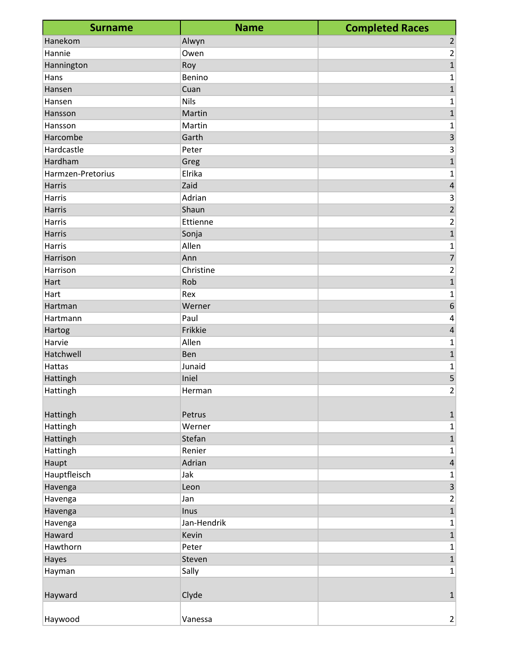| <b>Surname</b>    | <b>Name</b> | <b>Completed Races</b>  |
|-------------------|-------------|-------------------------|
| Hanekom           | Alwyn       | $\overline{2}$          |
| Hannie            | Owen        | $\overline{c}$          |
| Hannington        | Roy         | $\mathbf{1}$            |
| Hans              | Benino      | 1                       |
| Hansen            | Cuan        | $\mathbf{1}$            |
| Hansen            | <b>Nils</b> | 1                       |
| Hansson           | Martin      | 1                       |
| Hansson           | Martin      | 1                       |
| Harcombe          | Garth       | $\overline{\mathbf{3}}$ |
| Hardcastle        | Peter       | 3                       |
| Hardham           | Greg        | $\mathbf{1}$            |
| Harmzen-Pretorius | Elrika      | 1                       |
| <b>Harris</b>     | Zaid        | $\overline{\mathbf{4}}$ |
| Harris            | Adrian      | 3                       |
| <b>Harris</b>     | Shaun       | $\overline{2}$          |
| Harris            | Ettienne    | $\overline{2}$          |
| <b>Harris</b>     | Sonja       | $\mathbf{1}$            |
| <b>Harris</b>     | Allen       | 1                       |
| Harrison          | Ann         | 7                       |
| Harrison          | Christine   | 2                       |
| Hart              | Rob         | $\overline{1}$          |
| Hart              | Rex         | 1                       |
| Hartman           | Werner      | $\boldsymbol{6}$        |
| Hartmann          | Paul        | 4                       |
| Hartog            | Frikkie     | 4                       |
| Harvie            | Allen       | 1                       |
| Hatchwell         | Ben         | $\mathbf{1}$            |
| Hattas            | Junaid      | 1                       |
| Hattingh          | Iniel       | 5                       |
| Hattingh          | Herman      | $\overline{2}$          |
|                   |             |                         |
| Hattingh          | Petrus      | $\mathbf{1}$            |
| Hattingh          | Werner      | 1                       |
| Hattingh          | Stefan      | $\overline{1}$          |
| Hattingh          | Renier      | $\mathbf{1}$            |
| Haupt             | Adrian      | $\pmb{4}$               |
| Hauptfleisch      | Jak         | 1                       |
| Havenga           | Leon        | $\overline{\mathbf{3}}$ |
| Havenga           | Jan         | $\overline{\mathbf{c}}$ |
| Havenga           | Inus        | $\overline{1}$          |
| Havenga           | Jan-Hendrik | 1                       |
| Haward            | Kevin       | $\mathbf 1$             |
| Hawthorn          | Peter       | 1                       |
| Hayes             | Steven      | $\mathbf 1$             |
| Hayman            | Sally       | 1                       |
|                   |             |                         |
| Hayward           | Clyde       | $\mathbf 1$             |
| Haywood           | Vanessa     | $\overline{2}$          |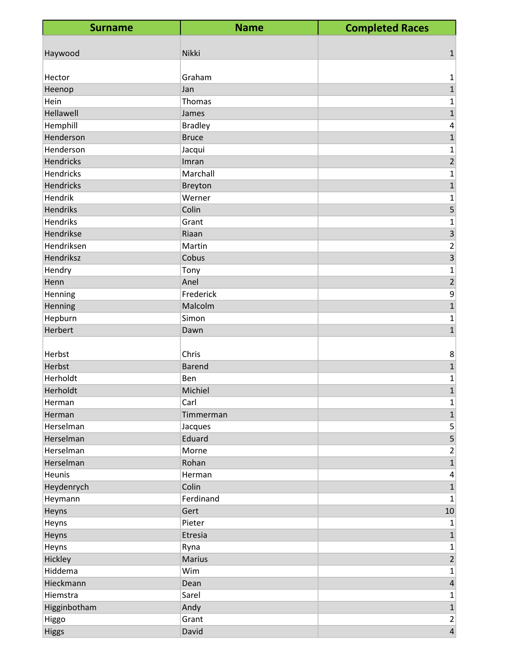| <b>Surname</b>   | <b>Name</b>    | <b>Completed Races</b>  |
|------------------|----------------|-------------------------|
|                  |                |                         |
| Haywood          | Nikki          | 1                       |
|                  |                |                         |
| Hector           | Graham         | 1                       |
| Heenop           | Jan            | $\mathbf{1}$            |
| Hein             | Thomas         | 1                       |
| Hellawell        | James          | 1                       |
| Hemphill         | <b>Bradley</b> | 4                       |
| Henderson        | <b>Bruce</b>   | $\mathbf{1}$            |
| Henderson        | Jacqui         | 1                       |
| Hendricks        | Imran          | $\overline{2}$          |
| Hendricks        | Marchall       | 1                       |
| <b>Hendricks</b> | Breyton        | $\mathbf 1$             |
| Hendrik          | Werner         | 1                       |
| <b>Hendriks</b>  | Colin          | 5                       |
| Hendriks         | Grant          | 1                       |
| Hendrikse        | Riaan          | $\mathsf 3$             |
| Hendriksen       | Martin         | $\overline{\mathbf{c}}$ |
| Hendriksz        | Cobus          | $\overline{\mathbf{3}}$ |
| Hendry           | Tony           | $\mathbf 1$             |
| Henn             | Anel           | $\overline{2}$          |
| Henning          | Frederick      | 9                       |
| Henning          | Malcolm        | $\mathbf{1}$            |
| Hepburn          | Simon          | 1                       |
| Herbert          | Dawn           | $\mathbf{1}$            |
|                  |                |                         |
| Herbst           | Chris          | 8                       |
| Herbst           | <b>Barend</b>  | $\mathbf{1}$            |
| Herholdt         | Ben            | 1                       |
| Herholdt         | Michiel        | $\mathbf{1}$            |
| Herman           | Carl           | 1                       |
| Herman           | Timmerman      | $\mathbf 1$             |
| Herselman        | Jacques        | 5                       |
| Herselman        | Eduard         | $\overline{\mathbf{5}}$ |
| Herselman        | Morne          | $\overline{c}$          |
| Herselman        | Rohan          | $\mathbf 1$             |
| Heunis           | Herman         | 4                       |
| Heydenrych       | Colin          | $\mathbf{1}$            |
| Heymann          | Ferdinand      | 1                       |
| Heyns            | Gert           | 10                      |
| Heyns            | Pieter         | 1                       |
| Heyns            | Etresia        | $\mathbf{1}$            |
| Heyns            | Ryna           | 1                       |
| Hickley          | <b>Marius</b>  | $\overline{2}$          |
| Hiddema          | Wim            | 1                       |
| Hieckmann        | Dean           | $\overline{4}$          |
| Hiemstra         | Sarel          | 1                       |
| Higginbotham     | Andy           | $\mathbf 1$             |
| Higgo            | Grant          | $\overline{2}$          |
| <b>Higgs</b>     | David          | $\overline{4}$          |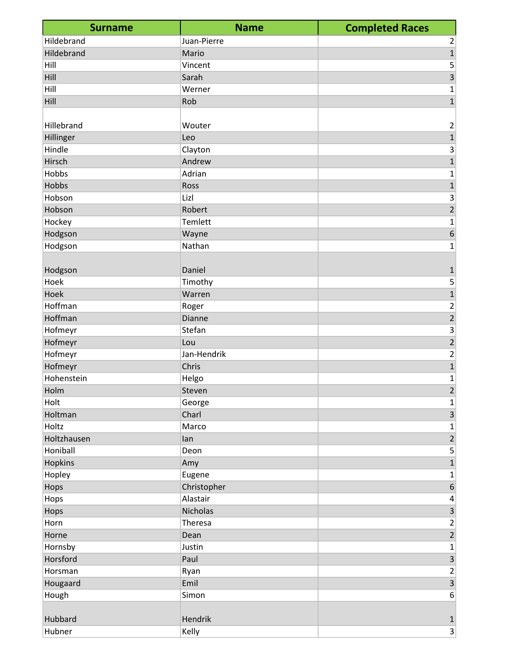| <b>Surname</b> | <b>Name</b> | <b>Completed Races</b>         |
|----------------|-------------|--------------------------------|
| Hildebrand     | Juan-Pierre | $\overline{2}$                 |
| Hildebrand     | Mario       | $\overline{1}$                 |
| Hill           | Vincent     | 5                              |
| Hill           | Sarah       | $\overline{\mathbf{3}}$        |
| Hill           | Werner      | 1                              |
| Hill           | Rob         | $\mathbf{1}$                   |
|                |             |                                |
| Hillebrand     | Wouter      | $\overline{\mathbf{c}}$        |
| Hillinger      | Leo         | $\mathbf{1}$                   |
| Hindle         | Clayton     | 3                              |
| Hirsch         | Andrew      | $\overline{1}$                 |
| Hobbs          | Adrian      | 1                              |
| Hobbs          | Ross        | $\mathbf{1}$                   |
| Hobson         | Lizl        | 3                              |
| Hobson         | Robert      | $\overline{2}$                 |
| Hockey         | Temlett     | 1                              |
| Hodgson        | Wayne       | 6                              |
| Hodgson        | Nathan      | 1                              |
|                |             |                                |
| Hodgson        | Daniel      | $\mathbf{1}$                   |
| Hoek           | Timothy     | 5                              |
| Hoek           | Warren      | $\mathbf{1}$                   |
| Hoffman        | Roger       | 2                              |
| Hoffman        | Dianne      | $\overline{2}$                 |
| Hofmeyr        | Stefan      | 3                              |
| Hofmeyr        | Lou         | $\overline{2}$                 |
| Hofmeyr        | Jan-Hendrik | $\mathbf 2$                    |
| Hofmeyr        | Chris       | $\mathbf 1$                    |
| Hohenstein     | Helgo       | 1                              |
| Holm           | Steven      | $\overline{2}$                 |
| Holt           | George      | 1                              |
| Holtman        | Charl       | $\overline{\mathbf{3}}$        |
| Holtz          | Marco       | 1                              |
| Holtzhausen    | lan         | $\overline{2}$                 |
| Honiball       | Deon        | 5                              |
| Hopkins        | Amy         | $\overline{1}$                 |
| Hopley         | Eugene      | 1                              |
| Hops           | Christopher | $\boldsymbol{6}$               |
| Hops           | Alastair    | 4                              |
| Hops           | Nicholas    | 3                              |
| Horn           | Theresa     | $\overline{\mathbf{c}}$        |
| Horne          | Dean        | $\overline{2}$                 |
| Hornsby        | Justin      | 1                              |
| Horsford       | Paul        | $\overline{3}$                 |
| Horsman        | Ryan        | $\mathbf 2$                    |
| Hougaard       | Emil        | $\overline{3}$                 |
| Hough          | Simon       | 6                              |
| Hubbard        | Hendrik     |                                |
|                |             | $\mathbf{1}$<br>3 <sup>2</sup> |
| Hubner         | Kelly       |                                |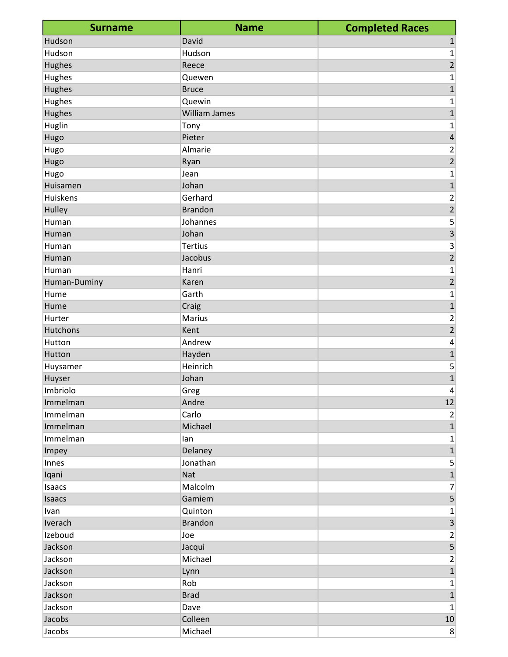| <b>Surname</b>  | <b>Name</b>          | <b>Completed Races</b>  |
|-----------------|----------------------|-------------------------|
| Hudson          | David                | $\mathbf{1}$            |
| Hudson          | Hudson               | $\mathbf 1$             |
| Hughes          | Reece                | $\overline{2}$          |
| Hughes          | Quewen               | $\mathbf 1$             |
| Hughes          | <b>Bruce</b>         | $\overline{1}$          |
| Hughes          | Quewin               | $\mathbf 1$             |
| Hughes          | <b>William James</b> | $\overline{1}$          |
| Huglin          | Tony                 | 1                       |
| Hugo            | Pieter               | $\overline{\mathbf{r}}$ |
| Hugo            | Almarie              | $\mathbf 2$             |
| Hugo            | Ryan                 | $\overline{2}$          |
| Hugo            | Jean                 | $\mathbf 1$             |
| Huisamen        | Johan                | $\mathbf{1}$            |
| Huiskens        | Gerhard              | $\overline{c}$          |
| Hulley          | <b>Brandon</b>       | $\overline{2}$          |
| Human           | Johannes             | $\mathsf S$             |
| Human           | Johan                | $\overline{\mathbf{3}}$ |
| Human           | <b>Tertius</b>       | $\mathsf 3$             |
| Human           | Jacobus              | $\overline{2}$          |
| Human           | Hanri                | $\mathbf 1$             |
| Human-Duminy    | Karen                | $\overline{2}$          |
| Hume            | Garth                | 1                       |
| Hume            | Craig                | $\mathbf 1$             |
| Hurter          | Marius               | $\overline{\mathbf{c}}$ |
| <b>Hutchons</b> | Kent                 | $\overline{2}$          |
| Hutton          | Andrew               | $\overline{\mathbf{r}}$ |
| Hutton          | Hayden               | $\overline{1}$          |
| Huysamer        | Heinrich             | 5                       |
| Huyser          | Johan                | $\overline{1}$          |
| Imbriolo        | Greg                 | $\overline{4}$          |
| Immelman        | Andre                | 12                      |
| Immelman        | Carlo                | $\overline{2}$          |
| Immelman        | Michael              | $\mathbf 1$             |
| Immelman        | lan                  | 1                       |
| Impey           | Delaney              | $\mathbf 1$             |
| Innes           | Jonathan             | 5                       |
| Iqani           | Nat                  | $\mathbf 1$             |
| Isaacs          | Malcolm              | $\boldsymbol{7}$        |
| Isaacs          | Gamiem               | $\overline{5}$          |
| Ivan            | Quinton              | $\mathbf{1}$            |
| Iverach         | <b>Brandon</b>       | $\overline{\mathbf{3}}$ |
| Izeboud         | Joe                  | $\overline{2}$          |
| Jackson         | Jacqui               | 5                       |
| Jackson         | Michael              | $\overline{2}$          |
| Jackson         | Lynn                 | $\mathbf 1$             |
| Jackson         | Rob                  | $\mathbf{1}$            |
| Jackson         | <b>Brad</b>          | $\mathbf 1$             |
| Jackson         | Dave                 | 1                       |
| Jacobs          | Colleen              | $10\,$                  |
| Jacobs          | Michael              | $\bf 8$                 |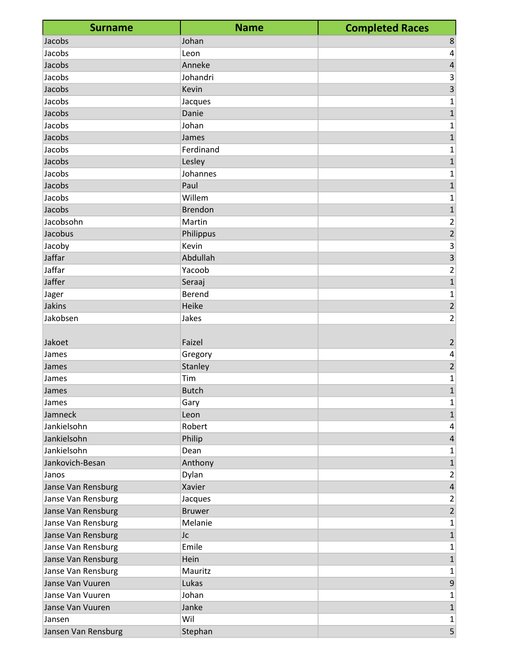| <b>Surname</b>      | <b>Name</b>    | <b>Completed Races</b> |
|---------------------|----------------|------------------------|
| Jacobs              | Johan          | 8                      |
| Jacobs              | Leon           | 4                      |
| Jacobs              | Anneke         | 4                      |
| Jacobs              | Johandri       | 3                      |
| Jacobs              | Kevin          | $\overline{3}$         |
| Jacobs              | Jacques        | 1                      |
| Jacobs              | Danie          | 1                      |
| Jacobs              | Johan          | 1                      |
| Jacobs              | James          | $\mathbf{1}$           |
| Jacobs              | Ferdinand      | 1                      |
| Jacobs              | Lesley         | $\mathbf{1}$           |
| Jacobs              | Johannes       | 1                      |
| Jacobs              | Paul           | $\mathbf 1$            |
| Jacobs              | Willem         | 1                      |
| Jacobs              | <b>Brendon</b> | $\mathbf{1}$           |
| Jacobsohn           | Martin         | 2                      |
| Jacobus             | Philippus      | $\overline{c}$         |
| Jacoby              | Kevin          | 3                      |
| Jaffar              | Abdullah       | 3                      |
| Jaffar              | Yacoob         | 2                      |
| Jaffer              | Seraaj         | $\mathbf{1}$           |
| Jager               | Berend         | 1                      |
| Jakins              | Heike          | $\overline{2}$         |
| Jakobsen            | Jakes          | 2                      |
|                     |                |                        |
| Jakoet              | Faizel         | 2                      |
| James               | Gregory        | 4                      |
| James               | Stanley        | $\overline{2}$         |
| James               | Tim            | 1                      |
| James               | <b>Butch</b>   | $\mathbf 1$            |
| James               | Gary           | 1                      |
| Jamneck             | Leon           | $\mathbf{1}$           |
| Jankielsohn         | Robert         | 4                      |
| Jankielsohn         | Philip         | 4                      |
| Jankielsohn         | Dean           | 1                      |
| Jankovich-Besan     | Anthony        | $\mathbf 1$            |
| Janos               | Dylan          | 2                      |
| Janse Van Rensburg  | Xavier         | $\overline{4}$         |
| Janse Van Rensburg  | Jacques        | 2                      |
| Janse Van Rensburg  | <b>Bruwer</b>  | $\overline{2}$         |
| Janse Van Rensburg  | Melanie        | 1                      |
| Janse Van Rensburg  | Jc             | $\mathbf{1}$           |
| Janse Van Rensburg  | Emile          | 1                      |
| Janse Van Rensburg  | Hein           | $\mathbf{1}$           |
| Janse Van Rensburg  | Mauritz        | 1                      |
| Janse Van Vuuren    | Lukas          | $\boldsymbol{9}$       |
| Janse Van Vuuren    | Johan          | 1                      |
| Janse Van Vuuren    | Janke          | $\mathbf 1$            |
| Jansen              | Wil            | 1                      |
| Jansen Van Rensburg | Stephan        | 5 <sup>1</sup>         |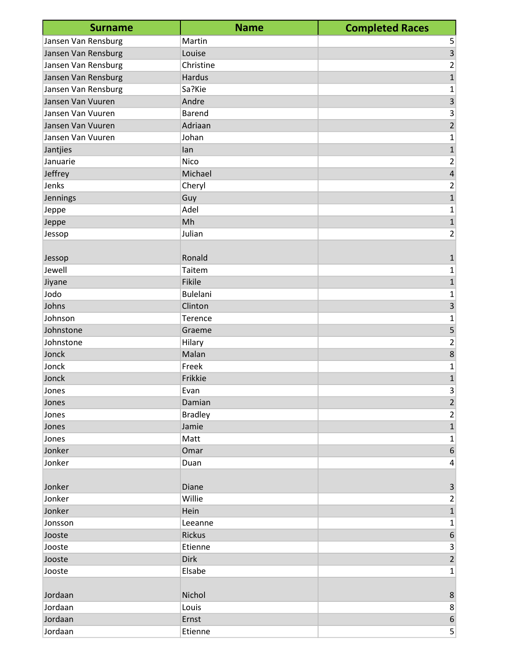| <b>Surname</b>      | <b>Name</b>     | <b>Completed Races</b>  |
|---------------------|-----------------|-------------------------|
| Jansen Van Rensburg | Martin          | 5                       |
| Jansen Van Rensburg | Louise          | 3                       |
| Jansen Van Rensburg | Christine       | 2                       |
| Jansen Van Rensburg | Hardus          | $\overline{1}$          |
| Jansen Van Rensburg | Sa?Kie          | 1                       |
| Jansen Van Vuuren   | Andre           | $\overline{\mathbf{3}}$ |
| Jansen Van Vuuren   | <b>Barend</b>   | 3                       |
| Jansen Van Vuuren   | Adriaan         | $\overline{2}$          |
| Jansen Van Vuuren   | Johan           | 1                       |
| Jantjies            | lan             | $\mathbf{1}$            |
| Januarie            | <b>Nico</b>     | 2                       |
| Jeffrey             | Michael         | $\overline{\mathbf{r}}$ |
| Jenks               | Cheryl          | 2                       |
| Jennings            | Guy             | $\mathbf{1}$            |
| Jeppe               | Adel            | 1                       |
| Jeppe               | Mh              | $\mathbf{1}$            |
| Jessop              | Julian          | 2                       |
|                     |                 |                         |
| Jessop              | Ronald          | 1                       |
| Jewell              | Taitem          | 1                       |
| Jiyane              | Fikile          | $\mathbf 1$             |
| Jodo                | <b>Bulelani</b> | 1                       |
| Johns               | Clinton         | $\overline{\mathbf{3}}$ |
| Johnson             | Terence         | 1                       |
| Johnstone           | Graeme          | 5                       |
| Johnstone           | Hilary          | 2                       |
| Jonck               | Malan           | 8                       |
| Jonck               | Freek           | 1                       |
| Jonck               | Frikkie         | $\mathbf{1}$            |
| Jones               | Evan            | 3                       |
| Jones               | Damian          | $\overline{2}$          |
| Jones               | <b>Bradley</b>  | $\overline{2}$          |
| Jones               | Jamie           | $\mathbf{1}$            |
| Jones               | Matt            | 1                       |
| Jonker              | Omar            | $6 \overline{6}$        |
| Jonker              | Duan            | 4                       |
|                     |                 |                         |
| Jonker              | Diane           | $\mathsf 3$             |
| Jonker              | Willie          | $\overline{2}$          |
| Jonker              | Hein            | $\mathbf{1}$            |
| Jonsson             | Leeanne         | 1                       |
| Jooste              | Rickus          | $\sqrt{6}$              |
| Jooste              | Etienne         | $\overline{3}$          |
| Jooste              | <b>Dirk</b>     | $\overline{2}$          |
| Jooste              | Elsabe          | 1                       |
| Jordaan             | Nichol          | 8                       |
| Jordaan             | Louis           | 8                       |
| Jordaan             | Ernst           | $6 \mid$                |
| Jordaan             | Etienne         | 5 <sup>2</sup>          |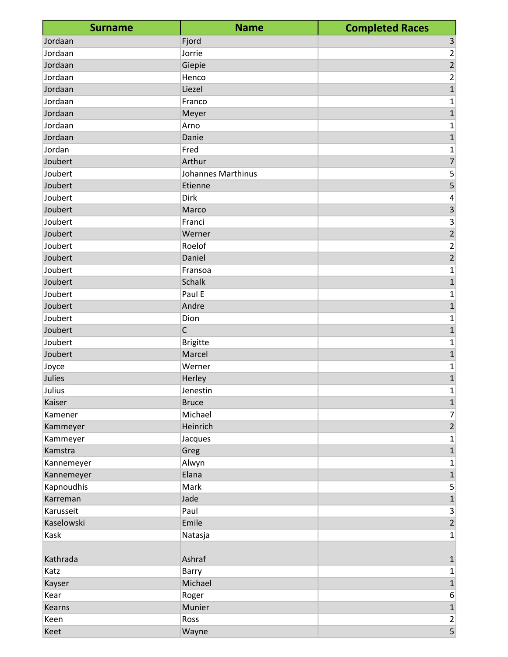| <b>Surname</b> | <b>Name</b>               | <b>Completed Races</b>  |
|----------------|---------------------------|-------------------------|
| Jordaan        | Fjord                     | 3                       |
| Jordaan        | Jorrie                    | 2                       |
| Jordaan        | Giepie                    | $\overline{2}$          |
| Jordaan        | Henco                     | 2                       |
| Jordaan        | Liezel                    | $\mathbf{1}$            |
| Jordaan        | Franco                    | 1                       |
| Jordaan        | Meyer                     | 1                       |
| Jordaan        | Arno                      | 1                       |
| Jordaan        | Danie                     | $\mathbf{1}$            |
| Jordan         | Fred                      | 1                       |
| Joubert        | Arthur                    | $\overline{7}$          |
| Joubert        | <b>Johannes Marthinus</b> | 5                       |
| Joubert        | Etienne                   | 5                       |
| Joubert        | Dirk                      | 4                       |
| Joubert        | Marco                     | $\overline{\mathbf{3}}$ |
| Joubert        | Franci                    | 3                       |
| Joubert        | Werner                    | $\overline{c}$          |
| Joubert        | Roelof                    | $\overline{\mathbf{c}}$ |
| Joubert        | Daniel                    | $\overline{2}$          |
| Joubert        | Fransoa                   | 1                       |
| Joubert        | <b>Schalk</b>             | $\mathbf 1$             |
| Joubert        | Paul E                    | 1                       |
| Joubert        | Andre                     | $\mathbf{1}$            |
| Joubert        | Dion                      | 1                       |
| Joubert        | $\mathsf{C}$              | $\mathbf{1}$            |
| Joubert        | <b>Brigitte</b>           | 1                       |
| Joubert        | Marcel                    | $\mathbf{1}$            |
| Joyce          | Werner                    | 1                       |
| Julies         | Herley                    | $\mathbf 1$             |
| Julius         | Jenestin                  | $\mathbf 1$             |
| Kaiser         | <b>Bruce</b>              | $\overline{1}$          |
| Kamener        | Michael                   | 7                       |
| Kammeyer       | Heinrich                  | $\overline{2}$          |
| Kammeyer       | Jacques                   | 1                       |
| Kamstra        | Greg                      | $\mathbf{1}$            |
| Kannemeyer     | Alwyn                     | 1                       |
| Kannemeyer     | Elana                     | $\mathbf 1$             |
| Kapnoudhis     | Mark                      | 5                       |
| Karreman       | Jade                      | $\mathbf 1$             |
| Karusseit      | Paul                      | 3                       |
| Kaselowski     | Emile                     | $\overline{2}$          |
| Kask           | Natasja                   | 1                       |
|                |                           |                         |
| Kathrada       | Ashraf                    | $\mathbf{1}$            |
| Katz           | Barry                     | 1                       |
| Kayser         | Michael                   | $\mathbf 1$             |
| Kear           | Roger                     | 6                       |
| Kearns         | Munier                    | $\mathbf 1$             |
| Keen           | Ross                      | $\mathbf{2}$            |
| Keet           | Wayne                     | $\overline{5}$          |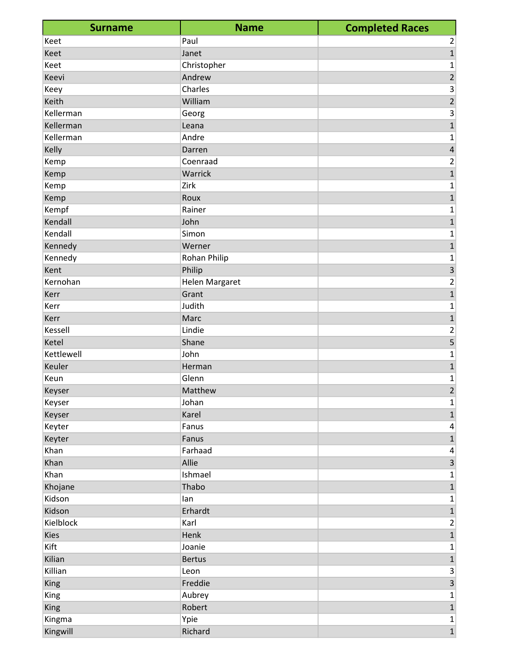| <b>Surname</b> | <b>Name</b>    | <b>Completed Races</b>   |
|----------------|----------------|--------------------------|
| Keet           | Paul           | $\overline{2}$           |
| Keet           | Janet          | $\overline{1}$           |
| Keet           | Christopher    | 1                        |
| Keevi          | Andrew         | $\overline{c}$           |
| Keey           | Charles        | $\mathsf 3$              |
| Keith          | William        | $\overline{2}$           |
| Kellerman      | Georg          | $\mathsf{3}$             |
| Kellerman      | Leana          | $\overline{1}$           |
| Kellerman      | Andre          | $\mathbf 1$              |
| Kelly          | Darren         | $\overline{\mathcal{L}}$ |
| Kemp           | Coenraad       | $\mathbf 2$              |
| Kemp           | Warrick        | $\overline{1}$           |
| Kemp           | Zirk           | $\mathbf 1$              |
| Kemp           | Roux           | $\overline{1}$           |
| Kempf          | Rainer         | 1                        |
| Kendall        | John           | $\mathbf 1$              |
| Kendall        | Simon          | $\mathbf{1}$             |
| Kennedy        | Werner         | $\mathbf 1$              |
| Kennedy        | Rohan Philip   | $\mathbf 1$              |
| Kent           | Philip         | $\overline{\mathbf{3}}$  |
| Kernohan       | Helen Margaret | $\mathbf 2$              |
| Kerr           | Grant          | $\overline{1}$           |
| Kerr           | Judith         | $\mathbf 1$              |
| Kerr           | Marc           | $\overline{\mathbf{1}}$  |
| Kessell        | Lindie         | $\overline{c}$           |
| Ketel          | Shane          | $\overline{\mathbf{5}}$  |
| Kettlewell     | John           | 1                        |
| Keuler         | Herman         | $\overline{1}$           |
| Keun           | Glenn          | $\mathbf 1$              |
| Keyser         | Matthew        | $\overline{2}$           |
| Keyser         | Johan          | $\mathbf{1}$             |
| Keyser         | Karel          | $\mathbf 1$              |
| Keyter         | Fanus          | $\overline{\mathbf{4}}$  |
| Keyter         | Fanus          | $\mathbf 1$              |
| Khan           | Farhaad        | 4                        |
| Khan           | Allie          | $\overline{\mathbf{3}}$  |
| Khan           | Ishmael        | $\mathbf{1}$             |
| Khojane        | Thabo          | $\mathbf 1$              |
| Kidson         | lan            | 1                        |
| Kidson         | Erhardt        | $\mathbf 1$              |
| Kielblock      | Karl           | $\overline{c}$           |
| <b>Kies</b>    | Henk           | $\mathbf 1$              |
| Kift           | Joanie         | $\mathbf{1}$             |
| Kilian         | <b>Bertus</b>  | $\mathbf 1$              |
| Killian        | Leon           | $\overline{\mathbf{3}}$  |
| King           | Freddie        | $\overline{\mathbf{3}}$  |
| <b>King</b>    | Aubrey         | $\mathbf{1}$             |
| <b>King</b>    | Robert         | $\mathbf 1$              |
| Kingma         | Ypie           | $\mathbf{1}$             |
| Kingwill       | Richard        | $\mathbf 1$              |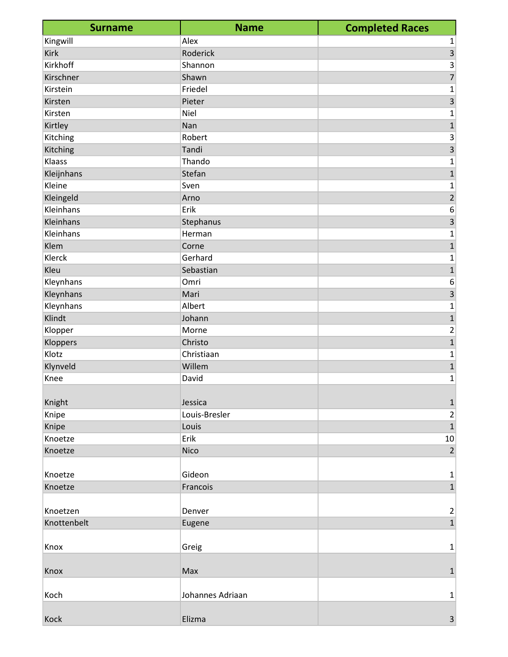| <b>Surname</b> | <b>Name</b>      | <b>Completed Races</b>  |
|----------------|------------------|-------------------------|
| Kingwill       | Alex             | 1                       |
| <b>Kirk</b>    | Roderick         | $\overline{\mathbf{3}}$ |
| Kirkhoff       | Shannon          | 3                       |
| Kirschner      | Shawn            | $\overline{7}$          |
| Kirstein       | Friedel          | 1                       |
| Kirsten        | Pieter           | $\overline{3}$          |
| Kirsten        | Niel             | 1                       |
| Kirtley        | Nan              | $\mathbf{1}$            |
| Kitching       | Robert           | 3                       |
| Kitching       | Tandi            | $\overline{\mathbf{3}}$ |
| Klaass         | Thando           | 1                       |
| Kleijnhans     | Stefan           | $\mathbf{1}$            |
| Kleine         | Sven             | 1                       |
| Kleingeld      | Arno             | $\overline{2}$          |
| Kleinhans      | Erik             | 6                       |
| Kleinhans      | Stephanus        | $\mathsf 3$             |
| Kleinhans      | Herman           | 1                       |
| Klem           | Corne            | $\mathbf{1}$            |
| Klerck         | Gerhard          | 1                       |
| Kleu           | Sebastian        | $\mathbf{1}$            |
| Kleynhans      | Omri             | 6                       |
| Kleynhans      | Mari             | $\mathsf 3$             |
| Kleynhans      | Albert           | 1                       |
| Klindt         | Johann           | $\mathbf 1$             |
| Klopper        | Morne            | $\overline{\mathbf{c}}$ |
| Kloppers       | Christo          | $\mathbf{1}$            |
| Klotz          | Christiaan       | 1                       |
| Klynveld       | Willem           | $\overline{1}$          |
| Knee           | David            | 1                       |
|                |                  |                         |
| Knight         | Jessica          | $\mathbf 1$             |
| Knipe          | Louis-Bresler    | $\overline{c}$          |
| Knipe          | Louis            | $\overline{1}$          |
| Knoetze        | Erik             | $10\,$                  |
| Knoetze        | Nico             | $\overline{2}$          |
|                |                  |                         |
| Knoetze        | Gideon           | $\mathbf 1$             |
| Knoetze        | Francois         | $\mathbf{1}$            |
|                |                  |                         |
| Knoetzen       | Denver           | $\overline{2}$          |
| Knottenbelt    | Eugene           | $\mathbf 1$             |
|                |                  |                         |
| Knox           | Greig            | 1                       |
|                |                  |                         |
| Knox           | Max              | $\mathbf 1$             |
| Koch           | Johannes Adriaan | $\mathbf{1}$            |
|                |                  |                         |
| Kock           | Elizma           | 3 <sup>1</sup>          |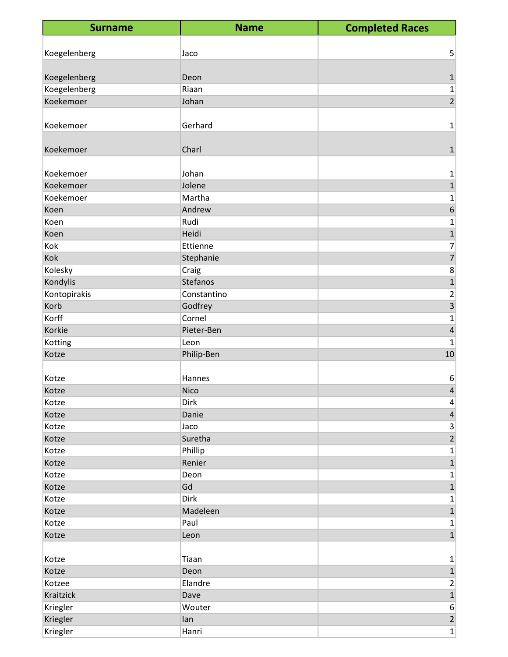| <b>Surname</b> | <b>Name</b> | <b>Completed Races</b>  |
|----------------|-------------|-------------------------|
|                |             |                         |
| Koegelenberg   | Jaco        | 5                       |
|                |             |                         |
| Koegelenberg   | Deon        | $\mathbf{1}$            |
| Koegelenberg   | Riaan       | 1                       |
| Koekemoer      | Johan       | $\overline{2}$          |
|                |             |                         |
| Koekemoer      | Gerhard     | 1                       |
|                |             |                         |
| Koekemoer      | Charl       | $\mathbf{1}$            |
|                |             |                         |
| Koekemoer      | Johan       | 1                       |
| Koekemoer      | Jolene      | $\mathbf 1$             |
| Koekemoer      | Martha      | 1                       |
| Koen           | Andrew      | $\boldsymbol{6}$        |
| Koen           | Rudi        | 1                       |
| Koen           | Heidi       | $\mathbf{1}$            |
| Kok            | Ettienne    | 7                       |
| Kok            | Stephanie   | $\overline{7}$          |
| Kolesky        | Craig       | 8                       |
| Kondylis       | Stefanos    | $\mathbf 1$             |
| Kontopirakis   | Constantino | 2                       |
| Korb           | Godfrey     | $\overline{\mathbf{3}}$ |
| Korff          | Cornel      | 1                       |
| Korkie         | Pieter-Ben  | $\pmb{4}$               |
| Kotting        | Leon        | 1                       |
| Kotze          | Philip-Ben  | 10                      |
| Kotze          | Hannes      | 6                       |
| Kotze          | Nico        | 4                       |
| Kotze          | Dirk        | 4                       |
| Kotze          | Danie       | $\overline{4}$          |
| Kotze          | Jaco        | 3                       |
| Kotze          | Suretha     | $\overline{2}$          |
| Kotze          | Phillip     | 1                       |
| Kotze          | Renier      | $\mathbf 1$             |
| Kotze          | Deon        | 1                       |
| Kotze          | Gd          | $\mathbf 1$             |
| Kotze          | Dirk        | 1                       |
| Kotze          | Madeleen    | $\mathbf{1}$            |
| Kotze          | Paul        | 1                       |
| Kotze          | Leon        | $\overline{1}$          |
|                |             |                         |
| Kotze          | Tiaan       | $\mathbf{1}$            |
| Kotze          | Deon        | $\mathbf 1$             |
| Kotzee         | Elandre     | $\overline{2}$          |
| Kraitzick      | Dave        | $\overline{1}$          |
| Kriegler       | Wouter      | 6                       |
| Kriegler       | lan         | $\overline{2}$          |
| Kriegler       | Hanri       | $\mathbf 1$             |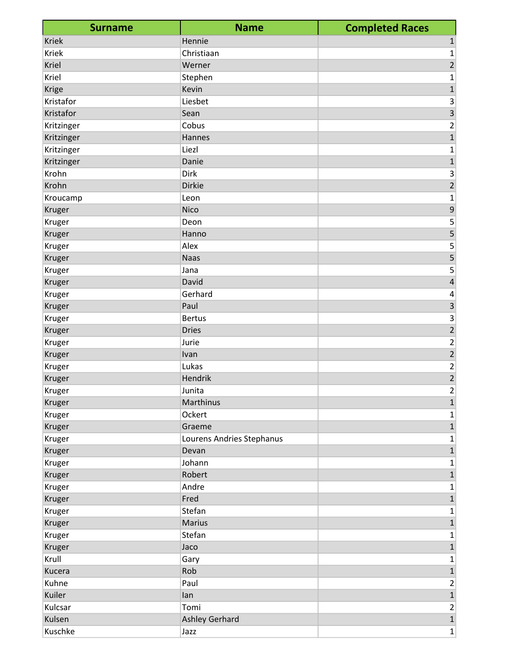| <b>Surname</b> | <b>Name</b>               | <b>Completed Races</b>    |
|----------------|---------------------------|---------------------------|
| <b>Kriek</b>   | Hennie                    | $\mathbf{1}$              |
| <b>Kriek</b>   | Christiaan                | 1                         |
| Kriel          | Werner                    | $\overline{\mathbf{c}}$   |
| Kriel          | Stephen                   | $\mathbf 1$               |
| Krige          | Kevin                     | $\mathbf 1$               |
| Kristafor      | Liesbet                   | $\ensuremath{\mathsf{3}}$ |
| Kristafor      | Sean                      | $\overline{\mathbf{3}}$   |
| Kritzinger     | Cobus                     | $\mathbf 2$               |
| Kritzinger     | Hannes                    | $\overline{1}$            |
| Kritzinger     | Liezl                     | $\mathbf 1$               |
| Kritzinger     | Danie                     | $\overline{1}$            |
| Krohn          | Dirk                      | $\mathsf 3$               |
| Krohn          | <b>Dirkie</b>             | $\overline{2}$            |
| Kroucamp       | Leon                      | $\mathbf 1$               |
| Kruger         | <b>Nico</b>               | $\overline{9}$            |
| Kruger         | Deon                      | 5                         |
| Kruger         | Hanno                     | $\overline{\mathbf{5}}$   |
| Kruger         | Alex                      | $\overline{\mathbf{5}}$   |
| Kruger         | <b>Naas</b>               | 5                         |
| Kruger         | Jana                      | 5                         |
| Kruger         | David                     | $\overline{\mathbf{r}}$   |
| Kruger         | Gerhard                   | 4                         |
| Kruger         | Paul                      | $\overline{\mathbf{3}}$   |
| Kruger         | <b>Bertus</b>             | $\mathsf{3}$              |
| Kruger         | <b>Dries</b>              | $\overline{2}$            |
| Kruger         | Jurie                     | $\frac{2}{2}$             |
| Kruger         | Ivan                      |                           |
| Kruger         | Lukas                     | $\mathbf 2$               |
| Kruger         | Hendrik                   | $\overline{\mathbf{c}}$   |
| Kruger         | Junita                    | $\mathbf 2$               |
| Kruger         | Marthinus                 | $\mathbf 1$               |
| Kruger         | Ockert                    | 1                         |
| Kruger         | Graeme                    | $\mathbf 1$               |
| Kruger         | Lourens Andries Stephanus | $\mathbf{1}$              |
| Kruger         | Devan                     | $\mathbf 1$               |
| Kruger         | Johann                    | $\mathbf{1}$              |
| Kruger         | Robert                    | $\mathbf 1$               |
| Kruger         | Andre                     | $\mathbf{1}$              |
| Kruger         | Fred                      | $\mathbf{1}$              |
| Kruger         | Stefan                    | $\mathbf{1}$              |
| Kruger         | <b>Marius</b>             | $\mathbf 1$               |
| Kruger         | Stefan                    | $\mathbf{1}$              |
| Kruger         | Jaco                      | $\mathbf 1$               |
| Krull          | Gary                      | $\mathbf{1}$              |
| Kucera         | Rob                       | $\mathbf 1$               |
| Kuhne          | Paul                      | $\overline{2}$            |
| Kuiler         | lan                       | $\mathbf 1$               |
| Kulcsar        | Tomi                      | $\overline{2}$            |
| Kulsen         | <b>Ashley Gerhard</b>     | $\mathbf 1$               |
| Kuschke        | Jazz                      | $\mathbf 1$               |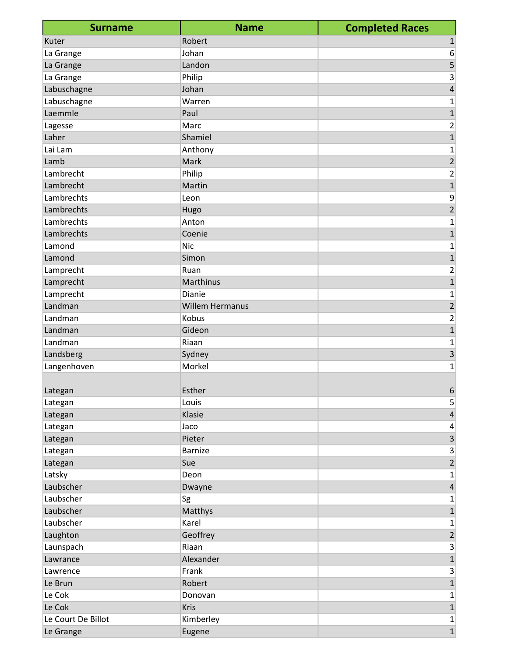| <b>Surname</b>     | <b>Name</b>            | <b>Completed Races</b>  |
|--------------------|------------------------|-------------------------|
| Kuter              | Robert                 | $\mathbf{1}$            |
| La Grange          | Johan                  | 6                       |
| La Grange          | Landon                 | 5                       |
| La Grange          | Philip                 | 3                       |
| Labuschagne        | Johan                  | 4                       |
| Labuschagne        | Warren                 | 1                       |
| Laemmle            | Paul                   | $\mathbf 1$             |
| Lagesse            | Marc                   | 2                       |
| Laher              | Shamiel                | $\mathbf 1$             |
| Lai Lam            | Anthony                | 1                       |
| Lamb               | Mark                   | $\overline{2}$          |
| Lambrecht          | Philip                 | 2                       |
| Lambrecht          | Martin                 | $\mathbf{1}$            |
| Lambrechts         | Leon                   | 9                       |
| Lambrechts         | Hugo                   | $\overline{2}$          |
| Lambrechts         | Anton                  | 1                       |
| Lambrechts         | Coenie                 | $\mathbf 1$             |
| Lamond             | <b>Nic</b>             | 1                       |
| Lamond             | Simon                  | $\mathbf{1}$            |
| Lamprecht          | Ruan                   | 2                       |
| Lamprecht          | Marthinus              | $\mathbf 1$             |
| Lamprecht          | Dianie                 | 1                       |
| Landman            | <b>Willem Hermanus</b> | $\overline{2}$          |
| Landman            | Kobus                  | 2                       |
| Landman            | Gideon                 | $\mathbf{1}$            |
| Landman            | Riaan                  | 1                       |
| Landsberg          | Sydney                 | 3                       |
| Langenhoven        | Morkel                 | 1                       |
|                    |                        |                         |
| Lategan            | Esther                 | $\boldsymbol{6}$        |
| Lategan            | Louis                  | 5                       |
| Lategan            | Klasie                 | $\overline{4}$          |
| Lategan            | Jaco                   | 4                       |
| Lategan            | Pieter                 | $\overline{\mathbf{3}}$ |
| Lategan            | <b>Barnize</b>         | 3                       |
| Lategan            | Sue                    | $\overline{2}$          |
| Latsky             | Deon                   | 1                       |
| Laubscher          | Dwayne                 | $\sqrt{4}$              |
| Laubscher          | Sg                     | 1                       |
| Laubscher          | Matthys                | $\mathbf{1}$            |
| Laubscher          | Karel                  | 1                       |
| Laughton           | Geoffrey               | $\overline{2}$          |
| Launspach          | Riaan                  | 3                       |
| Lawrance           | Alexander              | $\overline{1}$          |
| Lawrence           | Frank                  | 3                       |
| Le Brun            | Robert                 | $\mathbf{1}$            |
| Le Cok             | Donovan                | 1                       |
| Le Cok             | <b>Kris</b>            | $\mathbf{1}$            |
| Le Court De Billot | Kimberley              | 1                       |
| Le Grange          | Eugene                 | $\overline{1}$          |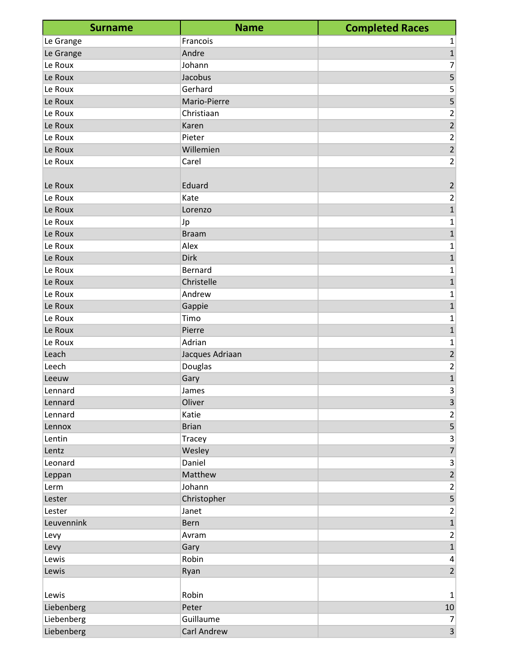| <b>Surname</b> | <b>Name</b>     | <b>Completed Races</b>  |
|----------------|-----------------|-------------------------|
| Le Grange      | Francois        | 1                       |
| Le Grange      | Andre           | $\mathbf 1$             |
| Le Roux        | Johann          | 7                       |
| Le Roux        | Jacobus         | 5                       |
| Le Roux        | Gerhard         | 5                       |
| Le Roux        | Mario-Pierre    | $\overline{5}$          |
| Le Roux        | Christiaan      | 2                       |
| Le Roux        | Karen           | $\overline{2}$          |
| Le Roux        | Pieter          | $\overline{c}$          |
| Le Roux        | Willemien       | $\overline{2}$          |
| Le Roux        | Carel           | $\overline{2}$          |
|                |                 |                         |
| Le Roux        | Eduard          | 2                       |
| Le Roux        | Kate            | $\overline{c}$          |
| Le Roux        | Lorenzo         | $\mathbf{1}$            |
| Le Roux        | Jp              | 1                       |
| Le Roux        | <b>Braam</b>    | 1                       |
| Le Roux        | Alex            | 1                       |
| Le Roux        | Dirk            | $\mathbf 1$             |
| Le Roux        | Bernard         | 1                       |
| Le Roux        | Christelle      | $\mathbf 1$             |
| Le Roux        | Andrew          | 1                       |
| Le Roux        | Gappie          | $\mathbf{1}$            |
| Le Roux        | Timo            | 1                       |
| Le Roux        | Pierre          | $\mathbf{1}$            |
| Le Roux        | Adrian          | 1                       |
| Leach          | Jacques Adriaan | $\overline{2}$          |
| Leech          | Douglas         | 2                       |
| Leeuw          | Gary            | $\mathbf 1$             |
| Lennard        | James           | 3                       |
| Lennard        | Oliver          | $\overline{3}$          |
| Lennard        | Katie           | $\overline{2}$          |
| Lennox         | <b>Brian</b>    | $\overline{5}$          |
| Lentin         | Tracey          | 3                       |
| Lentz          | Wesley          | $\overline{7}$          |
| Leonard        | Daniel          | $\overline{\mathbf{3}}$ |
| Leppan         | Matthew         | $\overline{2}$          |
| Lerm           | Johann          | $\overline{2}$          |
| Lester         | Christopher     | $\overline{\mathbf{5}}$ |
| Lester         | Janet           | $\overline{2}$          |
| Leuvennink     | <b>Bern</b>     | $\overline{1}$          |
| Levy           | Avram           | $\overline{2}$          |
| Levy           | Gary            | $\mathbf 1$             |
| Lewis          | Robin           | $\overline{4}$          |
| Lewis          | Ryan            | $\overline{2}$          |
| Lewis          | Robin           | 1                       |
| Liebenberg     | Peter           | 10                      |
| Liebenberg     | Guillaume       | 7                       |
| Liebenberg     | Carl Andrew     | $\overline{3}$          |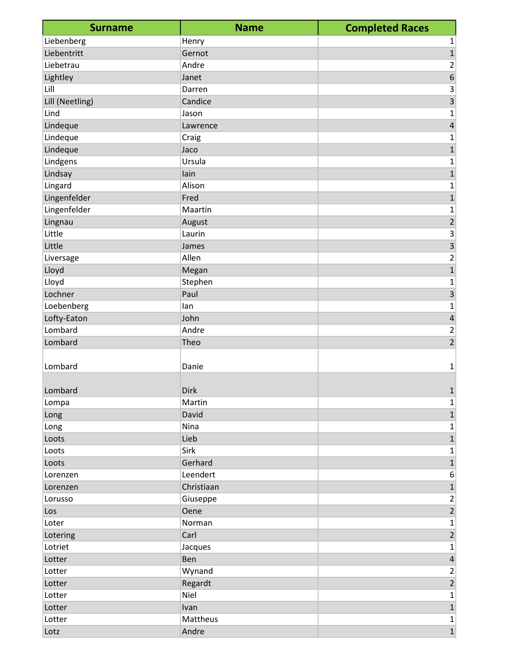| <b>Surname</b>  | <b>Name</b> | <b>Completed Races</b>    |
|-----------------|-------------|---------------------------|
| Liebenberg      | Henry       | 1                         |
| Liebentritt     | Gernot      | $\mathbf{1}$              |
| Liebetrau       | Andre       | $\overline{\mathbf{c}}$   |
| Lightley        | Janet       | $\overline{6}$            |
| Lill            | Darren      | $\ensuremath{\mathsf{3}}$ |
| Lill (Neetling) | Candice     | $\overline{\mathbf{3}}$   |
| Lind            | Jason       | 1                         |
| Lindeque        | Lawrence    | $\overline{\mathbf{4}}$   |
| Lindeque        | Craig       | 1                         |
| Lindeque        | Jaco        | $\mathbf{1}$              |
| Lindgens        | Ursula      | 1                         |
| Lindsay         | lain        | $\mathbf{1}$              |
| Lingard         | Alison      | 1                         |
| Lingenfelder    | Fred        | $\mathbf{1}$              |
| Lingenfelder    | Maartin     | 1                         |
| Lingnau         | August      | $\overline{2}$            |
| Little          | Laurin      | 3                         |
| Little          | James       | $\overline{\mathbf{3}}$   |
| Liversage       | Allen       | $\overline{c}$            |
| Lloyd           | Megan       | $\mathbf{1}$              |
| Lloyd           | Stephen     | 1                         |
| Lochner         | Paul        | $\overline{\mathbf{3}}$   |
| Loebenberg      | lan         | 1                         |
| Lofty-Eaton     | John        | $\pmb{4}$                 |
| Lombard         | Andre       | $\mathbf 2$               |
| Lombard         | Theo        | $\overline{2}$            |
|                 |             |                           |
| Lombard         | Danie       | $\mathbf 1$               |
|                 |             |                           |
| Lombard         | Dirk        | $\mathbf{1}$              |
| Lompa           | Martin      | 1                         |
| Long            | David       | $\mathbf 1$               |
| Long            | Nina        | 1                         |
| Loots           | Lieb        | $\mathbf{1}$              |
| Loots           | Sirk        | 1                         |
| Loots           | Gerhard     | $\overline{1}$            |
| Lorenzen        | Leendert    | 6                         |
| Lorenzen        | Christiaan  | $\mathbf{1}$              |
| Lorusso         | Giuseppe    | $\overline{2}$            |
| Los             | Oene        | $\overline{2}$            |
| Loter           | Norman      | 1                         |
| Lotering        | Carl        | $\overline{2}$            |
| Lotriet         | Jacques     | 1                         |
| Lotter          | Ben         | $\overline{\mathbf{4}}$   |
| Lotter          | Wynand      | 2                         |
| Lotter          | Regardt     | $\overline{2}$            |
| Lotter          | Niel        | 1                         |
| Lotter          | Ivan        | $\mathbf 1$               |
| Lotter          | Mattheus    | 1                         |
| Lotz            | Andre       | $\mathbf{1}$              |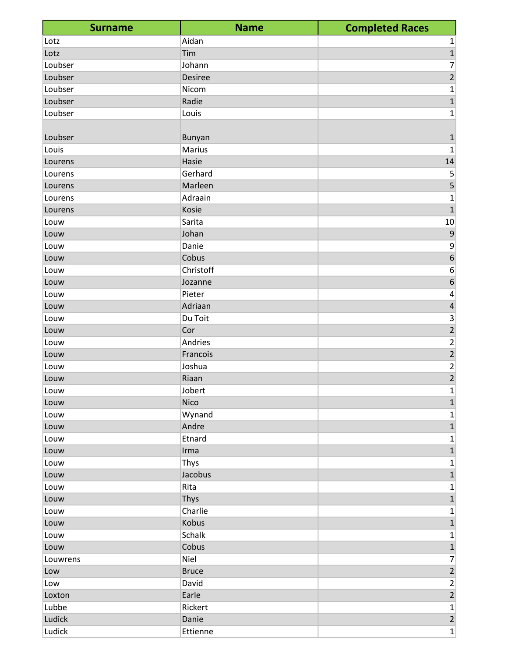| <b>Surname</b> | <b>Name</b>  | <b>Completed Races</b>    |
|----------------|--------------|---------------------------|
| Lotz           | Aidan        | 1                         |
| Lotz           | Tim          | $\overline{1}$            |
| Loubser        | Johann       | 7                         |
| Loubser        | Desiree      | $\overline{2}$            |
| Loubser        | Nicom        | 1                         |
| Loubser        | Radie        | $\mathbf{1}$              |
| Loubser        | Louis        | 1                         |
|                |              |                           |
| Loubser        | Bunyan       | $\mathbf{1}$              |
| Louis          | Marius       | 1                         |
| Lourens        | Hasie        | 14                        |
| Lourens        | Gerhard      | 5                         |
| Lourens        | Marleen      | 5                         |
| Lourens        | Adraain      | 1                         |
| Lourens        | Kosie        | $\mathbf 1$               |
| Louw           | Sarita       | 10                        |
| Louw           | Johan        | $\mathsf 9$               |
| Louw           | Danie        | 9                         |
| Louw           | Cobus        | 6                         |
| Louw           | Christoff    | 6                         |
| Louw           | Jozanne      | $\,$ 6 $\,$               |
| Louw           | Pieter       | 4                         |
| Louw           | Adriaan      | $\overline{\mathbf{4}}$   |
| Louw           | Du Toit      | $\ensuremath{\mathsf{3}}$ |
| Louw           | Cor          | $\overline{2}$            |
| Louw           | Andries      | $\overline{\mathbf{c}}$   |
| Louw           | Francois     | $\overline{2}$            |
| Louw           | Joshua       | $\overline{\mathbf{c}}$   |
| Louw           | Riaan        | $\overline{2}$            |
| Louw           | Jobert       | $\mathbf 1$               |
| Louw           | Nico         | $\overline{1}$            |
| Louw           | Wynand       | 1                         |
| Louw           | Andre        | $\mathbf{1}$              |
| Louw           | Etnard       | 1                         |
| Louw           | Irma         | $\mathbf 1$               |
| Louw           | Thys         | 1                         |
| Louw           | Jacobus      | $\overline{1}$            |
| Louw           | Rita         | 1                         |
| Louw           | <b>Thys</b>  | $\overline{1}$            |
| Louw           | Charlie      | 1                         |
| Louw           | Kobus        | $\mathbf 1$               |
| Louw           | Schalk       | 1                         |
| Louw           | Cobus        | $\mathbf 1$               |
| Louwrens       | Niel         | 7                         |
| Low            | <b>Bruce</b> | $\overline{2}$            |
| Low            | David        | $\overline{2}$            |
| Loxton         | Earle        | $\overline{2}$            |
| Lubbe          | Rickert      | 1                         |
| Ludick         | Danie        | $\overline{2}$            |
| Ludick         | Ettienne     | $\mathbf 1$               |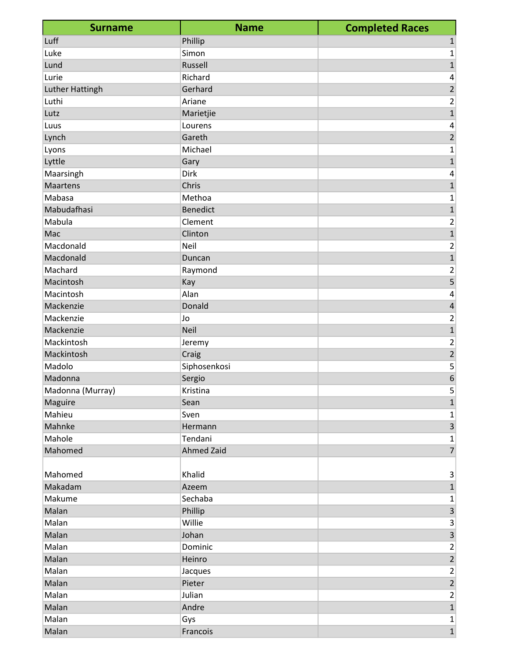| <b>Surname</b>   | <b>Name</b>       | <b>Completed Races</b>  |
|------------------|-------------------|-------------------------|
| Luff             | Phillip           | $\mathbf{1}$            |
| Luke             | Simon             | 1                       |
| Lund             | Russell           | $\mathbf 1$             |
| Lurie            | Richard           | 4                       |
| Luther Hattingh  | Gerhard           | $\overline{c}$          |
| Luthi            | Ariane            | 2                       |
| Lutz             | Marietjie         | 1                       |
| Luus             | Lourens           | 4                       |
| Lynch            | Gareth            | $\overline{2}$          |
| Lyons            | Michael           | 1                       |
| Lyttle           | Gary              | $\mathbf{1}$            |
| Maarsingh        | Dirk              | 4                       |
| <b>Maartens</b>  | Chris             | $\mathbf 1$             |
| Mabasa           | Methoa            | 1                       |
| Mabudafhasi      | <b>Benedict</b>   | $\mathbf{1}$            |
| Mabula           | Clement           | 2                       |
| Mac              | Clinton           | $\mathbf 1$             |
| Macdonald        | Neil              | 2                       |
| Macdonald        | Duncan            | $\mathbf{1}$            |
| Machard          | Raymond           | 2                       |
| Macintosh        | Kay               | 5                       |
| Macintosh        | Alan              | 4                       |
| Mackenzie        | Donald            | 4                       |
| Mackenzie        | Jo                | 2                       |
| Mackenzie        | Neil              | $\mathbf{1}$            |
| Mackintosh       | Jeremy            | 2                       |
| Mackintosh       | Craig             | $\overline{2}$          |
| Madolo           | Siphosenkosi      | 5                       |
| Madonna          | Sergio            | 6                       |
| Madonna (Murray) | Kristina          | 5                       |
| Maguire          | Sean              | $\overline{1}$          |
| Mahieu           | Sven              | 1                       |
| Mahnke           | Hermann           | $\overline{\mathbf{3}}$ |
| Mahole           | Tendani           | 1                       |
| Mahomed          | <b>Ahmed Zaid</b> | $\overline{7}$          |
|                  |                   |                         |
| Mahomed          | Khalid            | $\overline{\mathbf{3}}$ |
| Makadam          | Azeem             | $\mathbf{1}$            |
| Makume           | Sechaba           | 1                       |
| Malan            | Phillip           | $\overline{\mathbf{3}}$ |
| Malan            | Willie            | 3                       |
| Malan            | Johan             | $\overline{3}$          |
| Malan            | Dominic           | $\overline{2}$          |
| Malan            | Heinro            | $\overline{2}$          |
| Malan            | Jacques           | $\overline{c}$          |
| Malan            | Pieter            | $\overline{2}$          |
| Malan            | Julian            | $\overline{2}$          |
| Malan            | Andre             | $\mathbf{1}$            |
| Malan            | Gys               | 1                       |
| Malan            | Francois          | $\overline{1}$          |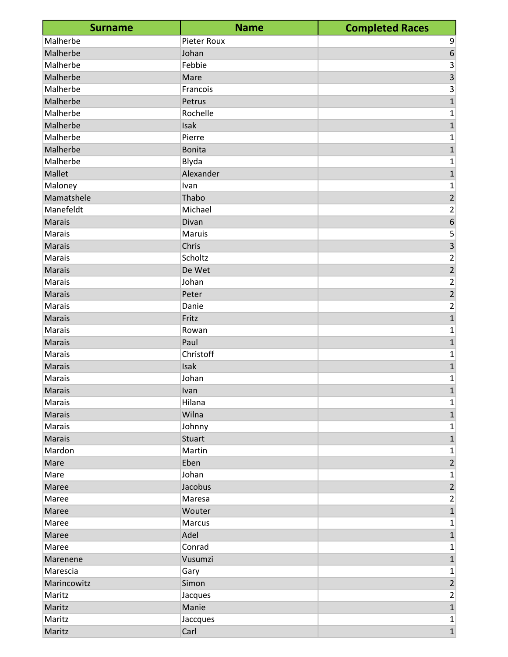| <b>Surname</b> | <b>Name</b>        | <b>Completed Races</b>  |
|----------------|--------------------|-------------------------|
| Malherbe       | <b>Pieter Roux</b> | 9                       |
| Malherbe       | Johan              | $\boldsymbol{6}$        |
| Malherbe       | Febbie             | $\mathsf{3}$            |
| Malherbe       | Mare               | $\overline{\mathbf{3}}$ |
| Malherbe       | Francois           | $\mathsf 3$             |
| Malherbe       | Petrus             | $\mathbf{1}$            |
| Malherbe       | Rochelle           | $\mathbf{1}$            |
| Malherbe       | Isak               | $\overline{1}$          |
| Malherbe       | Pierre             | $\mathbf 1$             |
| Malherbe       | <b>Bonita</b>      | $\mathbf{1}$            |
| Malherbe       | Blyda              | 1                       |
| Mallet         | Alexander          | $\mathbf 1$             |
| Maloney        | Ivan               | $\mathbf 1$             |
| Mamatshele     | Thabo              | $\overline{c}$          |
| Manefeldt      | Michael            | $\overline{\mathbf{c}}$ |
| <b>Marais</b>  | Divan              | $\overline{6}$          |
| Marais         | Maruis             | 5                       |
| Marais         | Chris              | $\overline{\mathbf{3}}$ |
| Marais         | Scholtz            |                         |
| <b>Marais</b>  | De Wet             | $\frac{2}{2}$           |
| Marais         | Johan              | $\frac{2}{2}$           |
| <b>Marais</b>  | Peter              |                         |
| Marais         | Danie              | $\overline{\mathbf{c}}$ |
| <b>Marais</b>  | Fritz              | $\overline{1}$          |
| Marais         | Rowan              | $\mathbf 1$             |
| <b>Marais</b>  | Paul               | $\overline{1}$          |
| Marais         | Christoff          | $\mathbf 1$             |
| <b>Marais</b>  | Isak               | $\mathbf 1$             |
| Marais         | Johan              | 1                       |
| Marais         | Ivan               | $1\vert$                |
| Marais         | Hilana             | $\mathbf{1}$            |
| <b>Marais</b>  | Wilna              | $\mathbf{1}$            |
| Marais         | Johnny             | $\mathbf 1$             |
| <b>Marais</b>  | <b>Stuart</b>      | $\mathbf 1$             |
| Mardon         | Martin             | $\mathbf{1}$            |
| Mare           | Eben               | $\overline{2}$          |
| Mare           | Johan              | $\mathbf{1}$            |
| Maree          | Jacobus            | $\overline{2}$          |
| Maree          | Maresa             | $\overline{2}$          |
| Maree          | Wouter             | $\mathbf 1$             |
| Maree          | Marcus             | $\mathbf{1}$            |
| Maree          | Adel               | $\mathbf 1$             |
| Maree          | Conrad             | $\mathbf{1}$            |
| Marenene       | Vusumzi            | $\mathbf 1$             |
| Marescia       | Gary               | $\mathbf 1$             |
| Marincowitz    | Simon              | $\mathbf 2$             |
| Maritz         | Jacques            | $\mathbf 2$             |
| Maritz         | Manie              | $\overline{1}$          |
| Maritz         | Jaccques           | $\mathbf 1$             |
| Maritz         | Carl               | $\overline{1}$          |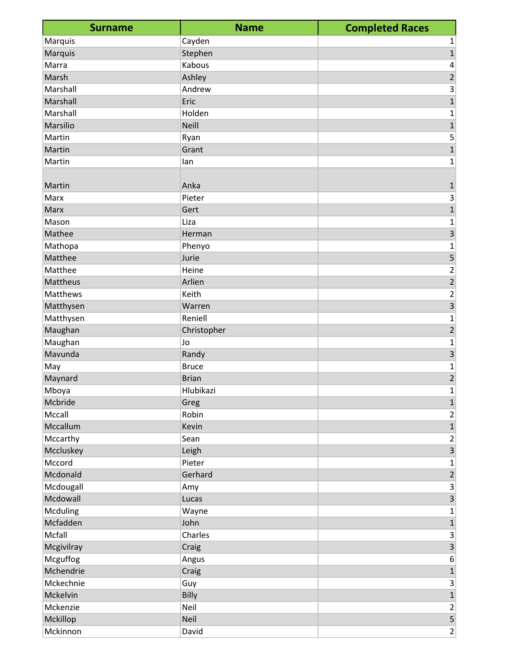| <b>Surname</b> | <b>Name</b>  | <b>Completed Races</b>  |
|----------------|--------------|-------------------------|
| Marquis        | Cayden       | 1                       |
| Marquis        | Stephen      | $\mathbf 1$             |
| Marra          | Kabous       | 4                       |
| Marsh          | Ashley       | $\overline{2}$          |
| Marshall       | Andrew       | 3                       |
| Marshall       | Eric         | $\mathbf{1}$            |
| Marshall       | Holden       | 1                       |
| Marsilio       | <b>Neill</b> | $\mathbf 1$             |
| Martin         | Ryan         | 5                       |
| Martin         | Grant        | $\mathbf{1}$            |
| Martin         | lan          | 1                       |
|                |              |                         |
| Martin         | Anka         | $\mathbf{1}$            |
| Marx           | Pieter       | 3                       |
| Marx           | Gert         | $\mathbf 1$             |
| Mason          | Liza         | 1                       |
| Mathee         | Herman       | 3                       |
| Mathopa        | Phenyo       | 1                       |
| Matthee        | Jurie        | 5                       |
| Matthee        | Heine        | 2                       |
| Mattheus       | Arlien       | $\overline{2}$          |
| Matthews       | Keith        | 2                       |
| Matthysen      | Warren       | $\overline{3}$          |
| Matthysen      | Reniell      | 1                       |
| Maughan        | Christopher  | $\overline{2}$          |
| Maughan        | Jo           | 1                       |
| Mavunda        | Randy        | 3                       |
| May            | <b>Bruce</b> | 1                       |
| Maynard        | <b>Brian</b> | $\overline{2}$          |
| Mboya          | Hlubikazi    | $\mathbf 1$             |
| Mcbride        | Greg         | $\overline{1}$          |
| Mccall         | Robin        | $\overline{c}$          |
| Mccallum       | Kevin        | $\mathbf{1}$            |
| Mccarthy       | Sean         | $\overline{\mathbf{c}}$ |
| Mccluskey      | Leigh        | $\overline{\mathbf{3}}$ |
| Mccord         | Pieter       | 1                       |
| Mcdonald       | Gerhard      | $\overline{2}$          |
| Mcdougall      | Amy          | 3                       |
| Mcdowall       | Lucas        | $\overline{\mathbf{3}}$ |
| Mcduling       | Wayne        | 1                       |
| Mcfadden       | John         | $\mathbf 1$             |
| Mcfall         | Charles      | 3                       |
| Mcgivilray     | Craig        | $\overline{3}$          |
| Mcguffog       | Angus        | 6                       |
| Mchendrie      | Craig        | $\mathbf{1}$            |
| Mckechnie      | Guy          | 3                       |
| Mckelvin       | Billy        | $\mathbf{1}$            |
| Mckenzie       | Neil         | $\overline{2}$          |
| Mckillop       | Neil         | $\overline{5}$          |
| Mckinnon       | David        | $\overline{2}$          |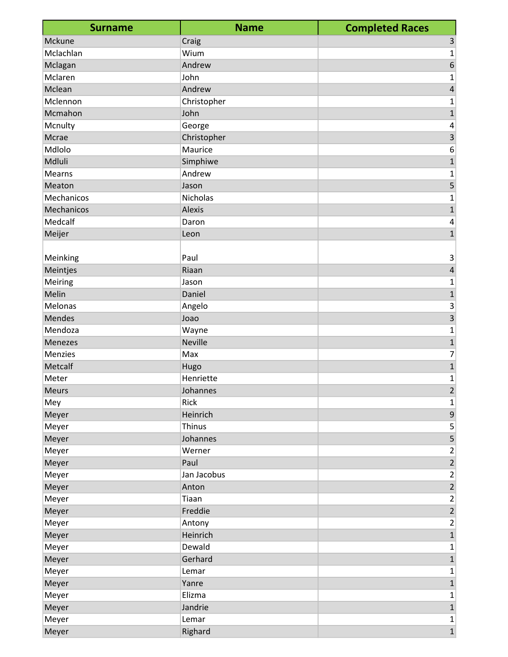| <b>Surname</b> | <b>Name</b>    | <b>Completed Races</b>  |
|----------------|----------------|-------------------------|
| Mckune         | Craig          | 3                       |
| Mclachlan      | Wium           | 1                       |
| Mclagan        | Andrew         | 6                       |
| Mclaren        | John           | 1                       |
| Mclean         | Andrew         | $\sqrt{4}$              |
| Mclennon       | Christopher    | 1                       |
| Mcmahon        | John           | 1                       |
| Mcnulty        | George         | 4                       |
| Mcrae          | Christopher    | $\overline{\mathbf{3}}$ |
| Mdlolo         | Maurice        | 6                       |
| Mdluli         | Simphiwe       | $\mathbf 1$             |
| Mearns         | Andrew         | 1                       |
| Meaton         | Jason          | 5                       |
| Mechanicos     | Nicholas       | 1                       |
| Mechanicos     | Alexis         | $\mathbf{1}$            |
| Medcalf        | Daron          | 4                       |
| Meijer         | Leon           | $\mathbf{1}$            |
|                |                |                         |
| Meinking       | Paul           | 3                       |
| Meintjes       | Riaan          | $\overline{\mathbf{4}}$ |
| Meiring        | Jason          | 1                       |
| Melin          | Daniel         | $\mathbf{1}$            |
| Melonas        | Angelo         | 3                       |
| Mendes         | Joao           | $\overline{\mathbf{3}}$ |
| Mendoza        | Wayne          | $\mathbf 1$             |
| <b>Menezes</b> | <b>Neville</b> | 1                       |
| Menzies        | Max            | 7                       |
| Metcalf        | Hugo           | $\mathbf{1}$            |
| Meter          | Henriette      | 1                       |
| <b>Meurs</b>   | Johannes       | $\overline{c}$          |
| Mey            | Rick           | 1                       |
| Meyer          | Heinrich       | 9                       |
| Meyer          | <b>Thinus</b>  | 5                       |
| Meyer          | Johannes       | $\overline{\mathbf{5}}$ |
| Meyer          | Werner         | 2                       |
| Meyer          | Paul           | $\overline{2}$          |
| Meyer          | Jan Jacobus    | $\overline{2}$          |
| Meyer          | Anton          | $\overline{2}$          |
| Meyer          | Tiaan          | $\overline{\mathbf{c}}$ |
| Meyer          | Freddie        | $\overline{2}$          |
| Meyer          | Antony         | 2                       |
| Meyer          | Heinrich       | $\mathbf{1}$            |
| Meyer          | Dewald         | 1                       |
| Meyer          | Gerhard        | $\mathbf{1}$            |
| Meyer          | Lemar          | 1                       |
| Meyer          | Yanre          | $\mathbf 1$             |
| Meyer          | Elizma         | 1                       |
| Meyer          | Jandrie        | $\mathbf 1$             |
| Meyer          | Lemar          | 1                       |
| Meyer          | Righard        | $\overline{1}$          |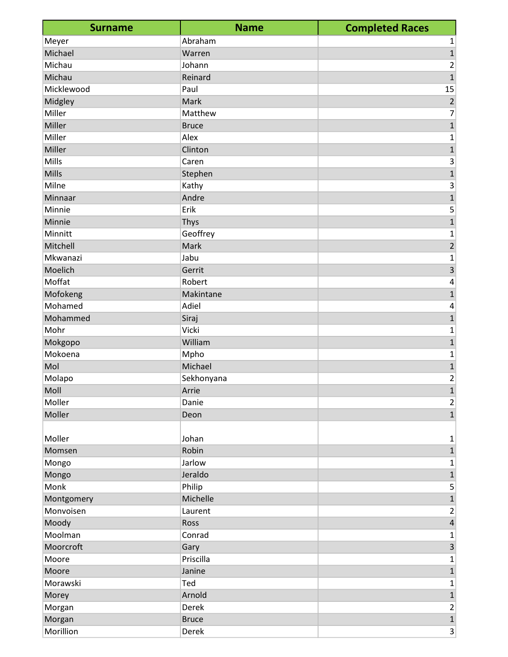| <b>Surname</b> | <b>Name</b>  | <b>Completed Races</b>  |
|----------------|--------------|-------------------------|
| Meyer          | Abraham      | 1                       |
| Michael        | Warren       | $\mathbf 1$             |
| Michau         | Johann       | 2                       |
| Michau         | Reinard      | $\overline{1}$          |
| Micklewood     | Paul         | 15                      |
| Midgley        | Mark         | $\overline{2}$          |
| Miller         | Matthew      | 7                       |
| Miller         | <b>Bruce</b> | $\mathbf{1}$            |
| Miller         | Alex         | 1                       |
| Miller         | Clinton      | $\mathbf{1}$            |
| Mills          | Caren        | 3                       |
| Mills          | Stephen      | $\mathbf{1}$            |
| Milne          | Kathy        | 3                       |
| Minnaar        | Andre        | $\mathbf{1}$            |
| Minnie         | Erik         | 5                       |
| Minnie         | <b>Thys</b>  | $\mathbf{1}$            |
| Minnitt        | Geoffrey     | 1                       |
| Mitchell       | Mark         | $\overline{2}$          |
| Mkwanazi       | Jabu         | 1                       |
| Moelich        | Gerrit       | 3                       |
| Moffat         | Robert       | 4                       |
| Mofokeng       | Makintane    | $\mathbf{1}$            |
| Mohamed        | Adiel        | 4                       |
| Mohammed       | Siraj        | $\mathbf 1$             |
| Mohr           | Vicki        | 1                       |
| Mokgopo        | William      | $\mathbf 1$             |
| Mokoena        | Mpho         | 1                       |
| Mol            | Michael      | $\mathbf{1}$            |
| Molapo         | Sekhonyana   | 2                       |
| Moll           | Arrie        | $\mathbf{1}$            |
| Moller         | Danie        | $\overline{c}$          |
| Moller         | Deon         | $\overline{1}$          |
|                |              |                         |
| Moller         | Johan        | 1                       |
| Momsen         | Robin        | $\overline{1}$          |
| Mongo          | Jarlow       | 1                       |
| Mongo          | Jeraldo      | $\mathbf 1$             |
| Monk           | Philip       | 5                       |
| Montgomery     | Michelle     | $\mathbf 1$             |
| Monvoisen      | Laurent      | $\overline{c}$          |
| Moody          | Ross         | $\overline{\mathbf{4}}$ |
| Moolman        | Conrad       | 1                       |
| Moorcroft      | Gary         | $\overline{\mathbf{3}}$ |
| Moore          | Priscilla    | 1                       |
| Moore          | Janine       | $\mathbf 1$             |
| Morawski       | Ted          | 1                       |
| Morey          | Arnold       | $\overline{1}$          |
| Morgan         | Derek        | $\overline{2}$          |
| Morgan         | <b>Bruce</b> | $\mathbf{1}$            |
| Morillion      | Derek        | 3 <sup>2</sup>          |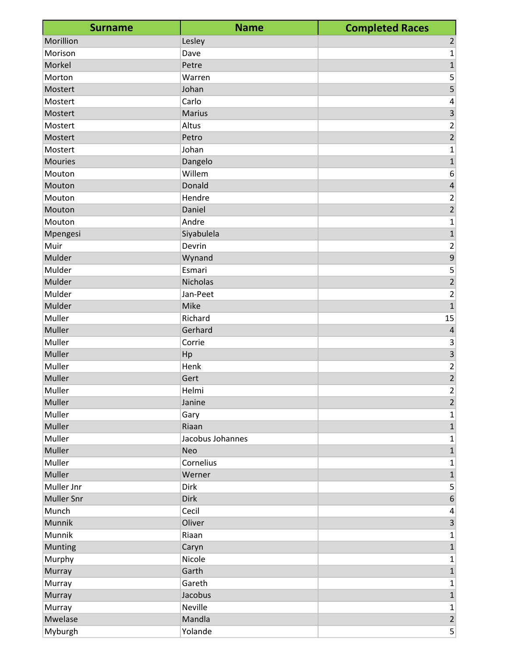| <b>Surname</b>    | <b>Name</b>      | <b>Completed Races</b>    |
|-------------------|------------------|---------------------------|
| Morillion         | Lesley           | $\overline{2}$            |
| Morison           | Dave             | $\mathbf{1}$              |
| Morkel            | Petre            | $\mathbf{1}$              |
| Morton            | Warren           | 5                         |
| Mostert           | Johan            | 5                         |
| Mostert           | Carlo            | $\overline{\mathbf{r}}$   |
| Mostert           | <b>Marius</b>    | $\overline{\mathbf{3}}$   |
| Mostert           | Altus            | $\overline{c}$            |
| Mostert           | Petro            | $\overline{2}$            |
| Mostert           | Johan            | $\mathbf 1$               |
| <b>Mouries</b>    | Dangelo          | $\mathbf{1}$              |
| Mouton            | Willem           | $\boldsymbol{6}$          |
| Mouton            | Donald           | $\pmb{4}$                 |
| Mouton            | Hendre           | $\overline{\mathbf{c}}$   |
| Mouton            | Daniel           | $\overline{2}$            |
| Mouton            | Andre            | $\mathbf 1$               |
| Mpengesi          | Siyabulela       | $\mathbf{1}$              |
| Muir              | Devrin           | $\mathbf 2$               |
| Mulder            | Wynand           | $\overline{9}$            |
| Mulder            | Esmari           | 5                         |
| Mulder            | Nicholas         | $\overline{2}$            |
| Mulder            | Jan-Peet         | $\mathbf 2$               |
| Mulder            | Mike             | $\overline{1}$            |
| Muller            | Richard          | 15                        |
| Muller            | Gerhard          | $\overline{\mathbf{r}}$   |
| Muller            | Corrie           | $\ensuremath{\mathsf{3}}$ |
| Muller            | Hp               | $\overline{\mathbf{3}}$   |
| Muller            | Henk             | $\overline{c}$            |
| Muller            | Gert             | $\overline{2}$            |
| Muller            | Helmi            | $\mathbf{2}$              |
| Muller            | Janine           | $\overline{2}$            |
| Muller            | Gary             | $\mathbf 1$               |
| Muller            | Riaan            | $\mathbf 1$               |
| Muller            | Jacobus Johannes | 1                         |
| Muller            | Neo              | $\mathbf{1}$              |
| Muller            | Cornelius        | $\mathbf{1}$              |
| Muller            | Werner           | $\mathbf 1$               |
| Muller Jnr        | Dirk             | 5 <sup>1</sup>            |
| <b>Muller Snr</b> | Dirk             | $\boldsymbol{6}$          |
| Munch             | Cecil            | $\pmb{4}$                 |
| Munnik            | Oliver           | $\overline{3}$            |
| Munnik            | Riaan            | $\mathbf 1$               |
| Munting           | Caryn            | $\mathbf 1$               |
| Murphy            | Nicole           | $\mathbf 1$               |
| Murray            | Garth            | $\mathbf 1$               |
| Murray            | Gareth           | $\mathbf{1}$              |
| Murray            | Jacobus          | $\mathbf 1$               |
| Murray            | Neville          | $\mathbf{1}$              |
| Mwelase           | Mandla           | $\overline{2}$            |
| Myburgh           | Yolande          | $\overline{5}$            |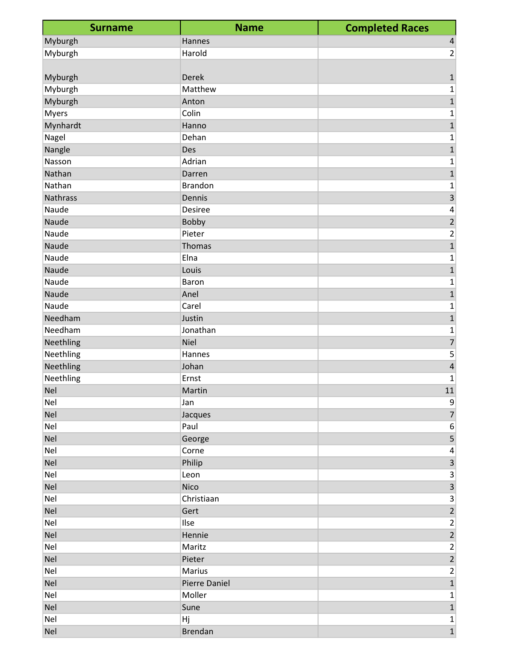| <b>Surname</b> | <b>Name</b>    | <b>Completed Races</b>  |
|----------------|----------------|-------------------------|
| Myburgh        | Hannes         | $\overline{4}$          |
| Myburgh        | Harold         | $\overline{2}$          |
|                |                |                         |
| Myburgh        | Derek          | $\mathbf{1}$            |
| Myburgh        | Matthew        | 1                       |
| Myburgh        | Anton          | $\mathbf{1}$            |
| Myers          | Colin          | 1                       |
| Mynhardt       | Hanno          | $\mathbf{1}$            |
| Nagel          | Dehan          | 1                       |
| Nangle         | Des            | $\mathbf{1}$            |
| Nasson         | Adrian         | 1                       |
| Nathan         | Darren         | $\mathbf 1$             |
| Nathan         | <b>Brandon</b> | 1                       |
| Nathrass       | Dennis         | $\overline{\mathbf{3}}$ |
| Naude          | <b>Desiree</b> | 4                       |
| Naude          | Bobby          | $\mathbf 2$             |
| Naude          | Pieter         | 2                       |
| Naude          | Thomas         | $\mathbf{1}$            |
| Naude          | Elna           | 1                       |
| Naude          | Louis          | $\mathbf{1}$            |
| Naude          | Baron          | 1                       |
| Naude          | Anel           | $\mathbf 1$             |
| Naude          | Carel          | 1                       |
| Needham        | Justin         | $\mathbf{1}$            |
| Needham        | Jonathan       | $\mathbf 1$             |
| Neethling      | <b>Niel</b>    | $\overline{7}$          |
| Neethling      | Hannes         | 5                       |
| Neethling      | Johan          | $\overline{\mathbf{r}}$ |
| Neethling      | Ernst          | 1                       |
| <b>Nel</b>     | Martin         | 11                      |
| <b>Nel</b>     | Jan            | 9                       |
| <b>Nel</b>     | Jacques        | $\overline{7}$          |
| <b>Nel</b>     | Paul           | 6                       |
| Nel            | George         | $\overline{5}$          |
| Nel            | Corne          | 4                       |
| Nel            | Philip         | $\overline{\mathbf{3}}$ |
| Nel            | Leon           | $\overline{\mathbf{3}}$ |
| <b>Nel</b>     | Nico           | $\overline{3}$          |
| Nel            | Christiaan     | 3                       |
| Nel            | Gert           | $\overline{2}$          |
| Nel            | Ilse           | $\mathbf 2$             |
| Nel            | Hennie         | $\overline{2}$          |
| Nel            | Maritz         | $\overline{2}$          |
| Nel            | Pieter         | $\overline{2}$          |
| Nel            | Marius         | $\overline{c}$          |
| Nel            | Pierre Daniel  | $\overline{1}$          |
| Nel            | Moller         | 1                       |
| Nel            | Sune           | $\mathbf 1$             |
| Nel            | Hj             | $\mathbf{1}$            |
| <b>Nel</b>     | <b>Brendan</b> | $\overline{1}$          |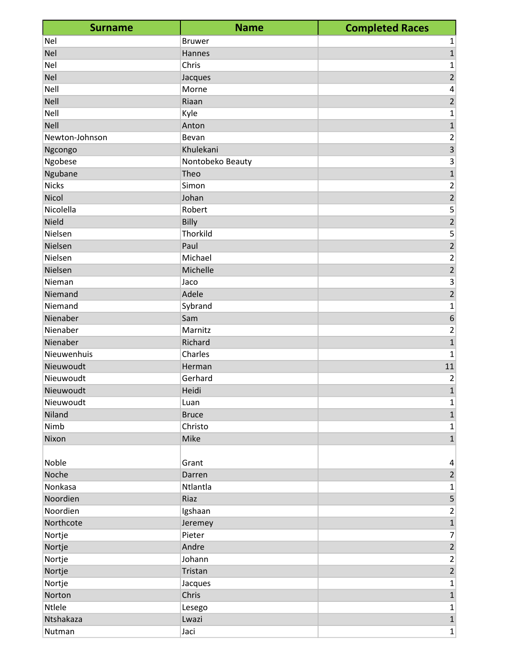| <b>Surname</b> | <b>Name</b>      | <b>Completed Races</b>  |
|----------------|------------------|-------------------------|
| <b>Nel</b>     | <b>Bruwer</b>    | 1                       |
| <b>Nel</b>     | Hannes           | $\mathbf{1}$            |
| Nel            | Chris            | 1                       |
| <b>Nel</b>     | Jacques          | $\overline{2}$          |
| Nell           | Morne            | 4                       |
| <b>Nell</b>    | Riaan            | $\overline{2}$          |
| Nell           | Kyle             | 1                       |
| <b>Nell</b>    | Anton            | $\mathbf{1}$            |
| Newton-Johnson | Bevan            | 2                       |
| Ngcongo        | Khulekani        | $\overline{\mathbf{3}}$ |
| Ngobese        | Nontobeko Beauty | 3                       |
| Ngubane        | Theo             | $\mathbf 1$             |
| <b>Nicks</b>   | Simon            | 2                       |
| Nicol          | Johan            | $\overline{2}$          |
| Nicolella      | Robert           | 5                       |
| Nield          | Billy            | $\overline{2}$          |
| Nielsen        | Thorkild         | 5                       |
| Nielsen        | Paul             | $\overline{2}$          |
| Nielsen        | Michael          | 2                       |
| Nielsen        | Michelle         | $\overline{2}$          |
| Nieman         | Jaco             | 3                       |
| Niemand        | Adele            | $\overline{2}$          |
| Niemand        | Sybrand          | 1                       |
| Nienaber       | Sam              | $\,$ 6 $\,$             |
| Nienaber       | Marnitz          | 2                       |
| Nienaber       | Richard          | 1                       |
| Nieuwenhuis    | Charles          | 1                       |
| Nieuwoudt      | Herman           | 11                      |
| Nieuwoudt      | Gerhard          | 2                       |
| Nieuwoudt      | Heidi            | $\mathbf{1}$            |
| Nieuwoudt      | Luan             | $\mathbf 1$             |
| Niland         | <b>Bruce</b>     | $\mathbf{1}$            |
| Nimb           | Christo          | 1                       |
| Nixon          | Mike             | $\mathbf{1}$            |
|                |                  |                         |
| Noble          | Grant            | 4                       |
| Noche          | Darren           | $\overline{2}$          |
| Nonkasa        | Ntlantla         | 1                       |
| Noordien       | Riaz             | $\overline{\mathbf{5}}$ |
| Noordien       | Igshaan          | $\overline{2}$          |
| Northcote      | Jeremey          | $\mathbf 1$             |
| Nortje         | Pieter           | 7                       |
| Nortje         | Andre            | $\overline{2}$          |
| Nortje         | Johann           | $\overline{\mathbf{c}}$ |
| Nortje         | Tristan          | $\overline{2}$          |
| Nortje         | Jacques          | 1                       |
| Norton         | Chris            | $\mathbf{1}$            |
| Ntlele         | Lesego           | 1                       |
| Ntshakaza      | Lwazi            | $\mathbf 1$             |
| Nutman         | Jaci             | $\mathbf 1$             |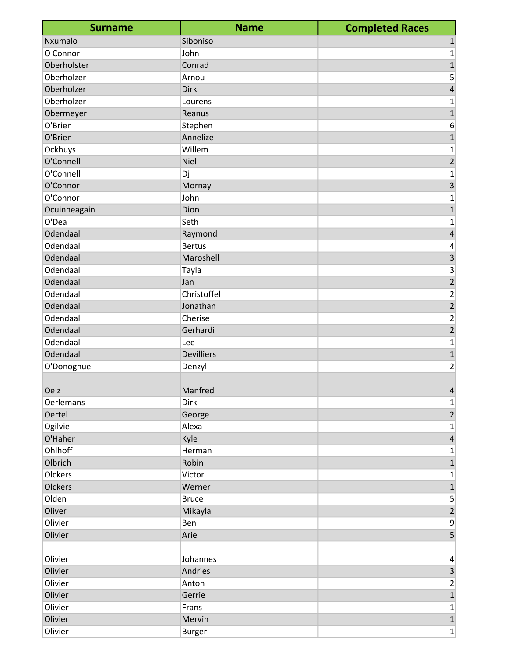| <b>Surname</b>   | <b>Name</b>       | <b>Completed Races</b> |
|------------------|-------------------|------------------------|
| Nxumalo          | Siboniso          | $\mathbf{1}$           |
| O Connor         | John              | 1                      |
| Oberholster      | Conrad            | $\mathbf{1}$           |
| Oberholzer       | Arnou             | 5                      |
| Oberholzer       | <b>Dirk</b>       | 4                      |
| Oberholzer       | Lourens           | 1                      |
| Obermeyer        | Reanus            | $\mathbf 1$            |
| O'Brien          | Stephen           | 6                      |
| O'Brien          | Annelize          | $\mathbf 1$            |
| Ockhuys          | Willem            | 1                      |
| O'Connell        | <b>Niel</b>       | $\overline{2}$         |
| O'Connell        | Dj                | 1                      |
| O'Connor         | Mornay            | 3                      |
| O'Connor         | John              | 1                      |
| Ocuinneagain     | Dion              | $\mathbf{1}$           |
| O'Dea            | Seth              | 1                      |
| Odendaal         | Raymond           | 4                      |
| Odendaal         | <b>Bertus</b>     | 4                      |
| Odendaal         | Maroshell         | 3                      |
| Odendaal         | Tayla             | 3                      |
| Odendaal         | Jan               | $\overline{2}$         |
| Odendaal         | Christoffel       | 2                      |
| Odendaal         | Jonathan          | $\overline{2}$         |
| Odendaal         | Cherise           | 2                      |
| Odendaal         | Gerhardi          | $\overline{2}$         |
| Odendaal         | Lee               | 1                      |
| Odendaal         | <b>Devilliers</b> | $\mathbf{1}$           |
| O'Donoghue       | Denzyl            | 2                      |
|                  |                   |                        |
| Oelz             | Manfred           | 4                      |
| <b>Oerlemans</b> | Dirk              | 1                      |
| Oertel           | George            | $\overline{2}$         |
| Ogilvie          | Alexa             | 1                      |
| O'Haher          | Kyle              | $\overline{4}$         |
| Ohlhoff          | Herman            | 1                      |
| Olbrich          | Robin             | $\mathbf{1}$           |
| Olckers          | Victor            | 1                      |
| Olckers          | Werner            | $\mathbf 1$            |
| Olden            | <b>Bruce</b>      | 5                      |
| Oliver           | Mikayla           | $\overline{2}$         |
| Olivier          | Ben               | 9                      |
| Olivier          | Arie              | 5 <sup>1</sup>         |
| Olivier          | Johannes          | 4                      |
| Olivier          | Andries           | 3                      |
| Olivier          | Anton             | $\overline{2}$         |
| Olivier          | Gerrie            | $\mathbf{1}$           |
| Olivier          | Frans             | 1                      |
| Olivier          | Mervin            | $\mathbf 1$            |
| Olivier          | <b>Burger</b>     | $\mathbf{1}$           |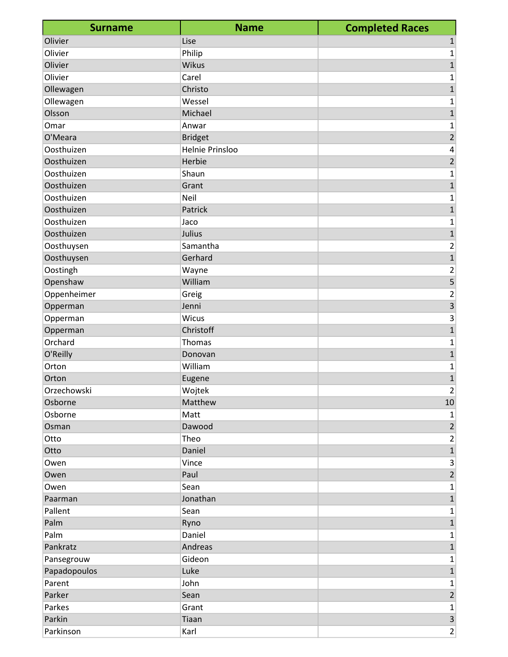| <b>Surname</b> | <b>Name</b>     | <b>Completed Races</b>    |
|----------------|-----------------|---------------------------|
| Olivier        | Lise            | $\mathbf{1}$              |
| Olivier        | Philip          | 1                         |
| Olivier        | Wikus           | $\mathbf{1}$              |
| Olivier        | Carel           | $\mathbf 1$               |
| Ollewagen      | Christo         | $\mathbf 1$               |
| Ollewagen      | Wessel          | $\mathbf 1$               |
| Olsson         | Michael         | $\mathbf{1}$              |
| Omar           | Anwar           | 1                         |
| O'Meara        | <b>Bridget</b>  | $\overline{2}$            |
| Oosthuizen     | Helnie Prinsloo | $\overline{\mathbf{r}}$   |
| Oosthuizen     | Herbie          | $\overline{c}$            |
| Oosthuizen     | Shaun           | $\mathbf 1$               |
| Oosthuizen     | Grant           | $\overline{1}$            |
| Oosthuizen     | Neil            | $\mathbf 1$               |
| Oosthuizen     | Patrick         | $\overline{1}$            |
| Oosthuizen     | Jaco            | $\mathbf 1$               |
| Oosthuizen     | Julius          | $\mathbf{1}$              |
| Oosthuysen     | Samantha        | $\overline{2}$            |
| Oosthuysen     | Gerhard         | $\overline{1}$            |
| Oostingh       | Wayne           | $\frac{2}{5}$             |
| Openshaw       | William         |                           |
| Oppenheimer    | Greig           | $\mathbf 2$               |
| Opperman       | Jenni           | $\overline{\mathbf{3}}$   |
| Opperman       | <b>Wicus</b>    | $\mathsf{3}$              |
| Opperman       | Christoff       | $\overline{1}$            |
| Orchard        | <b>Thomas</b>   | $\mathbf 1$               |
| O'Reilly       | Donovan         | $\mathbf{1}$              |
| Orton          | William         | $\mathbf 1$               |
| Orton          | Eugene          | $\mathbf 1$               |
| Orzechowski    | Wojtek          | $\left  \right $          |
| Osborne        | Matthew         | $10\,$                    |
| Osborne        | Matt            | $\mathbf{1}$              |
| Osman          | Dawood          | $\mathbf 2$               |
| Otto           | Theo            | $\overline{2}$            |
| Otto           | Daniel          | $\overline{1}$            |
| Owen           | Vince           | $\ensuremath{\mathsf{3}}$ |
| Owen           | Paul            | $\overline{2}$            |
| Owen           | Sean            | $\mathbf 1$               |
| Paarman        | Jonathan        | $\mathbf 1$               |
| Pallent        | Sean            | $\mathbf 1$               |
| Palm           | Ryno            | $\overline{1}$            |
| Palm           | Daniel          | $\mathbf 1$               |
| Pankratz       | Andreas         | $\mathbf 1$               |
| Pansegrouw     | Gideon          | $\mathbf 1$               |
| Papadopoulos   | Luke            | $\mathbf 1$               |
| Parent         | John            | $\mathbf 1$               |
| Parker         | Sean            | $\mathbf 2$               |
| Parkes         | Grant           | $\mathbf{1}$              |
| Parkin         | Tiaan           | $\overline{\mathbf{3}}$   |
| Parkinson      | Karl            | $\overline{2}$            |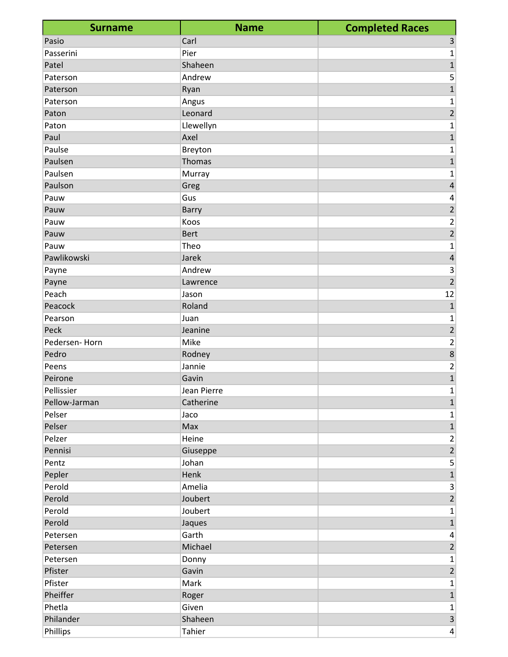| <b>Surname</b> | <b>Name</b> | <b>Completed Races</b>  |
|----------------|-------------|-------------------------|
| Pasio          | Carl        | $\mathsf 3$             |
| Passerini      | Pier        | $\mathbf{1}$            |
| Patel          | Shaheen     | $\mathbf 1$             |
| Paterson       | Andrew      | 5                       |
| Paterson       | Ryan        | $\overline{1}$          |
| Paterson       | Angus       | $\mathbf 1$             |
| Paton          | Leonard     | $\overline{2}$          |
| Paton          | Llewellyn   | $\mathbf 1$             |
| Paul           | Axel        | $\overline{1}$          |
| Paulse         | Breyton     | $\mathbf 1$             |
| Paulsen        | Thomas      | $\mathbf 1$             |
| Paulsen        | Murray      | $\mathbf{1}$            |
| Paulson        | Greg        | $\sqrt{4}$              |
| Pauw           | Gus         | $\overline{\mathbf{r}}$ |
| Pauw           | Barry       | $\overline{2}$          |
| Pauw           | Koos        | $\mathbf 2$             |
| Pauw           | <b>Bert</b> | $\overline{2}$          |
| Pauw           | Theo        | $\mathbf 1$             |
| Pawlikowski    | Jarek       | $\overline{\mathbf{r}}$ |
| Payne          | Andrew      | $\mathsf 3$             |
| Payne          | Lawrence    | $\overline{2}$          |
| Peach          | Jason       | 12                      |
| Peacock        | Roland      | $\mathbf 1$             |
| Pearson        | Juan        | 1                       |
| Peck           | Jeanine     | $\overline{2}$          |
| Pedersen-Horn  | Mike        | $\mathbf 2$             |
| Pedro          | Rodney      | $\bf 8$                 |
| Peens          | Jannie      | $\overline{\mathbf{c}}$ |
| Peirone        | Gavin       | $\overline{1}$          |
| Pellissier     | Jean Pierre | $\mathbf{1}$            |
| Pellow-Jarman  | Catherine   | $\mathbf 1$             |
| Pelser         | Jaco        | $\mathbf 1$             |
| Pelser         | Max         | $\mathbf 1$             |
| Pelzer         | Heine       | $\mathbf 2$             |
| Pennisi        | Giuseppe    | $\overline{2}$          |
| Pentz          | Johan       | $\mathsf S$             |
| Pepler         | Henk        | $\mathbf 1$             |
| Perold         | Amelia      | $\overline{\mathbf{3}}$ |
| Perold         | Joubert     | $\overline{2}$          |
| Perold         | Joubert     | $\mathbf 1$             |
| Perold         | Jaques      | $\mathbf 1$             |
| Petersen       | Garth       | 4                       |
| Petersen       | Michael     | $\overline{2}$          |
| Petersen       | Donny       | $\mathbf 1$             |
| Pfister        | Gavin       | $\overline{2}$          |
| Pfister        | Mark        | $\mathbf 1$             |
| Pheiffer       | Roger       | $\mathbf 1$             |
| Phetla         | Given       | $\mathbf{1}$            |
| Philander      | Shaheen     | $\overline{\mathbf{3}}$ |
| Phillips       | Tahier      | $\pmb{4}$               |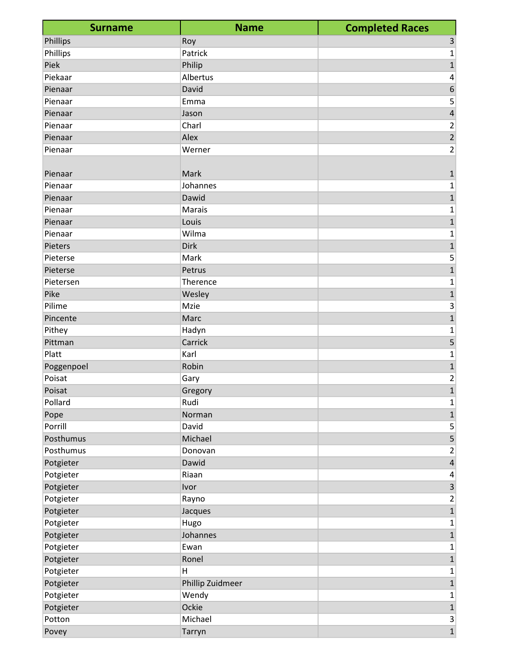| <b>Surname</b> | <b>Name</b>      | <b>Completed Races</b>  |
|----------------|------------------|-------------------------|
| Phillips       | Roy              | 3                       |
| Phillips       | Patrick          | 1                       |
| Piek           | Philip           | $\mathbf 1$             |
| Piekaar        | Albertus         | 4                       |
| Pienaar        | David            | $\,$ 6 $\,$             |
| Pienaar        | Emma             | 5                       |
| Pienaar        | Jason            | $\sqrt{4}$              |
| Pienaar        | Charl            | $\overline{\mathbf{c}}$ |
| Pienaar        | Alex             | $\overline{2}$          |
| Pienaar        | Werner           | 2                       |
|                |                  |                         |
| Pienaar        | Mark             | 1                       |
| Pienaar        | Johannes         | $\mathbf 1$             |
| Pienaar        | Dawid            | $\mathbf 1$             |
| Pienaar        | Marais           | 1                       |
| Pienaar        | Louis            | $\mathbf{1}$            |
| Pienaar        | Wilma            | 1                       |
| Pieters        | Dirk             | $\mathbf{1}$            |
| Pieterse       | Mark             | 5                       |
| Pieterse       | Petrus           | $\mathbf{1}$            |
| Pietersen      | Therence         | 1                       |
| Pike           | Wesley           | $\mathbf{1}$            |
| Pilime         | Mzie             | 3                       |
| Pincente       | Marc             | $\mathbf{1}$            |
| Pithey         | Hadyn            | $\mathbf 1$             |
| Pittman        | Carrick          | 5                       |
| Platt          | Karl             | 1                       |
| Poggenpoel     | Robin            | $\mathbf{1}$            |
| Poisat         | Gary             | 2                       |
| Poisat         | Gregory          | $\mathbf{1}$            |
| Pollard        | Rudi             | 1                       |
| Pope           | Norman           | $\mathbf 1$             |
| Porrill        | David            | 5                       |
| Posthumus      | Michael          | $\overline{\mathbf{5}}$ |
| Posthumus      | Donovan          | 2                       |
| Potgieter      | Dawid            | $\overline{\mathbf{4}}$ |
| Potgieter      | Riaan            | 4                       |
| Potgieter      | Ivor             | 3                       |
| Potgieter      | Rayno            | $\overline{\mathbf{c}}$ |
| Potgieter      | Jacques          | $\overline{1}$          |
| Potgieter      | Hugo             | 1                       |
| Potgieter      | Johannes         | $\mathbf{1}$            |
| Potgieter      | Ewan             | 1                       |
| Potgieter      | Ronel            | $\mathbf 1$             |
| Potgieter      | Н                | 1                       |
| Potgieter      | Phillip Zuidmeer | $\mathbf 1$             |
| Potgieter      | Wendy            | 1                       |
| Potgieter      | Ockie            | $\mathbf 1$             |
| Potton         | Michael          | $\mathsf{3}$            |
| Povey          | Tarryn           | $\overline{1}$          |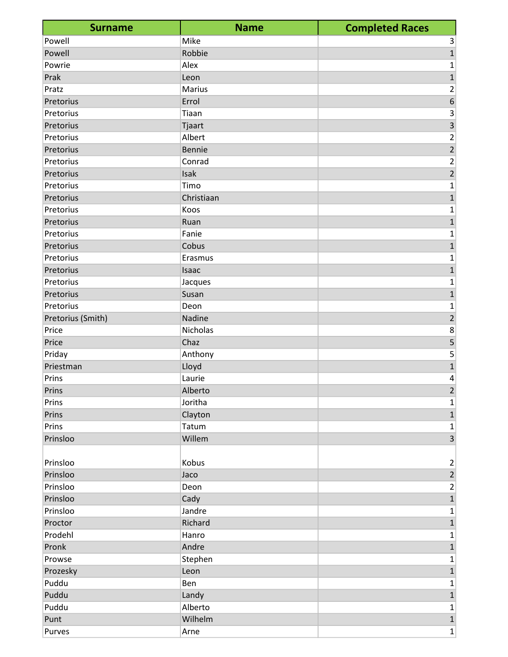| <b>Surname</b>    | <b>Name</b>   | <b>Completed Races</b> |
|-------------------|---------------|------------------------|
| Powell            | Mike          | 3                      |
| Powell            | Robbie        | $\mathbf 1$            |
| Powrie            | Alex          | 1                      |
| Prak              | Leon          | $\overline{1}$         |
| Pratz             | <b>Marius</b> | 2                      |
| Pretorius         | Errol         | $\boldsymbol{6}$       |
| Pretorius         | Tiaan         | 3                      |
| Pretorius         | Tjaart        | 3                      |
| Pretorius         | Albert        | 2                      |
| Pretorius         | <b>Bennie</b> | $\overline{2}$         |
| Pretorius         | Conrad        | 2                      |
| Pretorius         | Isak          | $\overline{2}$         |
| Pretorius         | Timo          | 1                      |
| Pretorius         | Christiaan    | $\mathbf 1$            |
| Pretorius         | Koos          | 1                      |
| Pretorius         | Ruan          | $\mathbf{1}$           |
| Pretorius         | Fanie         | 1                      |
| Pretorius         | Cobus         | $\mathbf{1}$           |
| Pretorius         | Erasmus       | 1                      |
| Pretorius         | Isaac         | $\mathbf 1$            |
| Pretorius         | Jacques       | 1                      |
| Pretorius         | Susan         | $\mathbf{1}$           |
| Pretorius         | Deon          | 1                      |
| Pretorius (Smith) | Nadine        | $\overline{c}$         |
| Price             | Nicholas      | 8                      |
| Price             | Chaz          | 5                      |
| Priday            | Anthony       | 5                      |
| Priestman         | Lloyd         | $\mathbf{1}$           |
| Prins             | Laurie        | 4                      |
| Prins             | Alberto       | $\overline{2}$         |
| Prins             | Joritha       | 1                      |
| Prins             | Clayton       | $\overline{1}$         |
| Prins             | Tatum         | 1                      |
| Prinsloo          | Willem        | $\overline{3}$         |
| Prinsloo          | Kobus         |                        |
| Prinsloo          | Jaco          | $\frac{2}{2}$          |
| Prinsloo          | Deon          | $\overline{2}$         |
| Prinsloo          | Cady          | $\mathbf 1$            |
| Prinsloo          | Jandre        | 1                      |
| Proctor           | Richard       | $\mathbf 1$            |
| Prodehl           | Hanro         | 1                      |
| Pronk             | Andre         | $\mathbf 1$            |
| Prowse            | Stephen       | 1                      |
| Prozesky          | Leon          | $\mathbf 1$            |
| Puddu             | Ben           | 1                      |
| Puddu             | Landy         | $\mathbf{1}$           |
| Puddu             | Alberto       | 1                      |
| Punt              | Wilhelm       | $\mathbf 1$            |
| Purves            | Arne          | $\mathbf 1$            |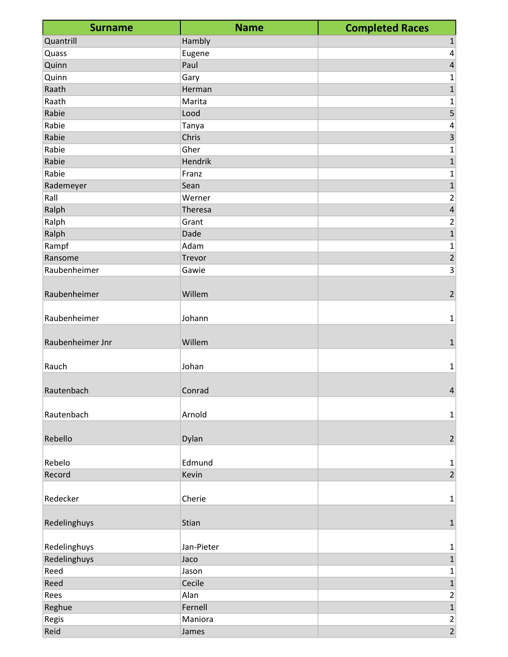| Quantrill<br>Hambly<br>$\mathbf 1$<br>Eugene<br>Quass<br>4<br>Quinn<br>Paul<br>$\overline{\mathbf{4}}$<br>Quinn<br>Gary<br>1<br>$\mathbf{1}$<br>Raath<br>Herman<br>Raath<br>Marita<br>1<br>5<br>Rabie<br>Lood<br>Rabie<br>Tanya<br>4<br>3<br>Rabie<br>Chris<br>Gher<br>Rabie<br>1<br>$\overline{1}$<br>Rabie<br>Hendrik<br>Rabie<br>Franz<br>1<br>Rademeyer<br>$\mathbf{1}$<br>Sean<br>Rall<br>$\overline{c}$<br>Werner<br>Ralph<br>$\overline{\mathbf{4}}$<br>Theresa<br>Ralph<br>Grant<br>2<br>$\overline{1}$<br>Ralph<br>Dade<br>Adam<br>Rampf<br>$\mathbf 1$<br>$\overline{2}$<br>Ransome<br>Trevor<br>3<br>Raubenheimer<br>Gawie<br>Raubenheimer<br>Willem<br>$\overline{2}$<br>Raubenheimer<br>Johann<br>1<br>Raubenheimer Jnr<br>Willem<br>$\mathbf{1}$<br>Rauch<br>Johan<br>$\mathbf 1$<br>Rautenbach<br>Conrad<br>$\overline{\mathbf{r}}$<br>Rautenbach<br>Arnold<br>$\mathbf{1}$<br>Rebello<br>$\overline{2}$<br>Dylan<br>Rebelo<br>Edmund<br>$\mathbf{1}$<br>$\overline{2}$<br>Record<br>Kevin<br>Redecker<br>Cherie<br>$\mathbf 1$<br>Redelinghuys<br>Stian<br>$\mathbf{1}$<br>Redelinghuys<br>Jan-Pieter<br>1<br>$\mathbf{1}$<br>Redelinghuys<br>Jaco<br>Reed<br>Jason<br>1<br>$\mathbf{1}$<br>Reed<br>Cecile<br>Alan<br>$\overline{2}$<br>Rees<br>$\overline{1}$<br>Reghue<br>Fernell<br>$\mathbf{2}$<br>Regis<br>Maniora<br>$\overline{2}$<br>Reid<br>James | <b>Surname</b> | <b>Name</b> | <b>Completed Races</b> |
|----------------------------------------------------------------------------------------------------------------------------------------------------------------------------------------------------------------------------------------------------------------------------------------------------------------------------------------------------------------------------------------------------------------------------------------------------------------------------------------------------------------------------------------------------------------------------------------------------------------------------------------------------------------------------------------------------------------------------------------------------------------------------------------------------------------------------------------------------------------------------------------------------------------------------------------------------------------------------------------------------------------------------------------------------------------------------------------------------------------------------------------------------------------------------------------------------------------------------------------------------------------------------------------------------------------------------------------------------------------------------|----------------|-------------|------------------------|
|                                                                                                                                                                                                                                                                                                                                                                                                                                                                                                                                                                                                                                                                                                                                                                                                                                                                                                                                                                                                                                                                                                                                                                                                                                                                                                                                                                            |                |             |                        |
|                                                                                                                                                                                                                                                                                                                                                                                                                                                                                                                                                                                                                                                                                                                                                                                                                                                                                                                                                                                                                                                                                                                                                                                                                                                                                                                                                                            |                |             |                        |
|                                                                                                                                                                                                                                                                                                                                                                                                                                                                                                                                                                                                                                                                                                                                                                                                                                                                                                                                                                                                                                                                                                                                                                                                                                                                                                                                                                            |                |             |                        |
|                                                                                                                                                                                                                                                                                                                                                                                                                                                                                                                                                                                                                                                                                                                                                                                                                                                                                                                                                                                                                                                                                                                                                                                                                                                                                                                                                                            |                |             |                        |
|                                                                                                                                                                                                                                                                                                                                                                                                                                                                                                                                                                                                                                                                                                                                                                                                                                                                                                                                                                                                                                                                                                                                                                                                                                                                                                                                                                            |                |             |                        |
|                                                                                                                                                                                                                                                                                                                                                                                                                                                                                                                                                                                                                                                                                                                                                                                                                                                                                                                                                                                                                                                                                                                                                                                                                                                                                                                                                                            |                |             |                        |
|                                                                                                                                                                                                                                                                                                                                                                                                                                                                                                                                                                                                                                                                                                                                                                                                                                                                                                                                                                                                                                                                                                                                                                                                                                                                                                                                                                            |                |             |                        |
|                                                                                                                                                                                                                                                                                                                                                                                                                                                                                                                                                                                                                                                                                                                                                                                                                                                                                                                                                                                                                                                                                                                                                                                                                                                                                                                                                                            |                |             |                        |
|                                                                                                                                                                                                                                                                                                                                                                                                                                                                                                                                                                                                                                                                                                                                                                                                                                                                                                                                                                                                                                                                                                                                                                                                                                                                                                                                                                            |                |             |                        |
|                                                                                                                                                                                                                                                                                                                                                                                                                                                                                                                                                                                                                                                                                                                                                                                                                                                                                                                                                                                                                                                                                                                                                                                                                                                                                                                                                                            |                |             |                        |
|                                                                                                                                                                                                                                                                                                                                                                                                                                                                                                                                                                                                                                                                                                                                                                                                                                                                                                                                                                                                                                                                                                                                                                                                                                                                                                                                                                            |                |             |                        |
|                                                                                                                                                                                                                                                                                                                                                                                                                                                                                                                                                                                                                                                                                                                                                                                                                                                                                                                                                                                                                                                                                                                                                                                                                                                                                                                                                                            |                |             |                        |
|                                                                                                                                                                                                                                                                                                                                                                                                                                                                                                                                                                                                                                                                                                                                                                                                                                                                                                                                                                                                                                                                                                                                                                                                                                                                                                                                                                            |                |             |                        |
|                                                                                                                                                                                                                                                                                                                                                                                                                                                                                                                                                                                                                                                                                                                                                                                                                                                                                                                                                                                                                                                                                                                                                                                                                                                                                                                                                                            |                |             |                        |
|                                                                                                                                                                                                                                                                                                                                                                                                                                                                                                                                                                                                                                                                                                                                                                                                                                                                                                                                                                                                                                                                                                                                                                                                                                                                                                                                                                            |                |             |                        |
|                                                                                                                                                                                                                                                                                                                                                                                                                                                                                                                                                                                                                                                                                                                                                                                                                                                                                                                                                                                                                                                                                                                                                                                                                                                                                                                                                                            |                |             |                        |
|                                                                                                                                                                                                                                                                                                                                                                                                                                                                                                                                                                                                                                                                                                                                                                                                                                                                                                                                                                                                                                                                                                                                                                                                                                                                                                                                                                            |                |             |                        |
|                                                                                                                                                                                                                                                                                                                                                                                                                                                                                                                                                                                                                                                                                                                                                                                                                                                                                                                                                                                                                                                                                                                                                                                                                                                                                                                                                                            |                |             |                        |
|                                                                                                                                                                                                                                                                                                                                                                                                                                                                                                                                                                                                                                                                                                                                                                                                                                                                                                                                                                                                                                                                                                                                                                                                                                                                                                                                                                            |                |             |                        |
|                                                                                                                                                                                                                                                                                                                                                                                                                                                                                                                                                                                                                                                                                                                                                                                                                                                                                                                                                                                                                                                                                                                                                                                                                                                                                                                                                                            |                |             |                        |
|                                                                                                                                                                                                                                                                                                                                                                                                                                                                                                                                                                                                                                                                                                                                                                                                                                                                                                                                                                                                                                                                                                                                                                                                                                                                                                                                                                            |                |             |                        |
|                                                                                                                                                                                                                                                                                                                                                                                                                                                                                                                                                                                                                                                                                                                                                                                                                                                                                                                                                                                                                                                                                                                                                                                                                                                                                                                                                                            |                |             |                        |
|                                                                                                                                                                                                                                                                                                                                                                                                                                                                                                                                                                                                                                                                                                                                                                                                                                                                                                                                                                                                                                                                                                                                                                                                                                                                                                                                                                            |                |             |                        |
|                                                                                                                                                                                                                                                                                                                                                                                                                                                                                                                                                                                                                                                                                                                                                                                                                                                                                                                                                                                                                                                                                                                                                                                                                                                                                                                                                                            |                |             |                        |
|                                                                                                                                                                                                                                                                                                                                                                                                                                                                                                                                                                                                                                                                                                                                                                                                                                                                                                                                                                                                                                                                                                                                                                                                                                                                                                                                                                            |                |             |                        |
|                                                                                                                                                                                                                                                                                                                                                                                                                                                                                                                                                                                                                                                                                                                                                                                                                                                                                                                                                                                                                                                                                                                                                                                                                                                                                                                                                                            |                |             |                        |
|                                                                                                                                                                                                                                                                                                                                                                                                                                                                                                                                                                                                                                                                                                                                                                                                                                                                                                                                                                                                                                                                                                                                                                                                                                                                                                                                                                            |                |             |                        |
|                                                                                                                                                                                                                                                                                                                                                                                                                                                                                                                                                                                                                                                                                                                                                                                                                                                                                                                                                                                                                                                                                                                                                                                                                                                                                                                                                                            |                |             |                        |
|                                                                                                                                                                                                                                                                                                                                                                                                                                                                                                                                                                                                                                                                                                                                                                                                                                                                                                                                                                                                                                                                                                                                                                                                                                                                                                                                                                            |                |             |                        |
|                                                                                                                                                                                                                                                                                                                                                                                                                                                                                                                                                                                                                                                                                                                                                                                                                                                                                                                                                                                                                                                                                                                                                                                                                                                                                                                                                                            |                |             |                        |
|                                                                                                                                                                                                                                                                                                                                                                                                                                                                                                                                                                                                                                                                                                                                                                                                                                                                                                                                                                                                                                                                                                                                                                                                                                                                                                                                                                            |                |             |                        |
|                                                                                                                                                                                                                                                                                                                                                                                                                                                                                                                                                                                                                                                                                                                                                                                                                                                                                                                                                                                                                                                                                                                                                                                                                                                                                                                                                                            |                |             |                        |
|                                                                                                                                                                                                                                                                                                                                                                                                                                                                                                                                                                                                                                                                                                                                                                                                                                                                                                                                                                                                                                                                                                                                                                                                                                                                                                                                                                            |                |             |                        |
|                                                                                                                                                                                                                                                                                                                                                                                                                                                                                                                                                                                                                                                                                                                                                                                                                                                                                                                                                                                                                                                                                                                                                                                                                                                                                                                                                                            |                |             |                        |
|                                                                                                                                                                                                                                                                                                                                                                                                                                                                                                                                                                                                                                                                                                                                                                                                                                                                                                                                                                                                                                                                                                                                                                                                                                                                                                                                                                            |                |             |                        |
|                                                                                                                                                                                                                                                                                                                                                                                                                                                                                                                                                                                                                                                                                                                                                                                                                                                                                                                                                                                                                                                                                                                                                                                                                                                                                                                                                                            |                |             |                        |
|                                                                                                                                                                                                                                                                                                                                                                                                                                                                                                                                                                                                                                                                                                                                                                                                                                                                                                                                                                                                                                                                                                                                                                                                                                                                                                                                                                            |                |             |                        |
|                                                                                                                                                                                                                                                                                                                                                                                                                                                                                                                                                                                                                                                                                                                                                                                                                                                                                                                                                                                                                                                                                                                                                                                                                                                                                                                                                                            |                |             |                        |
|                                                                                                                                                                                                                                                                                                                                                                                                                                                                                                                                                                                                                                                                                                                                                                                                                                                                                                                                                                                                                                                                                                                                                                                                                                                                                                                                                                            |                |             |                        |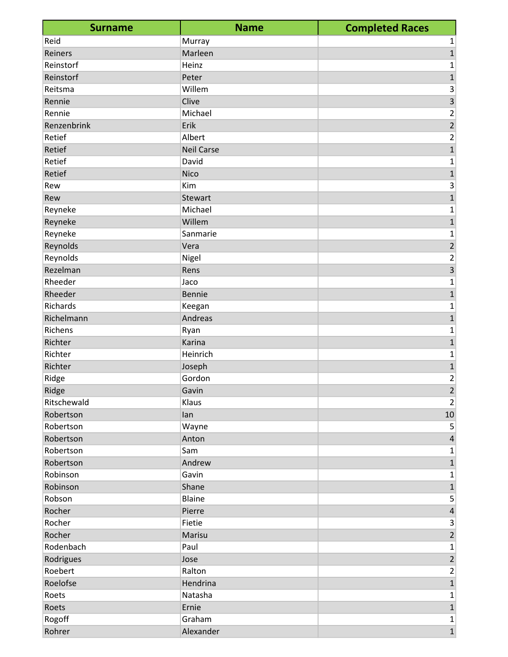| <b>Surname</b> | <b>Name</b>       | <b>Completed Races</b>  |
|----------------|-------------------|-------------------------|
| Reid           | Murray            | 1                       |
| Reiners        | Marleen           | $\mathbf{1}$            |
| Reinstorf      | Heinz             | $\mathbf{1}$            |
| Reinstorf      | Peter             | $\mathbf{1}$            |
| Reitsma        | Willem            | 3                       |
| Rennie         | Clive             | $\overline{\mathbf{3}}$ |
| Rennie         | Michael           | $\overline{\mathbf{c}}$ |
| Renzenbrink    | Erik              | $\overline{2}$          |
| Retief         | Albert            | $\overline{c}$          |
| Retief         | <b>Neil Carse</b> | $\overline{1}$          |
| Retief         | David             | $\mathbf 1$             |
| Retief         | Nico              | $\overline{1}$          |
| Rew            | Kim               | 3                       |
| Rew            | Stewart           | $\mathbf{1}$            |
| Reyneke        | Michael           | $\mathbf 1$             |
| Reyneke        | Willem            | $\mathbf{1}$            |
| Reyneke        | Sanmarie          | 1                       |
| Reynolds       | Vera              | $\overline{2}$          |
| Reynolds       | Nigel             | $\overline{\mathbf{c}}$ |
| Rezelman       | Rens              | $\overline{\mathbf{3}}$ |
| Rheeder        | Jaco              | $\mathbf 1$             |
| Rheeder        | <b>Bennie</b>     | $\mathbf{1}$            |
| Richards       | Keegan            | $\mathbf 1$             |
| Richelmann     | Andreas           | $\mathbf{1}$            |
| Richens        | Ryan              | $\mathbf 1$             |
| Richter        | Karina            | $\mathbf 1$             |
| Richter        | Heinrich          | $\mathbf 1$             |
| Richter        | Joseph            | $\overline{1}$          |
| Ridge          | Gordon            | $\overline{c}$          |
| Ridge          | Gavin             | $\overline{2}$          |
| Ritschewald    | Klaus             | $\overline{2}$          |
| Robertson      | lan               | $10\,$                  |
| Robertson      | Wayne             | 5                       |
| Robertson      | Anton             | $\overline{\mathbf{4}}$ |
| Robertson      | Sam               | $\mathbf 1$             |
| Robertson      | Andrew            | $\mathbf 1$             |
| Robinson       | Gavin             | $\mathbf 1$             |
| Robinson       | Shane             | $\mathbf 1$             |
| Robson         | <b>Blaine</b>     | 5                       |
| Rocher         | Pierre            | $\overline{\mathbf{4}}$ |
| Rocher         | Fietie            | 3                       |
| Rocher         | Marisu            | $\mathbf 2$             |
| Rodenbach      | Paul              | $\mathbf 1$             |
| Rodrigues      | Jose              | $\mathbf 2$             |
| Roebert        | Ralton            | $\mathbf 2$             |
| Roelofse       | Hendrina          | $\overline{1}$          |
| Roets          | Natasha           | $\mathbf 1$             |
| Roets          | Ernie             | $\mathbf 1$             |
| Rogoff         | Graham            | $\mathbf{1}$            |
| Rohrer         | Alexander         | $\mathbf 1$             |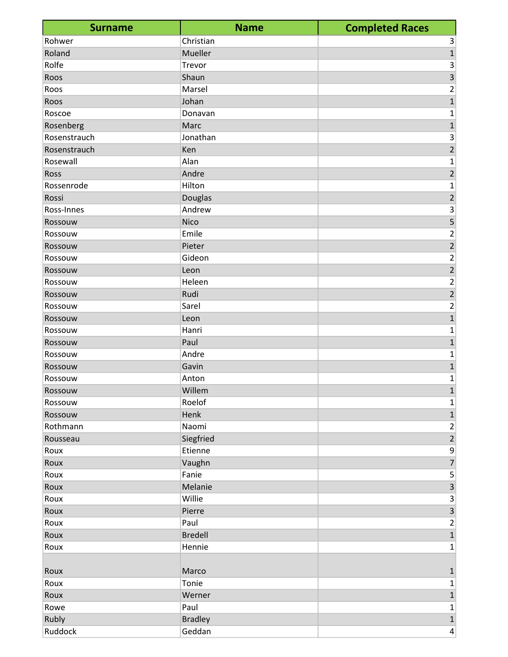| <b>Surname</b> | <b>Name</b>    | <b>Completed Races</b>    |
|----------------|----------------|---------------------------|
| Rohwer         | Christian      | 3                         |
| Roland         | Mueller        | $\mathbf 1$               |
| Rolfe          | Trevor         | $\ensuremath{\mathsf{3}}$ |
| Roos           | Shaun          | $\overline{\mathbf{3}}$   |
| Roos           | Marsel         | 2                         |
| Roos           | Johan          | $\mathbf{1}$              |
| Roscoe         | Donavan        | 1                         |
| Rosenberg      | Marc           | $\mathbf 1$               |
| Rosenstrauch   | Jonathan       | 3                         |
| Rosenstrauch   | Ken            | $\overline{2}$            |
| Rosewall       | Alan           | 1                         |
| Ross           | Andre          | $\overline{2}$            |
| Rossenrode     | Hilton         | $\mathbf 1$               |
| Rossi          | Douglas        | $\overline{2}$            |
| Ross-Innes     | Andrew         | $\ensuremath{\mathsf{3}}$ |
| Rossouw        | Nico           | 5                         |
| Rossouw        | Emile          | 2                         |
| Rossouw        | Pieter         | $\overline{2}$            |
| Rossouw        | Gideon         | 2                         |
| Rossouw        | Leon           | $\overline{2}$            |
| Rossouw        | Heleen         | 2                         |
| Rossouw        | Rudi           | $\overline{2}$            |
| Rossouw        | Sarel          | 2                         |
| Rossouw        | Leon           | $\mathbf{1}$              |
| Rossouw        | Hanri          | $\mathbf 1$               |
| Rossouw        | Paul           | 1                         |
| Rossouw        | Andre          | 1                         |
| Rossouw        | Gavin          | $\mathbf 1$               |
| Rossouw        | Anton          | 1                         |
| Rossouw        | Willem         | $\mathbf 1$               |
| Rossouw        | Roelof         | 1                         |
| Rossouw        | Henk           | $\mathbf 1$               |
| Rothmann       | Naomi          | 2                         |
| Rousseau       | Siegfried      | $\overline{2}$            |
| Roux           | Etienne        | 9                         |
| Roux           | Vaughn         | $\overline{7}$            |
| Roux           | Fanie          | 5                         |
| Roux           | Melanie        | $\overline{\mathbf{3}}$   |
| Roux           | Willie         | 3                         |
| Roux           | Pierre         | $\overline{\mathbf{3}}$   |
| Roux           | Paul           | $\overline{2}$            |
| Roux           | <b>Bredell</b> | $\mathbf 1$               |
| Roux           | Hennie         | 1                         |
| Roux           | Marco          | 1                         |
| Roux           | Tonie          | 1                         |
| Roux           | Werner         | $\mathbf{1}$              |
| Rowe           | Paul           | 1                         |
| Rubly          | <b>Bradley</b> | $\mathbf 1$               |
| Ruddock        | Geddan         | $\overline{4}$            |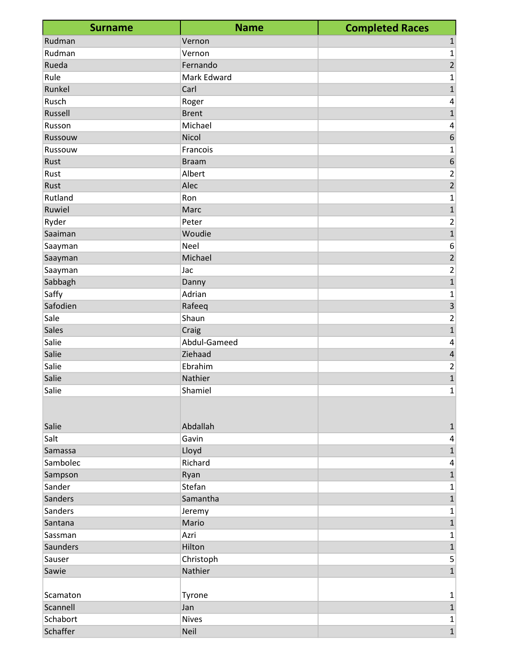| <b>Surname</b> | <b>Name</b>        | <b>Completed Races</b>  |
|----------------|--------------------|-------------------------|
| Rudman         | Vernon             | $\mathbf{1}$            |
| Rudman         | Vernon             | 1                       |
| Rueda          | Fernando           | $\overline{2}$          |
| Rule           | <b>Mark Edward</b> | 1                       |
| Runkel         | Carl               | $\mathbf 1$             |
| Rusch          | Roger              | 4                       |
| Russell        | <b>Brent</b>       | $\mathbf 1$             |
| Russon         | Michael            | 4                       |
| Russouw        | Nicol              | 6                       |
| Russouw        | Francois           | 1                       |
| Rust           | <b>Braam</b>       | 6                       |
| Rust           | Albert             | 2                       |
| Rust           | Alec               | $\overline{2}$          |
| Rutland        | Ron                | 1                       |
| Ruwiel         | Marc               | $\mathbf{1}$            |
| Ryder          | Peter              | 2                       |
| Saaiman        | Woudie             | $\mathbf{1}$            |
| Saayman        | Neel               | 6                       |
| Saayman        | Michael            | $\overline{c}$          |
| Saayman        | Jac                | $\overline{\mathbf{c}}$ |
| Sabbagh        | Danny              | $\mathbf 1$             |
| Saffy          | Adrian             | 1                       |
| Safodien       | Rafeeq             | $\overline{\mathbf{3}}$ |
| Sale           | Shaun              | 2                       |
| Sales          | Craig              | $\mathbf{1}$            |
| Salie          | Abdul-Gameed       | 4                       |
| Salie          | Ziehaad            | $\sqrt{4}$              |
| Salie          | Ebrahim            | 2                       |
| Salie          | Nathier            | $\overline{1}$          |
| Salie          | Shamiel            | $\mathbf 1$             |
|                |                    |                         |
|                |                    |                         |
| Salie          | Abdallah           | $\mathbf{1}$            |
| Salt           | Gavin              | 4                       |
| Samassa        | Lloyd              | $\mathbf 1$             |
| Sambolec       | Richard            | 4                       |
| Sampson        | Ryan               | $\mathbf 1$             |
| Sander         | Stefan             | 1                       |
| Sanders        | Samantha           | $\mathbf 1$             |
| Sanders        | Jeremy             | 1                       |
| Santana        | Mario              | $\mathbf 1$             |
| Sassman        | Azri               | 1                       |
| Saunders       | Hilton             | $\mathbf 1$             |
| Sauser         | Christoph          | $\overline{5}$          |
| Sawie          | Nathier            | $\mathbf{1}$            |
| Scamaton       | Tyrone             | 1                       |
| Scannell       | Jan                | $\overline{1}$          |
| Schabort       | <b>Nives</b>       | $\mathbf{1}$            |
| Schaffer       | Neil               | $\overline{1}$          |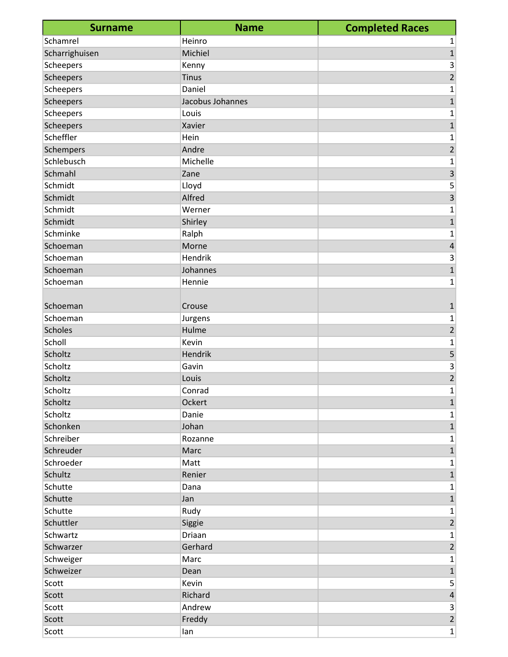| <b>Surname</b> | <b>Name</b>      | <b>Completed Races</b>  |
|----------------|------------------|-------------------------|
| Schamrel       | Heinro           | 1                       |
| Scharrighuisen | Michiel          | $\mathbf 1$             |
| Scheepers      | Kenny            | 3                       |
| Scheepers      | <b>Tinus</b>     | $\overline{2}$          |
| Scheepers      | Daniel           | 1                       |
| Scheepers      | Jacobus Johannes | $\mathbf{1}$            |
| Scheepers      | Louis            | 1                       |
| Scheepers      | Xavier           | $\mathbf{1}$            |
| Scheffler      | Hein             | 1                       |
| Schempers      | Andre            | $\overline{2}$          |
| Schlebusch     | Michelle         | 1                       |
| Schmahl        | Zane             | $\overline{\mathbf{3}}$ |
| Schmidt        | Lloyd            | 5                       |
| Schmidt        | Alfred           | 3                       |
| Schmidt        | Werner           | 1                       |
| Schmidt        | Shirley          | $\mathbf 1$             |
| Schminke       | Ralph            | 1                       |
| Schoeman       | Morne            | $\overline{\mathbf{4}}$ |
| Schoeman       | Hendrik          | 3                       |
| Schoeman       | Johannes         | $\mathbf{1}$            |
| Schoeman       | Hennie           | 1                       |
|                |                  |                         |
| Schoeman       | Crouse           | $\mathbf{1}$            |
| Schoeman       | Jurgens          | 1                       |
| <b>Scholes</b> | Hulme            | $\overline{2}$          |
| Scholl         | Kevin            | 1                       |
| Scholtz        | Hendrik          | 5                       |
| Scholtz        | Gavin            | 3                       |
| Scholtz        | Louis            | $\overline{2}$          |
| Scholtz        | Conrad           | $\mathbf 1$             |
| Scholtz        | Ockert           | $\overline{1}$          |
| Scholtz        | Danie            | $\mathbf{1}$            |
| Schonken       | Johan            | 1                       |
| Schreiber      | Rozanne          | 1                       |
| Schreuder      | Marc             | $\mathbf{1}$            |
| Schroeder      | Matt             | 1                       |
| Schultz        | Renier           | $\mathbf{1}$            |
| Schutte        | Dana             | 1                       |
| Schutte        | Jan              | $\mathbf{1}$            |
| Schutte        | Rudy             | 1                       |
| Schuttler      | Siggie           | $\overline{2}$          |
| Schwartz       | Driaan           | 1                       |
| Schwarzer      | Gerhard          | $\overline{2}$          |
| Schweiger      | Marc             | $\mathbf{1}$            |
| Schweizer      | Dean             | $\mathbf{1}$            |
| Scott          | Kevin            | 5                       |
| Scott          | Richard          | $\overline{4}$          |
| Scott          | Andrew           | 3                       |
| Scott          | Freddy           | $\overline{2}$          |
| Scott          | lan              | $\mathbf{1}$            |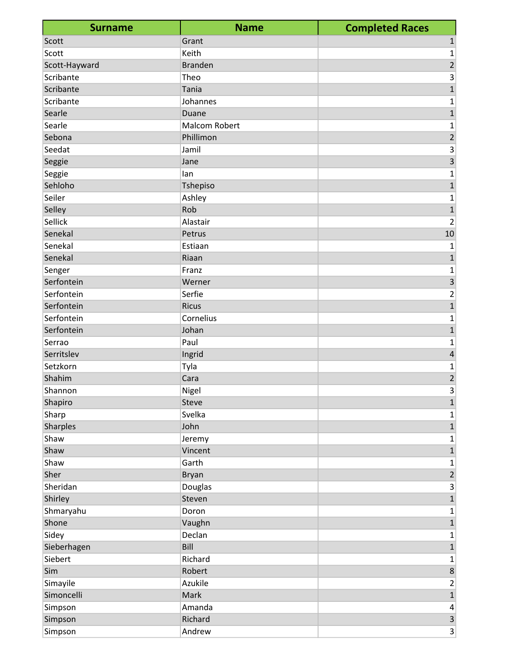| <b>Surname</b> | <b>Name</b>          | <b>Completed Races</b>    |
|----------------|----------------------|---------------------------|
| Scott          | Grant                | $\mathbf 1$               |
| Scott          | Keith                | 1                         |
| Scott-Hayward  | <b>Branden</b>       | $\overline{2}$            |
| Scribante      | Theo                 | $\mathsf{3}$              |
| Scribante      | Tania                | $\overline{1}$            |
| Scribante      | Johannes             | $\mathbf 1$               |
| Searle         | Duane                | $\mathbf{1}$              |
| Searle         | <b>Malcom Robert</b> | $\mathbf{1}$              |
| Sebona         | Phillimon            | $\overline{2}$            |
| Seedat         | Jamil                | $\mathsf{3}$              |
| Seggie         | Jane                 | $\overline{\mathbf{3}}$   |
| Seggie         | lan                  | $\mathbf 1$               |
| Sehloho        | Tshepiso             | $\overline{1}$            |
| Seiler         | Ashley               | $\mathbf 1$               |
| Selley         | Rob                  | $\overline{1}$            |
| Sellick        | Alastair             | $\overline{2}$            |
| Senekal        | Petrus               | 10                        |
| Senekal        | Estiaan              | $\mathbf 1$               |
| Senekal        | Riaan                | $\overline{1}$            |
| Senger         | Franz                | $\mathbf{1}$              |
| Serfontein     | Werner               | $\overline{3}$            |
| Serfontein     | Serfie               | $\overline{2}$            |
| Serfontein     | Ricus                | $\overline{1}$            |
| Serfontein     | Cornelius            | $\mathbf 1$               |
| Serfontein     | Johan                | $\overline{1}$            |
| Serrao         | Paul                 | $\mathbf 1$               |
| Serritslev     | Ingrid               | $\overline{\mathbf{r}}$   |
| Setzkorn       | Tyla                 | $\mathbf 1$               |
| Shahim         | Cara                 | $\overline{\mathbf{c}}$   |
| Shannon        | Nigel                | $\overline{\mathbf{3}}$   |
| Shapiro        | Steve                | $\overline{1}$            |
| Sharp          | Svelka               | $\mathbf 1$               |
| Sharples       | John                 | $\mathbf 1$               |
| Shaw           | Jeremy               | $\mathbf 1$               |
| Shaw           | Vincent              | $\mathbf 1$               |
| Shaw           | Garth                | $\mathbf{1}$              |
| Sher           | <b>Bryan</b>         | $\sqrt{2}$                |
| Sheridan       | Douglas              | $\ensuremath{\mathsf{3}}$ |
| Shirley        | Steven               | $\overline{1}$            |
| Shmaryahu      | Doron                | $\mathbf 1$               |
| Shone          | Vaughn               | $\overline{1}$            |
| Sidey          | Declan               | $\mathbf 1$               |
| Sieberhagen    | Bill                 | $\overline{1}$            |
| Siebert        | Richard              | $\mathbf 1$               |
| Sim            | Robert               | $\,$ 8 $\,$               |
| Simayile       | Azukile              | $\overline{2}$            |
| Simoncelli     | Mark                 | $\overline{1}$            |
| Simpson        | Amanda               | 4                         |
| Simpson        | Richard              | $\overline{\mathbf{3}}$   |
| Simpson        | Andrew               | $\vert 3 \vert$           |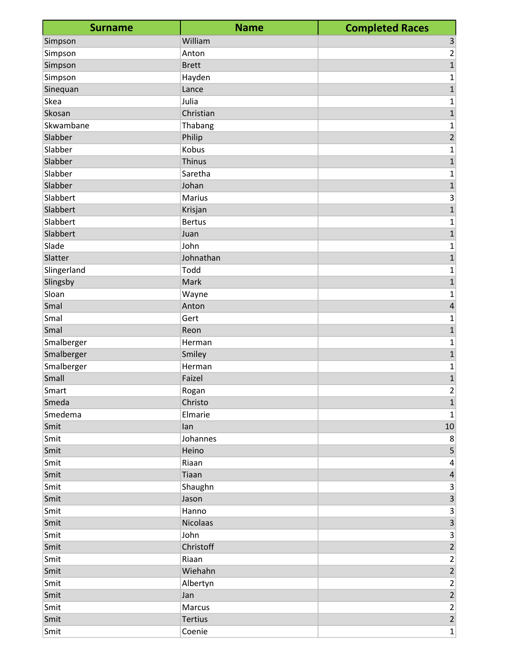| <b>Surname</b> | <b>Name</b>   | <b>Completed Races</b>    |
|----------------|---------------|---------------------------|
| Simpson        | William       | $\mathsf 3$               |
| Simpson        | Anton         | $\overline{\mathbf{c}}$   |
| Simpson        | <b>Brett</b>  | $\overline{1}$            |
| Simpson        | Hayden        | $\mathbf 1$               |
| Sinequan       | Lance         | $\overline{1}$            |
| Skea           | Julia         | $\mathbf 1$               |
| Skosan         | Christian     | $\mathbf{1}$              |
| Skwambane      | Thabang       | $\mathbf 1$               |
| Slabber        | Philip        | $\overline{2}$            |
| Slabber        | Kobus         | 1                         |
| Slabber        | <b>Thinus</b> | $\overline{1}$            |
| Slabber        | Saretha       | $\mathbf 1$               |
| Slabber        | Johan         | $\overline{1}$            |
| Slabbert       | <b>Marius</b> | $\mathsf{3}$              |
| Slabbert       | Krisjan       | $\overline{1}$            |
| Slabbert       | <b>Bertus</b> | $\mathbf 1$               |
| Slabbert       | Juan          | $\overline{\mathbf{1}}$   |
| Slade          | John          | $\mathbf 1$               |
| Slatter        | Johnathan     | $\overline{1}$            |
| Slingerland    | Todd          | $\mathbf 1$               |
| Slingsby       | Mark          | $\overline{1}$            |
| Sloan          | Wayne         | $\mathbf 1$               |
| Smal           | Anton         | $\overline{\mathbf{r}}$   |
| Smal           | Gert          | $\mathbf 1$               |
| Smal           | Reon          | $\overline{1}$            |
| Smalberger     | Herman        | $\mathbf 1$               |
| Smalberger     | Smiley        | $\overline{1}$            |
| Smalberger     | Herman        | $\mathbf 1$               |
| Small          | Faizel        | $\overline{1}$            |
| Smart          | Rogan         | $\mathbf 2$               |
| Smeda          | Christo       | $\overline{1}$            |
| Smedema        | Elmarie       | $\mathbf 1$               |
| Smit           | lan           | $10\,$                    |
| Smit           | Johannes      | 8                         |
| Smit           | Heino         | $\mathsf S$               |
| Smit           | Riaan         | $\overline{4}$            |
| Smit           | Tiaan         | $\sqrt{4}$                |
| Smit           | Shaughn       | $\ensuremath{\mathsf{3}}$ |
| Smit           | Jason         | $\overline{\mathbf{3}}$   |
| Smit           | Hanno         | $\ensuremath{\mathsf{3}}$ |
| Smit           | Nicolaas      | $\overline{\mathbf{3}}$   |
| Smit           | John          | $\ensuremath{\mathsf{3}}$ |
| Smit           | Christoff     | $\overline{\mathbf{c}}$   |
| Smit           | Riaan         | $\sqrt{2}$                |
| Smit           | Wiehahn       | $\overline{2}$            |
| Smit           | Albertyn      | $\overline{c}$            |
| Smit           | Jan           | $\overline{c}$            |
| Smit           | Marcus        | $\frac{2}{2}$             |
| Smit           | Tertius       |                           |
| Smit           | Coenie        | $1\vert$                  |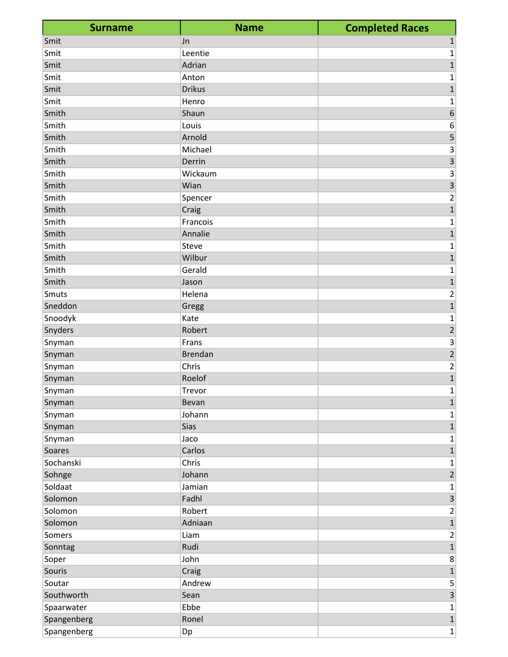| <b>Surname</b> | <b>Name</b>   | <b>Completed Races</b>  |
|----------------|---------------|-------------------------|
| Smit           | Jn            | $\mathbf{1}$            |
| Smit           | Leentie       | $\mathbf 1$             |
| Smit           | Adrian        | $\mathbf{1}$            |
| Smit           | Anton         | $\mathbf 1$             |
| Smit           | <b>Drikus</b> | $\mathbf{1}$            |
| Smit           | Henro         | 1                       |
| Smith          | Shaun         | $\boldsymbol{6}$        |
| Smith          | Louis         | $\boldsymbol{6}$        |
| Smith          | Arnold        | 5                       |
| Smith          | Michael       | 3                       |
| Smith          | Derrin        | $\overline{\mathbf{3}}$ |
| Smith          | Wickaum       | $\mathsf 3$             |
| Smith          | Wian          | $\overline{\mathbf{3}}$ |
| Smith          | Spencer       | $\overline{\mathbf{c}}$ |
| Smith          | Craig         | $\overline{1}$          |
| Smith          | Francois      | $\mathbf 1$             |
| Smith          | Annalie       | $\overline{\mathbf{1}}$ |
| Smith          | Steve         | $\mathbf 1$             |
| Smith          | Wilbur        | $\mathbf 1$             |
| Smith          | Gerald        | $\mathbf 1$             |
| Smith          | Jason         | $\overline{1}$          |
| Smuts          | Helena        | $\overline{\mathbf{c}}$ |
| Sneddon        | Gregg         | $\overline{\mathbf{1}}$ |
| Snoodyk        | Kate          | $\mathbf 1$             |
| Snyders        | Robert        | $\overline{2}$          |
| Snyman         | Frans         | $\overline{\mathbf{3}}$ |
| Snyman         | Brendan       | $\overline{\mathbf{c}}$ |
| Snyman         | Chris         | $\mathbf 2$             |
| Snyman         | Roelof        | $\overline{\mathbf{1}}$ |
| Snyman         | Trevor        | $\mathbf{1}$            |
| Snyman         | Bevan         | $\mathbf 1$             |
| Snyman         | Johann        | $\mathbf{1}$            |
| Snyman         | <b>Sias</b>   | $\mathbf 1$             |
| Snyman         | Jaco          | $\mathbf{1}$            |
| Soares         | Carlos        | $\mathbf 1$             |
| Sochanski      | Chris         | $\mathbf 1$             |
| Sohnge         | Johann        | $\overline{2}$          |
| Soldaat        | Jamian        | $\mathbf 1$             |
| Solomon        | Fadhl         | $\overline{3}$          |
| Solomon        | Robert        | $\mathbf 2$             |
| Solomon        | Adniaan       | $\mathbf 1$             |
| Somers         | Liam          | $\mathbf 2$             |
| Sonntag        | Rudi          | $\mathbf 1$             |
| Soper          | John          | $\bf 8$                 |
| Souris         | Craig         | $\mathbf 1$             |
| Soutar         | Andrew        | 5                       |
| Southworth     | Sean          | $\overline{\mathbf{3}}$ |
| Spaarwater     | Ebbe          | $\mathbf 1$             |
| Spangenberg    | Ronel         | $\mathbf 1$             |
| Spangenberg    | Dp            | $\mathbf 1$             |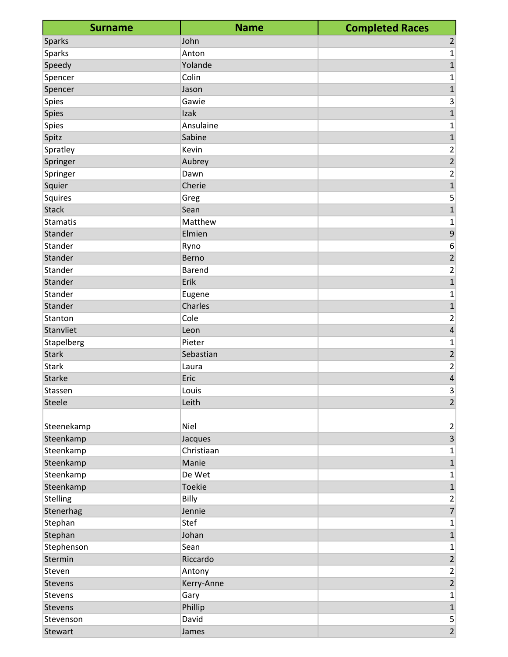| <b>Surname</b> | <b>Name</b>   | <b>Completed Races</b>  |
|----------------|---------------|-------------------------|
| Sparks         | John          | $\overline{2}$          |
| Sparks         | Anton         | 1                       |
| Speedy         | Yolande       | $\mathbf 1$             |
| Spencer        | Colin         | 1                       |
| Spencer        | Jason         | $\mathbf 1$             |
| Spies          | Gawie         | 3                       |
| Spies          | Izak          | $\mathbf 1$             |
| Spies          | Ansulaine     | 1                       |
| Spitz          | Sabine        | $\mathbf{1}$            |
| Spratley       | Kevin         | 2                       |
| Springer       | Aubrey        | $\overline{2}$          |
| Springer       | Dawn          | 2                       |
| Squier         | Cherie        | $\mathbf{1}$            |
| Squires        | Greg          | 5                       |
| <b>Stack</b>   | Sean          | $\mathbf 1$             |
| Stamatis       | Matthew       | 1                       |
| Stander        | Elmien        | $\mathsf 9$             |
| Stander        | Ryno          | 6                       |
| Stander        | Berno         | $\overline{2}$          |
| Stander        | <b>Barend</b> | $\overline{\mathbf{c}}$ |
| Stander        | Erik          | 1                       |
| Stander        | Eugene        | 1                       |
| Stander        | Charles       | $\mathbf{1}$            |
| Stanton        | Cole          | 2                       |
| Stanvliet      | Leon          | $\overline{\mathbf{4}}$ |
| Stapelberg     | Pieter        | 1                       |
| <b>Stark</b>   | Sebastian     | $\overline{2}$          |
| Stark          | Laura         | 2                       |
| <b>Starke</b>  | Eric          | $\pmb{4}$               |
| Stassen        | Louis         | 3                       |
| Steele         | Leith         | $\overline{2}$          |
| Steenekamp     | Niel          | $\overline{2}$          |
| Steenkamp      | Jacques       | $\overline{3}$          |
| Steenkamp      | Christiaan    | 1                       |
| Steenkamp      | Manie         | $\mathbf 1$             |
| Steenkamp      | De Wet        | 1                       |
| Steenkamp      | Toekie        | $\mathbf 1$             |
| Stelling       | Billy         | $\overline{\mathbf{c}}$ |
| Stenerhag      | Jennie        | $\overline{7}$          |
| Stephan        | Stef          | 1                       |
| Stephan        | Johan         | $\overline{1}$          |
| Stephenson     | Sean          | 1                       |
| Stermin        | Riccardo      | $\overline{2}$          |
| Steven         | Antony        | $\overline{c}$          |
| Stevens        | Kerry-Anne    | $\overline{2}$          |
| Stevens        | Gary          | 1                       |
| Stevens        | Phillip       | $\overline{1}$          |
| Stevenson      | David         | $\overline{5}$          |
| Stewart        | James         | $\overline{2}$          |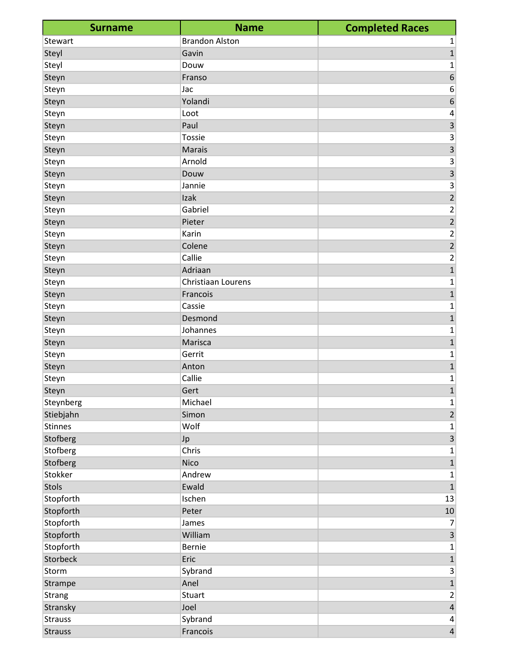| <b>Surname</b> | <b>Name</b>           | <b>Completed Races</b>  |
|----------------|-----------------------|-------------------------|
| Stewart        | <b>Brandon Alston</b> | 1                       |
| Steyl          | Gavin                 | $\mathbf 1$             |
| Steyl          | Douw                  | $\mathbf 1$             |
| Steyn          | Franso                | 6                       |
| Steyn          | Jac                   | 6                       |
| Steyn          | Yolandi               | $\boldsymbol{6}$        |
| Steyn          | Loot                  | 4                       |
| Steyn          | Paul                  | 3                       |
| Steyn          | Tossie                | 3                       |
| Steyn          | <b>Marais</b>         | $\overline{\mathbf{3}}$ |
| Steyn          | Arnold                | 3                       |
| Steyn          | Douw                  | $\overline{\mathbf{3}}$ |
| Steyn          | Jannie                | $\mathsf 3$             |
| Steyn          | Izak                  | $\overline{2}$          |
| Steyn          | Gabriel               | $\overline{\mathbf{c}}$ |
| Steyn          | Pieter                | $\overline{2}$          |
| Steyn          | Karin                 | $\overline{2}$          |
| Steyn          | Colene                | $\overline{2}$          |
| Steyn          | Callie                | $\overline{\mathbf{c}}$ |
| Steyn          | Adriaan               | $\mathbf{1}$            |
| Steyn          | Christiaan Lourens    | $\mathbf 1$             |
| Steyn          | Francois              | $\mathbf{1}$            |
| Steyn          | Cassie                | $\mathbf 1$             |
| Steyn          | Desmond               | $\mathbf 1$             |
| Steyn          | Johannes              | 1                       |
| Steyn          | Marisca               | $\mathbf{1}$            |
| Steyn          | Gerrit                | 1                       |
| Steyn          | Anton                 | $\mathbf{1}$            |
| Steyn          | Callie                | $\mathbf 1$             |
| Steyn          | Gert                  | $\mathbf{1}$            |
| Steynberg      | Michael               | $\mathbf{1}$            |
| Stiebjahn      | Simon                 | $\overline{2}$          |
| <b>Stinnes</b> | Wolf                  | $\mathbf 1$             |
| Stofberg       | Jp                    | $\overline{\mathbf{3}}$ |
| Stofberg       | Chris                 | $\mathbf 1$             |
| Stofberg       | Nico                  | $\mathbf 1$             |
| Stokker        | Andrew                | $\mathbf{1}$            |
| Stols          | Ewald                 | $\mathbf{1}$            |
| Stopforth      | Ischen                | 13                      |
| Stopforth      | Peter                 | 10                      |
| Stopforth      | James                 | 7                       |
| Stopforth      | William               | $\overline{\mathbf{3}}$ |
| Stopforth      | Bernie                | $\mathbf{1}$            |
| Storbeck       | Eric                  | $\mathbf 1$             |
| Storm          | Sybrand               | $\overline{\mathbf{3}}$ |
| Strampe        | Anel                  | $\mathbf 1$             |
| Strang         | Stuart                | $\overline{2}$          |
| Stransky       | Joel                  | $\overline{4}$          |
| <b>Strauss</b> | Sybrand               | $\boldsymbol{4}$        |
| <b>Strauss</b> | Francois              | $\overline{4}$          |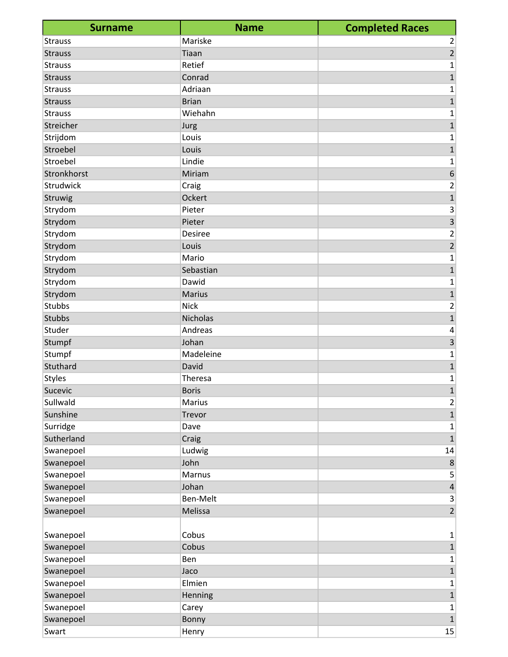| <b>Surname</b> | <b>Name</b>   | <b>Completed Races</b>  |
|----------------|---------------|-------------------------|
| <b>Strauss</b> | Mariske       | $\overline{2}$          |
| <b>Strauss</b> | Tiaan         | $\overline{2}$          |
| <b>Strauss</b> | Retief        | 1                       |
| <b>Strauss</b> | Conrad        | $\mathbf{1}$            |
| <b>Strauss</b> | Adriaan       | 1                       |
| <b>Strauss</b> | <b>Brian</b>  | $\mathbf{1}$            |
| <b>Strauss</b> | Wiehahn       | 1                       |
| Streicher      | Jurg          | $\mathbf 1$             |
| Strijdom       | Louis         | 1                       |
| Stroebel       | Louis         | $\mathbf{1}$            |
| Stroebel       | Lindie        | 1                       |
| Stronkhorst    | Miriam        | $\,$ 6 $\,$             |
| Strudwick      | Craig         | 2                       |
| Struwig        | Ockert        | $\mathbf{1}$            |
| Strydom        | Pieter        | 3                       |
| Strydom        | Pieter        | 3                       |
| Strydom        | Desiree       | 2                       |
| Strydom        | Louis         | $\overline{2}$          |
| Strydom        | Mario         | 1                       |
| Strydom        | Sebastian     | $\mathbf{1}$            |
| Strydom        | Dawid         | 1                       |
| Strydom        | <b>Marius</b> | $\mathbf{1}$            |
| Stubbs         | <b>Nick</b>   | 2                       |
| <b>Stubbs</b>  | Nicholas      | $\mathbf{1}$            |
| Studer         | Andreas       | 4                       |
| Stumpf         | Johan         | 3                       |
| Stumpf         | Madeleine     | 1                       |
| Stuthard       | David         | $\mathbf 1$             |
| <b>Styles</b>  | Theresa       | 1                       |
| Sucevic        | <b>Boris</b>  | $\mathbf{1}$            |
| Sullwald       | <b>Marius</b> | $\overline{\mathbf{c}}$ |
| Sunshine       | Trevor        | $\mathbf{1}$            |
| Surridge       | Dave          | 1                       |
| Sutherland     | Craig         | $\mathbf{1}$            |
| Swanepoel      | Ludwig        | 14                      |
| Swanepoel      | John          | $\bf 8$                 |
| Swanepoel      | Marnus        | 5                       |
| Swanepoel      | Johan         | $\overline{\mathbf{4}}$ |
| Swanepoel      | Ben-Melt      | 3                       |
| Swanepoel      | Melissa       | $\overline{2}$          |
|                |               |                         |
| Swanepoel      | Cobus         | 1                       |
| Swanepoel      | Cobus         | $\mathbf 1$             |
| Swanepoel      | Ben           | 1                       |
| Swanepoel      | Jaco          | $\mathbf{1}$            |
| Swanepoel      | Elmien        | $\mathbf 1$             |
| Swanepoel      | Henning       | $\mathbf{1}$            |
| Swanepoel      | Carey         | 1                       |
| Swanepoel      | Bonny         | $\mathbf{1}$            |
| Swart          | Henry         | 15                      |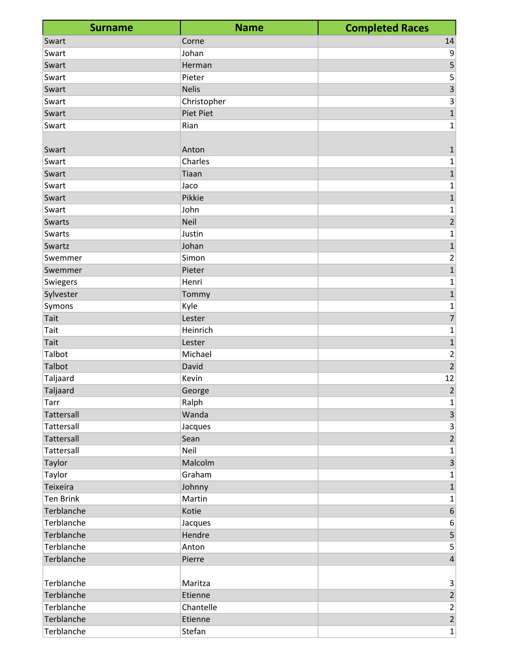| <b>Surname</b>   | <b>Name</b>  | <b>Completed Races</b>  |
|------------------|--------------|-------------------------|
| Swart            | Corne        | 14                      |
| Swart            | Johan        | 9                       |
| Swart            | Herman       | 5                       |
| Swart            | Pieter       | 5                       |
| Swart            | <b>Nelis</b> | 3                       |
| Swart            | Christopher  | 3                       |
| Swart            | Piet Piet    | $\mathbf 1$             |
| Swart            | Rian         | 1                       |
|                  |              |                         |
| Swart            | Anton        | 1                       |
| Swart            | Charles      | 1                       |
| Swart            | Tiaan        | $\mathbf 1$             |
| Swart            | Jaco         | 1                       |
| Swart            | Pikkie       | $\overline{1}$          |
| Swart            | John         | 1                       |
| <b>Swarts</b>    | <b>Neil</b>  | $\overline{2}$          |
| <b>Swarts</b>    | Justin       | 1                       |
| Swartz           | Johan        | $\mathbf{1}$            |
| Swemmer          | Simon        | 2                       |
| Swemmer          | Pieter       | $\mathbf{1}$            |
| Swiegers         | Henri        | 1                       |
| Sylvester        | Tommy        | $\mathbf 1$             |
| Symons           | Kyle         | 1                       |
| Tait             | Lester       | $\overline{7}$          |
| Tait             | Heinrich     | $\mathbf 1$             |
| Tait             | Lester       | $\mathbf 1$             |
| Talbot           | Michael      | 2                       |
| Talbot           | David        | $\overline{2}$          |
| Taljaard         | Kevin        | 12                      |
| Taljaard         | George       | $\overline{c}$          |
| Tarr             | Ralph        | 1                       |
| Tattersall       | Wanda        | $\overline{3}$          |
| Tattersall       | Jacques      | 3                       |
| Tattersall       | Sean         | $\overline{2}$          |
| Tattersall       | Neil         | 1                       |
| Taylor           | Malcolm      | $\overline{\mathbf{3}}$ |
| Taylor           | Graham       | 1                       |
| Teixeira         | Johnny       | $\mathbf{1}$            |
| <b>Ten Brink</b> | Martin       | 1                       |
| Terblanche       | Kotie        | $\sqrt{6}$              |
| Terblanche       | Jacques      | 6                       |
| Terblanche       | Hendre       | $\overline{5}$          |
| Terblanche       | Anton        | 5                       |
| Terblanche       | Pierre       | $\overline{4}$          |
| Terblanche       | Maritza      | 3                       |
| Terblanche       | Etienne      | $\overline{2}$          |
| Terblanche       | Chantelle    | $\overline{2}$          |
| Terblanche       | Etienne      | $\overline{2}$          |
| Terblanche       | Stefan       | $\mathbf{1}$            |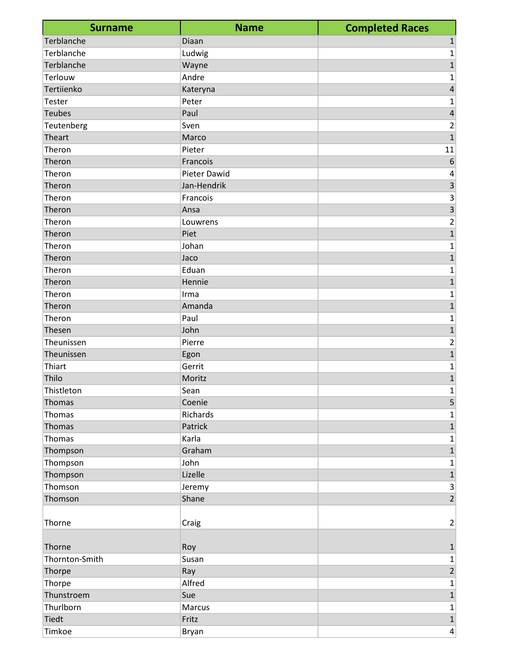| <b>Surname</b> | <b>Name</b>  | <b>Completed Races</b>  |
|----------------|--------------|-------------------------|
| Terblanche     | Diaan        | $\mathbf{1}$            |
| Terblanche     | Ludwig       | 1                       |
| Terblanche     | Wayne        | $\mathbf{1}$            |
| Terlouw        | Andre        | 1                       |
| Tertiienko     | Kateryna     | $\sqrt{4}$              |
| Tester         | Peter        | 1                       |
| <b>Teubes</b>  | Paul         | $\sqrt{4}$              |
| Teutenberg     | Sven         | 2                       |
| Theart         | Marco        | $\mathbf 1$             |
| Theron         | Pieter       | 11                      |
| Theron         | Francois     | 6                       |
| Theron         | Pieter Dawid | 4                       |
| Theron         | Jan-Hendrik  | $\mathsf 3$             |
| Theron         | Francois     | 3                       |
| Theron         | Ansa         | 3                       |
| Theron         | Louwrens     | 2                       |
| Theron         | Piet         | $\mathbf{1}$            |
| Theron         | Johan        | 1                       |
| Theron         | Jaco         | $\mathbf{1}$            |
| Theron         | Eduan        | 1                       |
| Theron         | Hennie       | 1                       |
| Theron         | Irma         | 1                       |
| Theron         | Amanda       | $\mathbf{1}$            |
| Theron         | Paul         | 1                       |
| Thesen         | John         | $\mathbf{1}$            |
| Theunissen     | Pierre       | 2                       |
| Theunissen     | Egon         | $\mathbf{1}$            |
| Thiart         | Gerrit       | 1                       |
| Thilo          | Moritz       | $\mathbf{1}$            |
| Thistleton     | Sean         | $\mathbf 1$             |
| Thomas         | Coenie       | $\overline{\mathbf{5}}$ |
| Thomas         | Richards     | $\mathbf{1}$            |
| <b>Thomas</b>  | Patrick      | $\mathbf 1$             |
| Thomas         | Karla        | $\mathbf 1$             |
| Thompson       | Graham       | $\mathbf{1}$            |
| Thompson       | John         | 1                       |
| Thompson       | Lizelle      | $\mathbf 1$             |
| Thomson        | Jeremy       | $\overline{\mathbf{3}}$ |
| Thomson        | Shane        | $\overline{2}$          |
| Thorne         | Craig        | 2                       |
|                |              |                         |
| Thorne         | Roy          | 1                       |
| Thornton-Smith | Susan        | 1                       |
| Thorpe         | Ray          | $\overline{2}$          |
| Thorpe         | Alfred       | $\mathbf 1$             |
| Thunstroem     | Sue          | $\mathbf{1}$            |
| Thurlborn      | Marcus       | 1                       |
| Tiedt          | Fritz        | $\overline{1}$          |
| Timkoe         | Bryan        | $\overline{4}$          |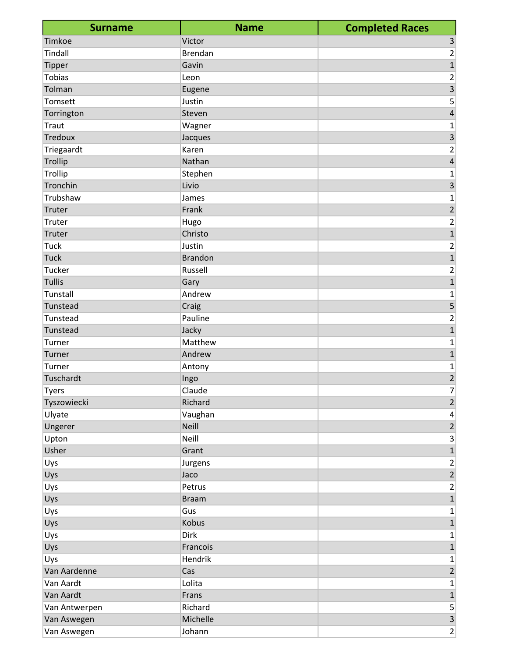| <b>Surname</b> | <b>Name</b>    | <b>Completed Races</b>    |
|----------------|----------------|---------------------------|
| Timkoe         | Victor         | $\mathsf 3$               |
| Tindall        | <b>Brendan</b> | $\overline{2}$            |
| Tipper         | Gavin          | $\overline{\mathbf{1}}$   |
| <b>Tobias</b>  | Leon           | $\overline{\mathbf{c}}$   |
| Tolman         | Eugene         | $\overline{\mathbf{3}}$   |
| Tomsett        | Justin         | 5                         |
| Torrington     | Steven         | $\overline{4}$            |
| Traut          | Wagner         | $\mathbf 1$               |
| <b>Tredoux</b> | Jacques        | $\overline{3}$            |
| Triegaardt     | Karen          | $\mathbf 2$               |
| Trollip        | Nathan         | $\overline{a}$            |
| Trollip        | Stephen        | $\mathbf 1$               |
| Tronchin       | Livio          | $\overline{\mathbf{3}}$   |
| Trubshaw       | James          | $\mathbf{1}$              |
| Truter         | Frank          | $\overline{\mathbf{c}}$   |
| Truter         | Hugo           | $\overline{c}$            |
| Truter         | Christo        | $\overline{\mathbf{1}}$   |
| <b>Tuck</b>    | Justin         | $\overline{c}$            |
| <b>Tuck</b>    | <b>Brandon</b> | $\overline{\mathbf{1}}$   |
| Tucker         | Russell        | $\overline{\mathbf{c}}$   |
| <b>Tullis</b>  | Gary           | $\overline{1}$            |
| Tunstall       | Andrew         | $\mathbf 1$               |
| Tunstead       | Craig          | $\overline{\mathbf{5}}$   |
| Tunstead       | Pauline        | $\frac{2}{1}$             |
| Tunstead       | Jacky          |                           |
| Turner         | Matthew        | $\mathbf 1$               |
| Turner         | Andrew         | $\overline{1}$            |
| Turner         | Antony         | $\mathbf 1$               |
| Tuschardt      | Ingo           | $\overline{\mathbf{c}}$   |
| <b>Tyers</b>   | Claude         | $\boldsymbol{7}$          |
| Tyszowiecki    | Richard        | $\overline{2}$            |
| Ulyate         | Vaughan        | 4                         |
| Ungerer        | <b>Neill</b>   | $\overline{2}$            |
| Upton          | Neill          | $\ensuremath{\mathsf{3}}$ |
| Usher          | Grant          | $\mathbf{1}$              |
| Uys            | Jurgens        | $\frac{2}{2}$             |
| Uys            | Jaco           |                           |
| Uys            | Petrus         | $\mathbf 2$               |
| Uys            | <b>Braam</b>   | $\overline{1}$            |
| Uys            | Gus            | $\mathbf 1$               |
| Uys            | Kobus          | $\overline{1}$            |
| Uys            | Dirk           | $\mathbf{1}$              |
| Uys            | Francois       | $\mathbf{1}$              |
| Uys            | Hendrik        | $\mathbf 1$               |
| Van Aardenne   | Cas            | $\sqrt{2}$                |
| Van Aardt      | Lolita         | $\mathbf 1$               |
| Van Aardt      | Frans          | $\overline{1}$            |
| Van Antwerpen  | Richard        | $\mathsf S$               |
| Van Aswegen    | Michelle       | $\overline{3}$            |
| Van Aswegen    | Johann         | $\overline{2}$            |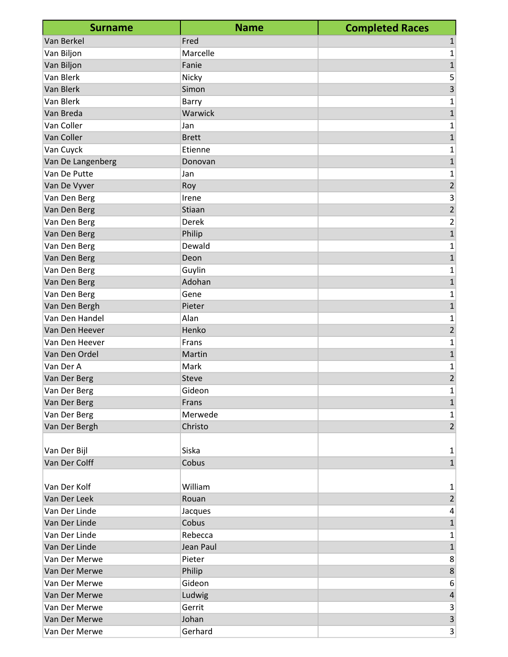| <b>Surname</b>    | <b>Name</b>  | <b>Completed Races</b>  |
|-------------------|--------------|-------------------------|
| Van Berkel        | Fred         | $\mathbf{1}$            |
| Van Biljon        | Marcelle     | 1                       |
| Van Biljon        | Fanie        | $\mathbf 1$             |
| Van Blerk         | Nicky        | 5                       |
| Van Blerk         | Simon        | 3                       |
| Van Blerk         | Barry        | 1                       |
| Van Breda         | Warwick      | $\mathbf 1$             |
| Van Coller        | Jan          | 1                       |
| Van Coller        | <b>Brett</b> | $\mathbf 1$             |
| Van Cuyck         | Etienne      | 1                       |
| Van De Langenberg | Donovan      | $\mathbf 1$             |
| Van De Putte      | Jan          | 1                       |
| Van De Vyver      | Roy          | $\overline{2}$          |
| Van Den Berg      | Irene        | 3                       |
| Van Den Berg      | Stiaan       | $\overline{2}$          |
| Van Den Berg      | Derek        | 2                       |
| Van Den Berg      | Philip       | $\mathbf 1$             |
| Van Den Berg      | Dewald       | 1                       |
| Van Den Berg      | Deon         | $\mathbf{1}$            |
| Van Den Berg      | Guylin       | 1                       |
| Van Den Berg      | Adohan       | 1                       |
| Van Den Berg      | Gene         | 1                       |
| Van Den Bergh     | Pieter       | $\overline{1}$          |
| Van Den Handel    | Alan         | 1                       |
| Van Den Heever    | Henko        | $\overline{2}$          |
| Van Den Heever    | Frans        | 1                       |
| Van Den Ordel     | Martin       | $\mathbf{1}$            |
| Van Der A         | Mark         | 1                       |
| Van Der Berg      | Steve        | $\overline{2}$          |
| Van Der Berg      | Gideon       | 1                       |
| Van Der Berg      | Frans        | $\overline{1}$          |
| Van Der Berg      | Merwede      | 1                       |
| Van Der Bergh     | Christo      | $\overline{2}$          |
| Van Der Bijl      | Siska        | 1                       |
| Van Der Colff     | Cobus        | $\mathbf{1}$            |
|                   |              |                         |
| Van Der Kolf      | William      | 1                       |
| Van Der Leek      | Rouan        | $\overline{2}$          |
| Van Der Linde     | Jacques      | 4                       |
| Van Der Linde     | Cobus        | $\mathbf{1}$            |
| Van Der Linde     | Rebecca      | 1                       |
| Van Der Linde     | Jean Paul    | $\mathbf{1}$            |
| Van Der Merwe     | Pieter       | 8                       |
| Van Der Merwe     | Philip       | 8                       |
| Van Der Merwe     | Gideon       | 6                       |
| Van Der Merwe     | Ludwig       | $\overline{4}$          |
| Van Der Merwe     | Gerrit       | 3                       |
| Van Der Merwe     | Johan        | $\overline{\mathbf{3}}$ |
| Van Der Merwe     | Gerhard      | 3 <sup>2</sup>          |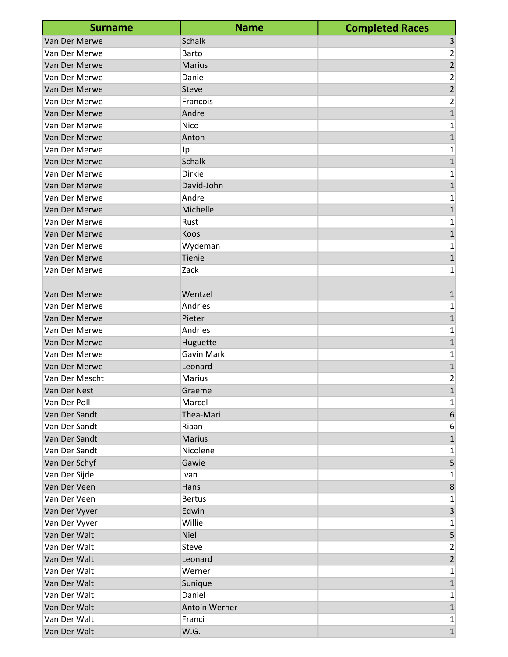| <b>Surname</b> | <b>Name</b>   | <b>Completed Races</b>  |
|----------------|---------------|-------------------------|
| Van Der Merwe  | <b>Schalk</b> | $\overline{\mathbf{3}}$ |
| Van Der Merwe  | Barto         | 2                       |
| Van Der Merwe  | <b>Marius</b> | $\overline{2}$          |
| Van Der Merwe  | Danie         | 2                       |
| Van Der Merwe  | Steve         | $\overline{2}$          |
| Van Der Merwe  | Francois      | 2                       |
| Van Der Merwe  | Andre         | $\mathbf 1$             |
| Van Der Merwe  | Nico          | 1                       |
| Van Der Merwe  | Anton         | 1                       |
| Van Der Merwe  | Jp            | 1                       |
| Van Der Merwe  | <b>Schalk</b> | $\mathbf 1$             |
| Van Der Merwe  | <b>Dirkie</b> | 1                       |
| Van Der Merwe  | David-John    | $\mathbf{1}$            |
| Van Der Merwe  | Andre         | 1                       |
| Van Der Merwe  | Michelle      | $\mathbf 1$             |
| Van Der Merwe  | Rust          | 1                       |
| Van Der Merwe  | Koos          | 1                       |
| Van Der Merwe  | Wydeman       | 1                       |
| Van Der Merwe  | Tienie        | $\mathbf 1$             |
| Van Der Merwe  | Zack          | 1                       |
|                |               |                         |
| Van Der Merwe  | Wentzel       | 1                       |
| Van Der Merwe  | Andries       | 1                       |
| Van Der Merwe  | Pieter        | 1                       |
| Van Der Merwe  | Andries       | 1                       |
| Van Der Merwe  | Huguette      | 1                       |
| Van Der Merwe  | Gavin Mark    | 1                       |
| Van Der Merwe  | Leonard       | 1                       |
| Van Der Mescht | Marius        | 2                       |
| Van Der Nest   | Graeme        | $\mathbf{1}$            |
| Van Der Poll   | Marcel        | 1                       |
| Van Der Sandt  | Thea-Mari     | $6 \overline{6}$        |
| Van Der Sandt  | Riaan         | 6                       |
| Van Der Sandt  | <b>Marius</b> | $\mathbf 1$             |
| Van Der Sandt  | Nicolene      | 1                       |
| Van Der Schyf  | Gawie         | 5                       |
| Van Der Sijde  | Ivan          | 1                       |
| Van Der Veen   | Hans          | 8                       |
| Van Der Veen   | <b>Bertus</b> | 1                       |
| Van Der Vyver  | Edwin         | 3                       |
| Van Der Vyver  | Willie        | 1                       |
| Van Der Walt   | <b>Niel</b>   | 5                       |
| Van Der Walt   | Steve         | 2                       |
| Van Der Walt   | Leonard       | $\overline{2}$          |
| Van Der Walt   | Werner        | 1                       |
| Van Der Walt   | Sunique       | $\mathbf{1}$            |
| Van Der Walt   | Daniel        | 1                       |
| Van Der Walt   | Antoin Werner | $\mathbf 1$             |
| Van Der Walt   | Franci        | 1                       |
| Van Der Walt   | W.G.          | $\overline{1}$          |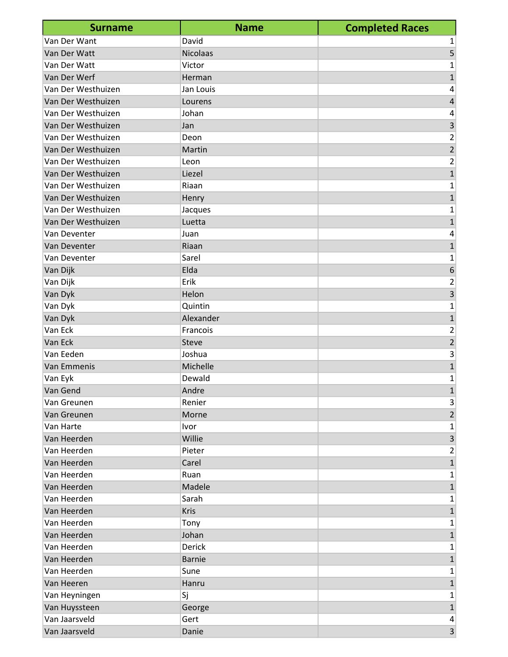| <b>Surname</b>     | <b>Name</b>     | <b>Completed Races</b>  |
|--------------------|-----------------|-------------------------|
| Van Der Want       | David           | $\mathbf{1}$            |
| Van Der Watt       | <b>Nicolaas</b> | 5                       |
| Van Der Watt       | Victor          | 1                       |
| Van Der Werf       | Herman          | $\overline{1}$          |
| Van Der Westhuizen | Jan Louis       | 4                       |
| Van Der Westhuizen | Lourens         | $\overline{\mathbf{r}}$ |
| Van Der Westhuizen | Johan           | 4                       |
| Van Der Westhuizen | Jan             | $\overline{\mathbf{3}}$ |
| Van Der Westhuizen | Deon            | $\mathbf 2$             |
| Van Der Westhuizen | Martin          | $\overline{2}$          |
| Van Der Westhuizen | Leon            | $\mathbf 2$             |
| Van Der Westhuizen | Liezel          | $\overline{1}$          |
| Van Der Westhuizen | Riaan           | $\mathbf 1$             |
| Van Der Westhuizen | Henry           | $\overline{1}$          |
| Van Der Westhuizen | Jacques         | $\mathbf 1$             |
| Van Der Westhuizen | Luetta          | $\overline{1}$          |
| Van Deventer       | Juan            | 4                       |
| Van Deventer       | Riaan           | $\overline{1}$          |
| Van Deventer       | Sarel           | $\mathbf 1$             |
| Van Dijk           | Elda            | $\boldsymbol{6}$        |
| Van Dijk           | Erik            | $\overline{2}$          |
| Van Dyk            | Helon           | $\overline{\mathbf{3}}$ |
| Van Dyk            | Quintin         | $\mathbf 1$             |
| Van Dyk            | Alexander       | $\overline{1}$          |
| Van Eck            | Francois        | $\overline{2}$          |
| Van Eck            | <b>Steve</b>    | $\overline{2}$          |
| Van Eeden          | Joshua          | 3                       |
| Van Emmenis        | Michelle        | $\overline{1}$          |
| Van Eyk            | Dewald          | 1                       |
| Van Gend           | Andre           | $\mathbf 1$             |
| Van Greunen        | Renier          | 3                       |
| Van Greunen        | Morne           | $\overline{2}$          |
| Van Harte          | Ivor            | $\mathbf 1$             |
| Van Heerden        | Willie          | $\overline{\mathbf{3}}$ |
| Van Heerden        | Pieter          | $\overline{2}$          |
| Van Heerden        | Carel           | $\mathbf 1$             |
| Van Heerden        | Ruan            | 1                       |
| Van Heerden        | Madele          | $\mathbf 1$             |
| Van Heerden        | Sarah           | 1                       |
| Van Heerden        | Kris            | $\overline{1}$          |
| Van Heerden        | Tony            | 1                       |
| Van Heerden        | Johan           | $\mathbf{1}$            |
| Van Heerden        | Derick          | 1                       |
| Van Heerden        | <b>Barnie</b>   | $\mathbf{1}$            |
| Van Heerden        | Sune            | $\mathbf 1$             |
| Van Heeren         | Hanru           | $\overline{1}$          |
| Van Heyningen      | Sj              | 1                       |
| Van Huyssteen      | George          | $\mathbf{1}$            |
| Van Jaarsveld      | Gert            | 4                       |
| Van Jaarsveld      | Danie           | $\overline{\mathbf{3}}$ |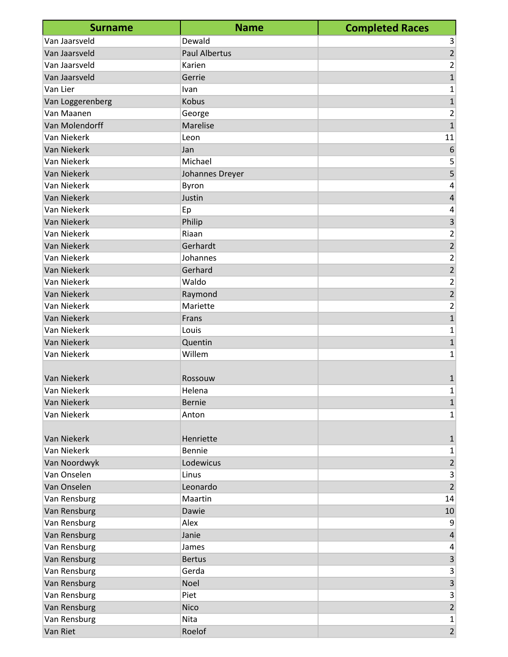| <b>Surname</b>     | <b>Name</b>          | <b>Completed Races</b>  |
|--------------------|----------------------|-------------------------|
| Van Jaarsveld      | Dewald               | 3                       |
| Van Jaarsveld      | <b>Paul Albertus</b> | $\overline{2}$          |
| Van Jaarsveld      | Karien               | 2                       |
| Van Jaarsveld      | Gerrie               | $\mathbf 1$             |
| Van Lier           | Ivan                 | 1                       |
| Van Loggerenberg   | Kobus                | $\mathbf{1}$            |
| Van Maanen         | George               | 2                       |
| Van Molendorff     | Marelise             | $\mathbf{1}$            |
| Van Niekerk        | Leon                 | 11                      |
| Van Niekerk        | Jan                  | 6                       |
| Van Niekerk        | Michael              | 5                       |
| Van Niekerk        | Johannes Dreyer      | 5                       |
| Van Niekerk        | Byron                | 4                       |
| Van Niekerk        | Justin               | 4                       |
| Van Niekerk        | Ep                   | 4                       |
| Van Niekerk        | Philip               | 3                       |
| Van Niekerk        | Riaan                | 2                       |
| <b>Van Niekerk</b> | Gerhardt             | $\overline{2}$          |
| Van Niekerk        | Johannes             | 2                       |
| Van Niekerk        | Gerhard              | $\overline{2}$          |
| Van Niekerk        | Waldo                | 2                       |
| Van Niekerk        | Raymond              | $\overline{2}$          |
| Van Niekerk        | Mariette             | 2                       |
| Van Niekerk        | Frans                | $\mathbf{1}$            |
| Van Niekerk        | Louis                | 1                       |
| <b>Van Niekerk</b> | Quentin              | $\mathbf 1$             |
| Van Niekerk        | Willem               | $\mathbf 1$             |
|                    |                      |                         |
| <b>Van Niekerk</b> | Rossouw              | 1                       |
| Van Niekerk        | Helena               | 1                       |
| Van Niekerk        | <b>Bernie</b>        | $\mathbf 1$             |
| Van Niekerk        | Anton                | 1                       |
|                    |                      |                         |
| Van Niekerk        | Henriette            | $\mathbf{1}$            |
| Van Niekerk        | Bennie               | 1                       |
| Van Noordwyk       | Lodewicus            | $\overline{2}$          |
| Van Onselen        | Linus                | $\overline{3}$          |
| Van Onselen        | Leonardo             | $\overline{2}$          |
| Van Rensburg       | Maartin              | 14                      |
| Van Rensburg       | Dawie                | 10                      |
| Van Rensburg       | Alex                 | 9                       |
| Van Rensburg       | Janie                | 4                       |
| Van Rensburg       | James                | 4                       |
| Van Rensburg       | <b>Bertus</b>        | $\overline{\mathbf{3}}$ |
| Van Rensburg       | Gerda                | 3                       |
| Van Rensburg       | Noel                 | $\overline{3}$          |
| Van Rensburg       | Piet                 | 3                       |
| Van Rensburg       | <b>Nico</b>          | $\overline{2}$          |
| Van Rensburg       | Nita                 | 1                       |
| Van Riet           | Roelof               | $\overline{2}$          |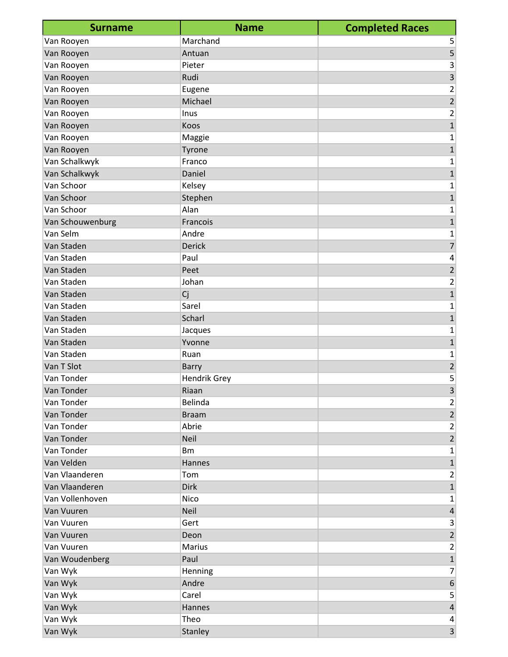| <b>Surname</b>   | <b>Name</b>         | <b>Completed Races</b>  |
|------------------|---------------------|-------------------------|
| Van Rooyen       | Marchand            | 5                       |
| Van Rooyen       | Antuan              | 5                       |
| Van Rooyen       | Pieter              | 3                       |
| Van Rooyen       | Rudi                | $\overline{3}$          |
| Van Rooyen       | Eugene              | $\overline{2}$          |
| Van Rooyen       | Michael             | $\overline{\mathbf{c}}$ |
| Van Rooyen       | Inus                | $\mathbf 2$             |
| Van Rooyen       | Koos                | $\mathbf 1$             |
| Van Rooyen       | Maggie              | 1                       |
| Van Rooyen       | Tyrone              | $\overline{1}$          |
| Van Schalkwyk    | Franco              | $\mathbf 1$             |
| Van Schalkwyk    | Daniel              | $\overline{1}$          |
| Van Schoor       | Kelsey              | $\mathbf 1$             |
| Van Schoor       | Stephen             | $\mathbf 1$             |
| Van Schoor       | Alan                | $\mathbf 1$             |
| Van Schouwenburg | Francois            | $\overline{1}$          |
| Van Selm         | Andre               | $\mathbf 1$             |
| Van Staden       | Derick              | $\overline{7}$          |
| Van Staden       | Paul                | 4                       |
| Van Staden       | Peet                | $\overline{c}$          |
| Van Staden       | Johan               | $\mathbf 2$             |
| Van Staden       | Cj                  | $\overline{1}$          |
| Van Staden       | Sarel               | $\mathbf 1$             |
| Van Staden       | Scharl              | $\mathbf 1$             |
| Van Staden       | Jacques             | 1                       |
| Van Staden       | Yvonne              | $\overline{1}$          |
| Van Staden       | Ruan                | $\mathbf 1$             |
| Van T Slot       | <b>Barry</b>        | $\overline{2}$          |
| Van Tonder       | <b>Hendrik Grey</b> | 5                       |
| Van Tonder       | Riaan               | $\vert 3 \vert$         |
| Van Tonder       | Belinda             | $\overline{2}$          |
| Van Tonder       | <b>Braam</b>        | $\mathbf 2$             |
| Van Tonder       | Abrie               | $\overline{c}$          |
| Van Tonder       | <b>Neil</b>         | $\overline{2}$          |
| Van Tonder       | <b>Bm</b>           | $\mathbf 1$             |
| Van Velden       | Hannes              | $\mathbf 1$             |
| Van Vlaanderen   | Tom                 | $\overline{2}$          |
| Van Vlaanderen   | <b>Dirk</b>         | $\mathbf 1$             |
| Van Vollenhoven  | Nico                | $\mathbf 1$             |
| Van Vuuren       | Neil                | $\sqrt{4}$              |
| Van Vuuren       | Gert                | 3                       |
| Van Vuuren       | Deon                | $\mathbf 2$             |
| Van Vuuren       | <b>Marius</b>       | $\overline{c}$          |
| Van Woudenberg   | Paul                | $\overline{1}$          |
| Van Wyk          | Henning             | $\overline{7}$          |
| Van Wyk          | Andre               | $\boldsymbol{6}$        |
| Van Wyk          | Carel               | 5                       |
| Van Wyk          | Hannes              | $\overline{\mathbf{4}}$ |
| Van Wyk          | Theo                | 4                       |
| Van Wyk          | Stanley             | $\overline{3}$          |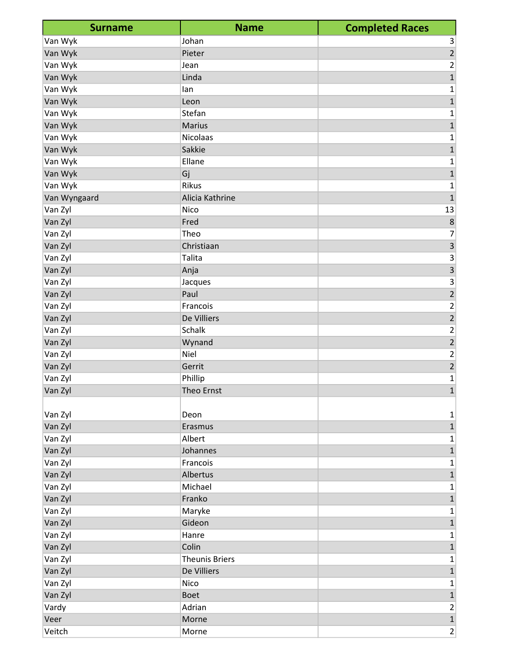| Johan<br>Van Wyk<br>3<br>$\overline{2}$<br>Van Wyk<br>Pieter<br>Van Wyk<br>2<br>Jean<br>$\mathbf{1}$<br>Van Wyk<br>Linda<br>Van Wyk<br>lan<br>1<br>Van Wyk<br>$\mathbf{1}$<br>Leon<br>Van Wyk<br>Stefan<br>1 |
|--------------------------------------------------------------------------------------------------------------------------------------------------------------------------------------------------------------|
|                                                                                                                                                                                                              |
|                                                                                                                                                                                                              |
|                                                                                                                                                                                                              |
|                                                                                                                                                                                                              |
|                                                                                                                                                                                                              |
|                                                                                                                                                                                                              |
|                                                                                                                                                                                                              |
| Van Wyk<br>$\mathbf{1}$<br><b>Marius</b>                                                                                                                                                                     |
| Van Wyk<br><b>Nicolaas</b><br>1                                                                                                                                                                              |
| Van Wyk<br>Sakkie<br>$\mathbf{1}$                                                                                                                                                                            |
| Ellane<br>Van Wyk<br>1                                                                                                                                                                                       |
| Van Wyk<br>$\mathbf{1}$<br>Gj                                                                                                                                                                                |
| Van Wyk<br>Rikus<br>$\mathbf 1$                                                                                                                                                                              |
| Van Wyngaard<br>Alicia Kathrine<br>$\mathbf 1$                                                                                                                                                               |
| Nico<br>Van Zyl<br>13                                                                                                                                                                                        |
| Van Zyl<br>Fred<br>8                                                                                                                                                                                         |
| Van Zyl<br>Theo<br>7                                                                                                                                                                                         |
| $\overline{\mathbf{3}}$<br>Van Zyl<br>Christiaan                                                                                                                                                             |
| 3<br>Van Zyl<br>Talita                                                                                                                                                                                       |
| 3<br>Van Zyl<br>Anja                                                                                                                                                                                         |
| 3<br>Van Zyl<br>Jacques                                                                                                                                                                                      |
| $\overline{2}$<br>Van Zyl<br>Paul                                                                                                                                                                            |
| Van Zyl<br>$\overline{\mathbf{c}}$<br>Francois                                                                                                                                                               |
| $\overline{2}$<br>Van Zyl<br>De Villiers                                                                                                                                                                     |
| <b>Schalk</b><br>Van Zyl<br>$\overline{\mathbf{c}}$                                                                                                                                                          |
| $\overline{2}$<br>Van Zyl<br>Wynand                                                                                                                                                                          |
| Niel<br>Van Zyl<br>$\overline{\mathbf{c}}$                                                                                                                                                                   |
| $\overline{2}$<br>Van Zyl<br>Gerrit                                                                                                                                                                          |
| Van Zyl<br>Phillip<br>1                                                                                                                                                                                      |
| Van Zyl<br>$\mathbf{1}$<br>Theo Ernst                                                                                                                                                                        |
|                                                                                                                                                                                                              |
| Van Zyl<br>Deon<br>1                                                                                                                                                                                         |
| Van Zyl<br>$\mathbf{1}$<br>Erasmus                                                                                                                                                                           |
| Van Zyl<br>Albert<br>1                                                                                                                                                                                       |
| $\mathbf{1}$<br>Van Zyl<br>Johannes                                                                                                                                                                          |
| Van Zyl<br>Francois<br>1                                                                                                                                                                                     |
| Van Zyl<br>Albertus<br>$\mathbf 1$                                                                                                                                                                           |
| Michael<br>Van Zyl<br>1                                                                                                                                                                                      |
| Van Zyl<br>Franko<br>$\mathbf 1$                                                                                                                                                                             |
| Van Zyl<br>Maryke<br>1                                                                                                                                                                                       |
| Van Zyl<br>Gideon<br>$\mathbf 1$                                                                                                                                                                             |
| Van Zyl<br>Hanre<br>1                                                                                                                                                                                        |
| Colin<br>Van Zyl<br>$\mathbf 1$                                                                                                                                                                              |
| Van Zyl<br><b>Theunis Briers</b><br>1                                                                                                                                                                        |
| Van Zyl<br>De Villiers<br>$\mathbf{1}$                                                                                                                                                                       |
| Nico<br>Van Zyl<br>1                                                                                                                                                                                         |
| $\overline{1}$<br>Van Zyl<br><b>Boet</b>                                                                                                                                                                     |
| Vardy<br>Adrian<br>$\overline{2}$                                                                                                                                                                            |
| $\mathbf 1$<br>Veer<br>Morne                                                                                                                                                                                 |
| $\overline{2}$<br>Veitch<br>Morne                                                                                                                                                                            |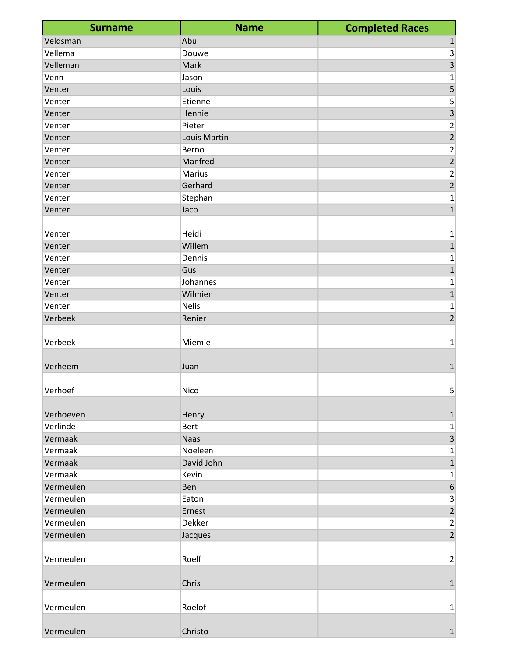| <b>Surname</b> | <b>Name</b>   | <b>Completed Races</b>  |
|----------------|---------------|-------------------------|
| Veldsman       | Abu           | $\mathbf 1$             |
| Vellema        | Douwe         | 3                       |
| Velleman       | Mark          | $\overline{\mathbf{3}}$ |
| Venn           | Jason         | 1                       |
| Venter         | Louis         | 5                       |
| Venter         | Etienne       | 5                       |
| Venter         | Hennie        | $\overline{3}$          |
| Venter         | Pieter        | $\mathbf 2$             |
| Venter         | Louis Martin  | $\overline{2}$          |
| Venter         | Berno         | $\overline{\mathbf{c}}$ |
| Venter         | Manfred       | $\overline{2}$          |
| Venter         | <b>Marius</b> | $\overline{2}$          |
| Venter         | Gerhard       | $\overline{2}$          |
| Venter         | Stephan       | $\mathbf{1}$            |
| Venter         | Jaco          | $\mathbf{1}$            |
|                |               |                         |
| Venter         | Heidi         | 1                       |
| Venter         | Willem        | $\overline{1}$          |
| Venter         | Dennis        | 1                       |
| Venter         | Gus           | $\mathbf 1$             |
| Venter         | Johannes      | 1                       |
| Venter         | Wilmien       | $\mathbf{1}$            |
| Venter         | <b>Nelis</b>  | 1                       |
| Verbeek        | Renier        | $\overline{2}$          |
| Verbeek        | Miemie        | 1                       |
| Verheem        | Juan          | $\mathbf{1}$            |
| Verhoef        | Nico          | $\mathsf{S}$            |
| Verhoeven      | Henry         | $\mathbf 1$             |
| Verlinde       | <b>Bert</b>   | 1                       |
| Vermaak        | <b>Naas</b>   | $\overline{3}$          |
| Vermaak        | Noeleen       | 1                       |
| Vermaak        | David John    | $\overline{1}$          |
| Vermaak        | Kevin         | 1                       |
| Vermeulen      | Ben           | $\sqrt{6}$              |
| Vermeulen      | Eaton         | $\overline{\mathbf{3}}$ |
| Vermeulen      | Ernest        | $\overline{2}$          |
| Vermeulen      | Dekker        | $\overline{c}$          |
| Vermeulen      | Jacques       | $\overline{2}$          |
| Vermeulen      | Roelf         | $\overline{2}$          |
| Vermeulen      | Chris         | $\mathbf{1}$            |
| Vermeulen      | Roelof        | 1                       |
| Vermeulen      | Christo       | 1                       |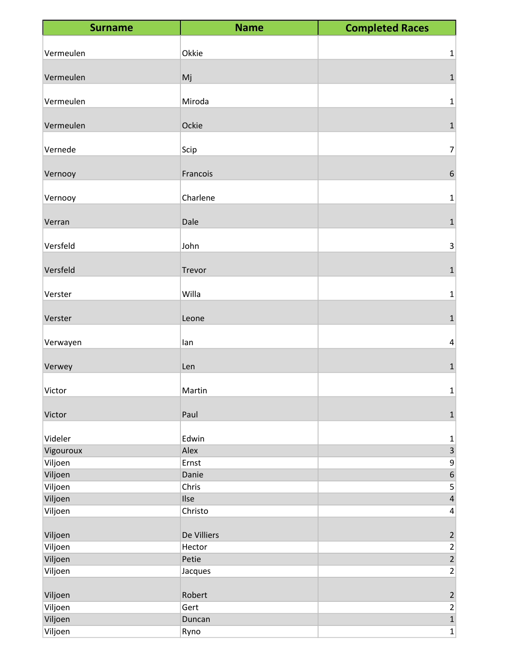| <b>Surname</b>       | <b>Name</b>   | <b>Completed Races</b>         |
|----------------------|---------------|--------------------------------|
| Vermeulen            | Okkie         | $\mathbf 1$                    |
|                      |               |                                |
| Vermeulen            | Mj            | $\mathbf 1$                    |
| Vermeulen            | Miroda        | $\mathbf 1$                    |
|                      |               |                                |
| Vermeulen            | Ockie         | $\mathbf 1$                    |
|                      |               |                                |
| Vernede              | Scip          | 7                              |
| Vernooy              | Francois      | $\sqrt{6}$                     |
| Vernooy              | Charlene      | $\mathbf 1$                    |
|                      |               |                                |
| Verran               | Dale          | $\mathbf 1$                    |
| Versfeld             | John          | $\overline{\mathbf{3}}$        |
| Versfeld             |               |                                |
|                      | Trevor        | $\mathbf 1$                    |
| Verster              | Willa         | $\mathbf 1$                    |
| Verster              | Leone         | $\mathbf{1}$                   |
|                      |               |                                |
| Verwayen             | lan           | $\overline{4}$                 |
| Verwey               | Len           | $\mathbf{1}$                   |
|                      |               |                                |
| Victor               | Martin        | $1\vert$                       |
| Victor               | Paul          | $1\vert$                       |
|                      |               |                                |
| Videler<br>Vigouroux | Edwin<br>Alex | $\mathbf{1}$<br>$\overline{3}$ |
| Viljoen              | Ernst         | $\mathsf 9$                    |
| Viljoen              | Danie         | $\sqrt{6}$                     |
| Viljoen              | Chris         | $\mathsf{S}$                   |
| Viljoen              | Ilse          | $\overline{4}$                 |
| Viljoen              | Christo       | $\overline{4}$                 |
|                      |               |                                |
| Viljoen              | De Villiers   | $\overline{2}$                 |
| Viljoen              | Hector        | $\mathbf{2}$                   |
| Viljoen              | Petie         | $\overline{2}$                 |
| Viljoen              | Jacques       | $\overline{2}$                 |
|                      |               |                                |
| Viljoen              | Robert        | $\overline{2}$                 |
| Viljoen              | Gert          | $\mathbf{2}$                   |
| Viljoen              | Duncan        | $\mathbf{1}$                   |
| Viljoen              | Ryno          | $\mathbf{1}$                   |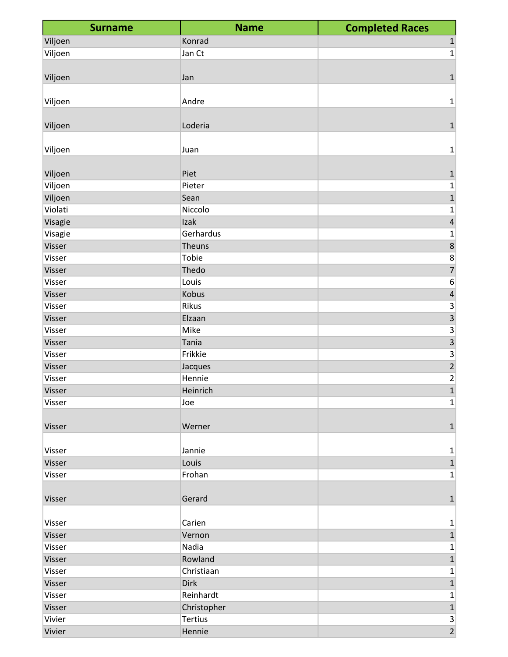| <b>Surname</b> | <b>Name</b>    | <b>Completed Races</b>  |
|----------------|----------------|-------------------------|
| Viljoen        | Konrad         | $\mathbf{1}$            |
| Viljoen        | Jan Ct         | 1                       |
|                |                |                         |
| Viljoen        | Jan            | $\mathbf 1$             |
|                |                |                         |
| Viljoen        | Andre          | $\mathbf 1$             |
|                |                |                         |
| Viljoen        | Loderia        | $\mathbf{1}$            |
|                |                |                         |
| Viljoen        | Juan           | 1                       |
|                |                |                         |
| Viljoen        | Piet           | $\mathbf{1}$            |
| Viljoen        | Pieter         | $\mathbf 1$             |
| Viljoen        | Sean           | $\overline{1}$          |
| Violati        | Niccolo        | 1                       |
| Visagie        | Izak           | $\overline{\mathbf{4}}$ |
| Visagie        | Gerhardus      | 1                       |
| Visser         | Theuns         | 8                       |
| Visser         | Tobie          | 8                       |
| Visser         | Thedo          | $\overline{7}$          |
| Visser         | Louis          | 6                       |
| Visser         | Kobus          | $\overline{\mathbf{r}}$ |
| Visser         | Rikus          | 3                       |
| Visser         | Elzaan         | $\overline{3}$          |
| Visser         | Mike           | 3                       |
| Visser         | Tania          | $\overline{3}$          |
| Visser         | Frikkie        | 3                       |
| Visser         | Jacques        | $\overline{2}$          |
| Visser         | Hennie         | $\overline{\mathbf{c}}$ |
| Visser         | Heinrich       | $\overline{1}$          |
| Visser         | Joe            | $\mathbf 1$             |
| Visser         | Werner         | $\mathbf 1$             |
|                |                |                         |
| Visser         | Jannie         | 1<br>$\overline{1}$     |
| Visser         | Louis          |                         |
| Visser         | Frohan         | $\mathbf 1$             |
| Visser         | Gerard         | $\mathbf 1$             |
| Visser         | Carien         | 1                       |
| Visser         | Vernon         | $\mathbf 1$             |
| Visser         | Nadia          | 1                       |
| Visser         | Rowland        | $\mathbf 1$             |
| Visser         | Christiaan     | 1                       |
| Visser         | <b>Dirk</b>    | $\overline{1}$          |
| Visser         | Reinhardt      | 1                       |
| Visser         | Christopher    | $\mathbf 1$             |
| Vivier         | <b>Tertius</b> | $\vert 3 \vert$         |
| Vivier         | Hennie         | $\overline{2}$          |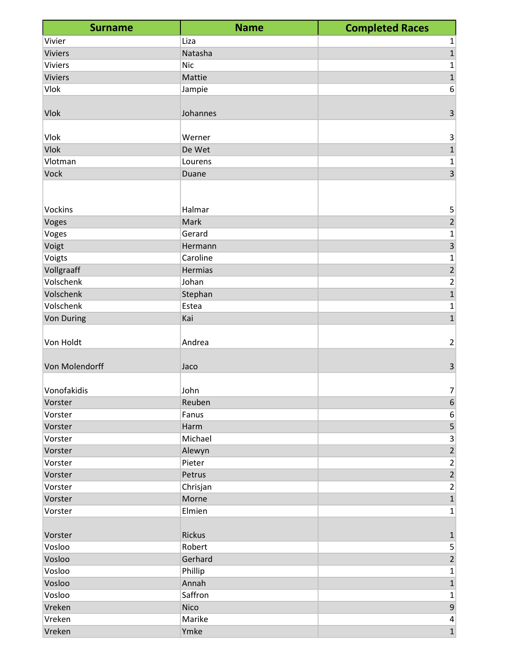| <b>Surname</b> | <b>Name</b> | <b>Completed Races</b> |
|----------------|-------------|------------------------|
| Vivier         | Liza        | 1                      |
| <b>Viviers</b> | Natasha     | $\overline{1}$         |
| <b>Viviers</b> | <b>Nic</b>  | 1                      |
| Viviers        | Mattie      | $\mathbf{1}$           |
| Vlok           | Jampie      | 6                      |
|                |             |                        |
| Vlok           | Johannes    | 3                      |
|                |             |                        |
| Vlok           | Werner      | 3                      |
| Vlok           | De Wet      | $\overline{1}$         |
| Vlotman        | Lourens     | 1                      |
| Vock           | Duane       | $\overline{3}$         |
|                |             |                        |
|                |             |                        |
| Vockins        | Halmar      | 5                      |
| Voges          | Mark        | $\overline{2}$         |
| Voges          | Gerard      | 1                      |
| Voigt          | Hermann     | $\overline{3}$         |
| Voigts         | Caroline    | $\mathbf 1$            |
| Vollgraaff     | Hermias     | $\overline{2}$         |
| Volschenk      | Johan       | 2                      |
| Volschenk      | Stephan     | $\mathbf{1}$           |
| Volschenk      | Estea       |                        |
|                |             | 1                      |
| Von During     | Kai         | $\mathbf 1$            |
|                |             |                        |
| Von Holdt      | Andrea      | $\overline{2}$         |
|                |             |                        |
| Von Molendorff | Jaco        | $\mathsf 3$            |
|                |             |                        |
| Vonofakidis    | John        | $7\vert$               |
| Vorster        | Reuben      | $\sqrt{6}$             |
| Vorster        | Fanus       | 6                      |
| Vorster        | Harm        | $5\overline{)}$        |
| Vorster        | Michael     | $\mathbf{3}$           |
| Vorster        | Alewyn      | $\overline{2}$         |
| Vorster        | Pieter      | $\overline{2}$         |
| Vorster        | Petrus      | $\overline{2}$         |
| Vorster        | Chrisjan    | $\overline{2}$         |
| Vorster        | Morne       | $\overline{1}$         |
| Vorster        | Elmien      | 1                      |
|                |             |                        |
| Vorster        | Rickus      | $\mathbf{1}$           |
| Vosloo         | Robert      | 5                      |
| Vosloo         | Gerhard     | $\overline{2}$         |
| Vosloo         | Phillip     | 1                      |
| Vosloo         | Annah       | $\overline{1}$         |
| Vosloo         | Saffron     | 1                      |
| Vreken         | Nico        | $\mathsf g$            |
| Vreken         | Marike      | $\overline{4}$         |
| Vreken         | Ymke        | $\mathbf 1$            |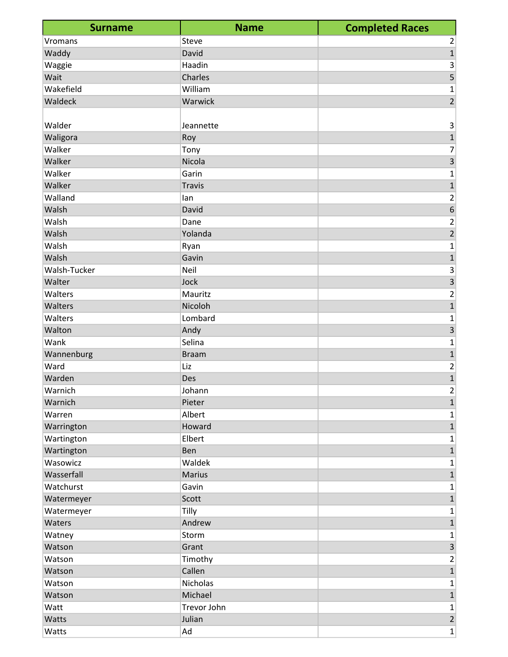| <b>Surname</b> | <b>Name</b>   | <b>Completed Races</b>  |
|----------------|---------------|-------------------------|
| Vromans        | Steve         | $\overline{2}$          |
| Waddy          | David         | $\mathbf{1}$            |
| Waggie         | Haadin        | 3                       |
| Wait           | Charles       | 5                       |
| Wakefield      | William       | 1                       |
| Waldeck        | Warwick       | $\overline{2}$          |
|                |               |                         |
| Walder         | Jeannette     | 3                       |
| Waligora       | Roy           | $\mathbf{1}$            |
| Walker         | Tony          | 7                       |
| Walker         | Nicola        | $\overline{3}$          |
| Walker         | Garin         | 1                       |
| Walker         | <b>Travis</b> | $\mathbf{1}$            |
| Walland        | lan           | 2                       |
| Walsh          | David         | $\boldsymbol{6}$        |
| Walsh          | Dane          | 2                       |
| Walsh          | Yolanda       | $\overline{2}$          |
| Walsh          | Ryan          | 1                       |
| Walsh          | Gavin         | $\mathbf{1}$            |
| Walsh-Tucker   | Neil          | 3                       |
| Walter         | Jock          | $\overline{\mathbf{3}}$ |
| Walters        | Mauritz       | 2                       |
| Walters        | Nicoloh       | $\overline{1}$          |
| Walters        | Lombard       | 1                       |
| Walton         | Andy          | 3                       |
| Wank           | Selina        | 1                       |
| Wannenburg     | <b>Braam</b>  | $\mathbf 1$             |
| Ward           | Liz           | 2                       |
| Warden         | Des           | $\overline{1}$          |
| Warnich        | Johann        | 2 <sup>1</sup>          |
| Warnich        | Pieter        | $\overline{1}$          |
| Warren         | Albert        | $\mathbf 1$             |
| Warrington     | Howard        | 1                       |
| Wartington     | Elbert        | 1                       |
| Wartington     | Ben           | $\mathbf{1}$            |
| Wasowicz       | Waldek        | 1                       |
| Wasserfall     | <b>Marius</b> | $\mathbf{1}$            |
| Watchurst      | Gavin         | 1                       |
| Watermeyer     | Scott         | $\mathbf{1}$            |
| Watermeyer     | Tilly         | 1                       |
| Waters         | Andrew        | $\mathbf{1}$            |
| Watney         | Storm         | 1                       |
| Watson         | Grant         | $\overline{\mathbf{3}}$ |
| Watson         | Timothy       | $\overline{2}$          |
| Watson         | Callen        | $\mathbf 1$             |
| Watson         | Nicholas      | 1                       |
| Watson         | Michael       | $\mathbf{1}$            |
| Watt           | Trevor John   | 1                       |
| Watts          | Julian        | $\overline{2}$          |
| Watts          | Ad            | $\mathbf 1$             |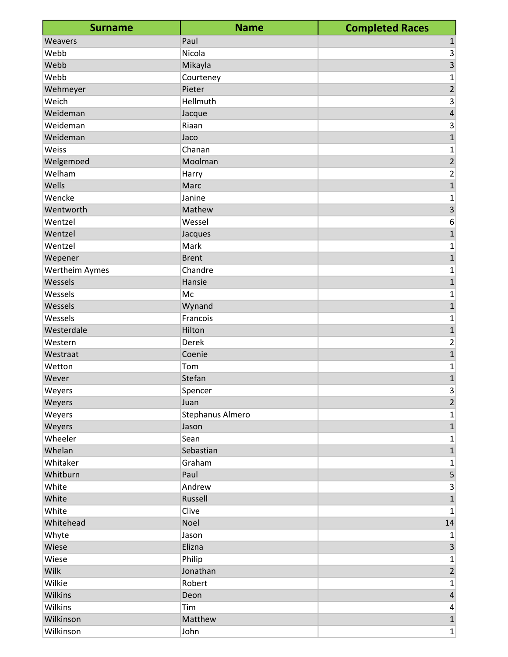| <b>Surname</b> | <b>Name</b>      | <b>Completed Races</b>    |
|----------------|------------------|---------------------------|
| Weavers        | Paul             | $\mathbf{1}$              |
| Webb           | Nicola           | 3                         |
| Webb           | Mikayla          | $\overline{\mathbf{3}}$   |
| Webb           | Courteney        | $\mathbf 1$               |
| Wehmeyer       | Pieter           | $\overline{2}$            |
| Weich          | Hellmuth         | $\mathsf{3}$              |
| Weideman       | Jacque           | $\overline{\mathbf{r}}$   |
| Weideman       | Riaan            | 3                         |
| Weideman       | Jaco             | $\overline{1}$            |
| Weiss          | Chanan           | $\mathbf 1$               |
| Welgemoed      | Moolman          | $\overline{\mathbf{c}}$   |
| Welham         | Harry            |                           |
| Wells          | Marc             | $\frac{2}{1}$             |
| Wencke         | Janine           | $\mathbf 1$               |
| Wentworth      | Mathew           | $\overline{\mathbf{3}}$   |
| Wentzel        | Wessel           | $\boldsymbol{6}$          |
| Wentzel        | Jacques          | $\mathbf{1}$              |
| Wentzel        | Mark             | $\mathbf 1$               |
| Wepener        | <b>Brent</b>     | $\overline{1}$            |
| Wertheim Aymes | Chandre          | $\mathbf 1$               |
| Wessels        | Hansie           | $\overline{1}$            |
| Wessels        | Mc               | $\mathbf 1$               |
| Wessels        | Wynand           | $\overline{1}$            |
| Wessels        | Francois         | $\mathbf 1$               |
| Westerdale     | Hilton           | $\overline{1}$            |
| Western        | Derek            | $\overline{\mathbf{c}}$   |
| Westraat       | Coenie           | $\overline{1}$            |
| Wetton         | Tom              | $\mathbf 1$               |
| Wever          | Stefan           | $\overline{1}$            |
| Weyers         | Spencer          | $\vert 3 \vert$           |
| Weyers         | Juan             | $\overline{2}$            |
| Weyers         | Stephanus Almero | $\mathbf 1$               |
| Weyers         | Jason            | $\mathbf 1$               |
| Wheeler        | Sean             | $\mathbf 1$               |
| Whelan         | Sebastian        | $\mathbf{1}$              |
| Whitaker       | Graham           | $\mathbf{1}$              |
| Whitburn       | Paul             | 5                         |
| White          | Andrew           | $\ensuremath{\mathsf{3}}$ |
| White          | Russell          | $\overline{1}$            |
| White          | Clive            | $\mathbf 1$               |
| Whitehead      | Noel             | 14                        |
| Whyte          | Jason            | $\mathbf{1}$              |
| Wiese          | Elizna           | $\mathsf 3$               |
| Wiese          | Philip           | $\mathbf 1$               |
| Wilk           | Jonathan         | $\sqrt{2}$                |
| Wilkie         | Robert           | $\mathbf 1$               |
| Wilkins        | Deon             | $\sqrt{4}$                |
| Wilkins        | Tim              | 4                         |
| Wilkinson      | Matthew          | $\mathbf{1}$              |
| Wilkinson      | John             | $\mathbf 1$               |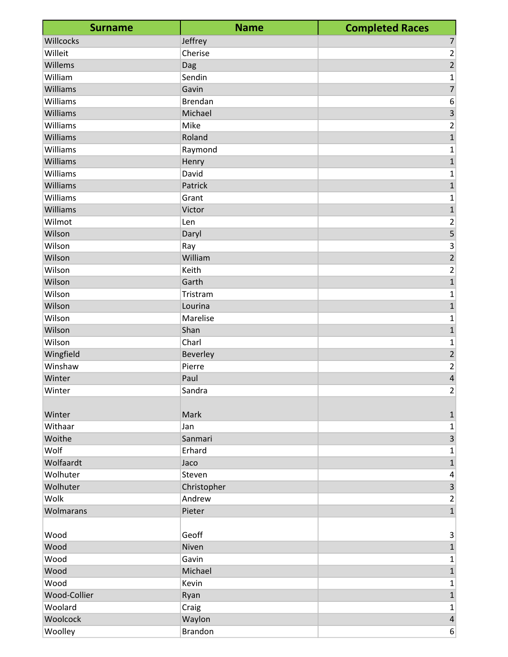| <b>Surname</b> | <b>Name</b>    | <b>Completed Races</b>  |
|----------------|----------------|-------------------------|
| Willcocks      | Jeffrey        | $\overline{7}$          |
| Willeit        | Cherise        | 2                       |
| Willems        | Dag            | $\overline{2}$          |
| William        | Sendin         | 1                       |
| Williams       | Gavin          | $\overline{7}$          |
| Williams       | <b>Brendan</b> | 6                       |
| Williams       | Michael        | 3                       |
| Williams       | Mike           | $\overline{\mathbf{c}}$ |
| Williams       | Roland         | $\mathbf{1}$            |
| Williams       | Raymond        | 1                       |
| Williams       | Henry          | $\mathbf{1}$            |
| Williams       | David          | 1                       |
| Williams       | Patrick        | $\mathbf{1}$            |
| Williams       | Grant          | 1                       |
| Williams       | Victor         | $\mathbf{1}$            |
| Wilmot         | Len            | 2                       |
| Wilson         | Daryl          | 5                       |
| Wilson         | Ray            | 3                       |
| Wilson         | William        | $\overline{2}$          |
| Wilson         | Keith          | $\overline{\mathbf{c}}$ |
| Wilson         | Garth          | $\mathbf 1$             |
| Wilson         | Tristram       | 1                       |
| Wilson         | Lourina        | $\overline{1}$          |
| Wilson         | Marelise       | 1                       |
| Wilson         | Shan           | $\mathbf{1}$            |
| Wilson         | Charl          | 1                       |
| Wingfield      | Beverley       | $\overline{2}$          |
| Winshaw        | Pierre         | 2                       |
| Winter         | Paul           | $\pmb{4}$               |
| Winter         | Sandra         | $\overline{2}$          |
| Winter         | Mark           | $\mathbf{1}$            |
| Withaar        | Jan            | 1                       |
| Woithe         | Sanmari        | $\overline{3}$          |
| Wolf           | Erhard         | 1                       |
| Wolfaardt      | Jaco           | $\mathbf 1$             |
| Wolhuter       | Steven         | 4                       |
| Wolhuter       | Christopher    | $\overline{\mathbf{3}}$ |
| Wolk           | Andrew         | $\overline{2}$          |
| Wolmarans      | Pieter         | $\mathbf{1}$            |
|                |                |                         |
| Wood           | Geoff          | 3                       |
| Wood           | Niven          | $\mathbf 1$             |
| Wood           | Gavin          | $\mathbf{1}$            |
| Wood           | Michael        | $\mathbf 1$             |
| Wood           | Kevin          | 1                       |
| Wood-Collier   | Ryan           | $\mathbf{1}$            |
| Woolard        | Craig          | 1                       |
| Woolcock       | Waylon         | $\overline{a}$          |
| Woolley        | <b>Brandon</b> | $6\vert$                |